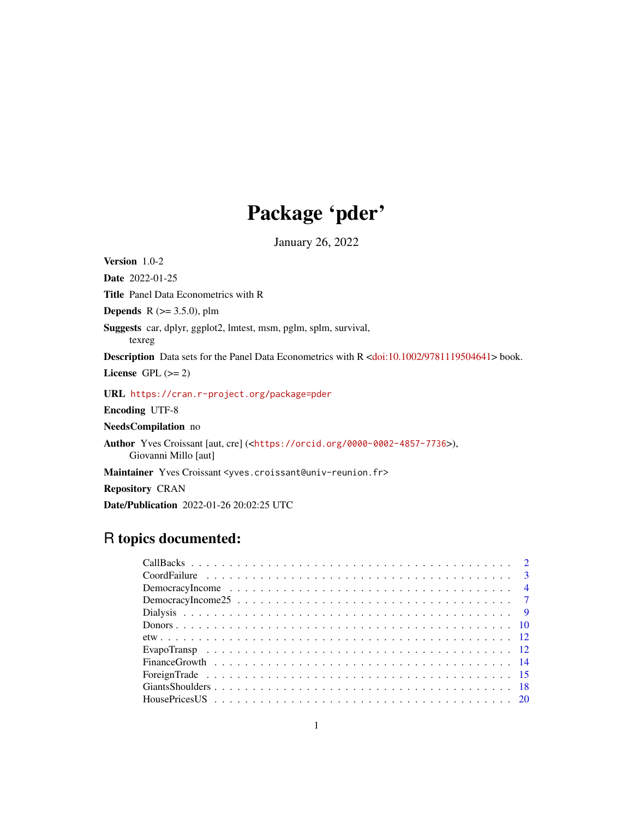# Package 'pder'

January 26, 2022

Version 1.0-2 Date 2022-01-25 Title Panel Data Econometrics with R **Depends** R  $(>= 3.5.0)$ , plm Suggests car, dplyr, ggplot2, lmtest, msm, pglm, splm, survival, texreg Description Data sets for the Panel Data Econometrics with R [<doi:10.1002/9781119504641>](https://doi.org/10.1002/9781119504641) book. License GPL  $(>= 2)$ URL <https://cran.r-project.org/package=pder> Encoding UTF-8 NeedsCompilation no Author Yves Croissant [aut, cre] (<<https://orcid.org/0000-0002-4857-7736>>), Giovanni Millo [aut] Maintainer Yves Croissant <yves.croissant@univ-reunion.fr> Repository CRAN Date/Publication 2022-01-26 20:02:25 UTC

# R topics documented: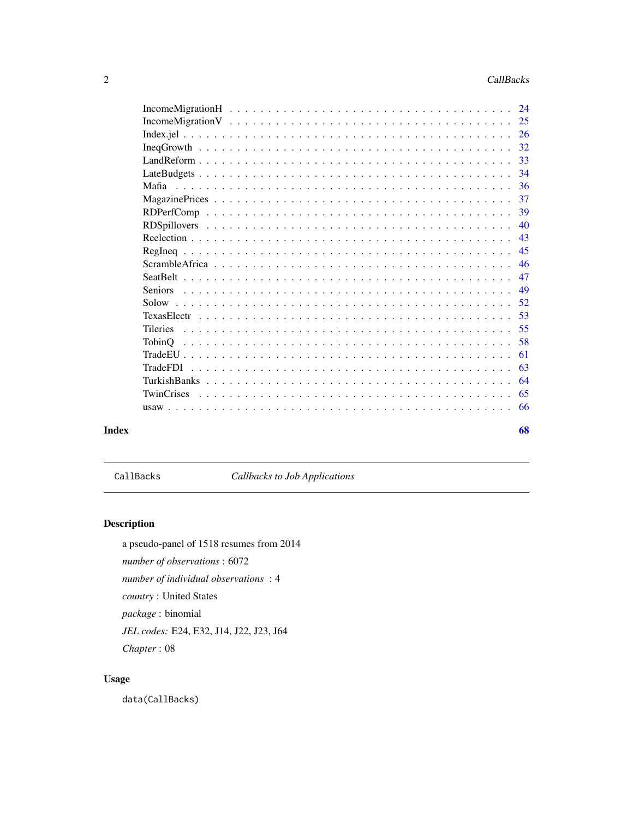<span id="page-1-0"></span>

| 24                    |
|-----------------------|
| 25                    |
| 26                    |
| 32                    |
| 33                    |
| 34                    |
| 36                    |
| 37                    |
| 39                    |
| 40                    |
| 43                    |
| 45                    |
| 46                    |
| 47                    |
| 49                    |
| 52                    |
| 53                    |
| 55<br><b>Tileries</b> |
| 58<br><b>TobinO</b>   |
| 61                    |
| 63                    |
| 64                    |
| 65                    |
| 66                    |
|                       |

#### **Index** [68](#page-67-0) **b** and the contract of the contract of the contract of the contract of the contract of the contract of the contract of the contract of the contract of the contract of the contract of the contract of the contrac

<span id="page-1-1"></span>CallBacks *Callbacks to Job Applications*

# Description

a pseudo-panel of 1518 resumes from 2014 *number of observations* : 6072 *number of individual observations* : 4 *country* : United States *package* : binomial *JEL codes:* E24, E32, J14, J22, J23, J64 *Chapter* : 08

# Usage

data(CallBacks)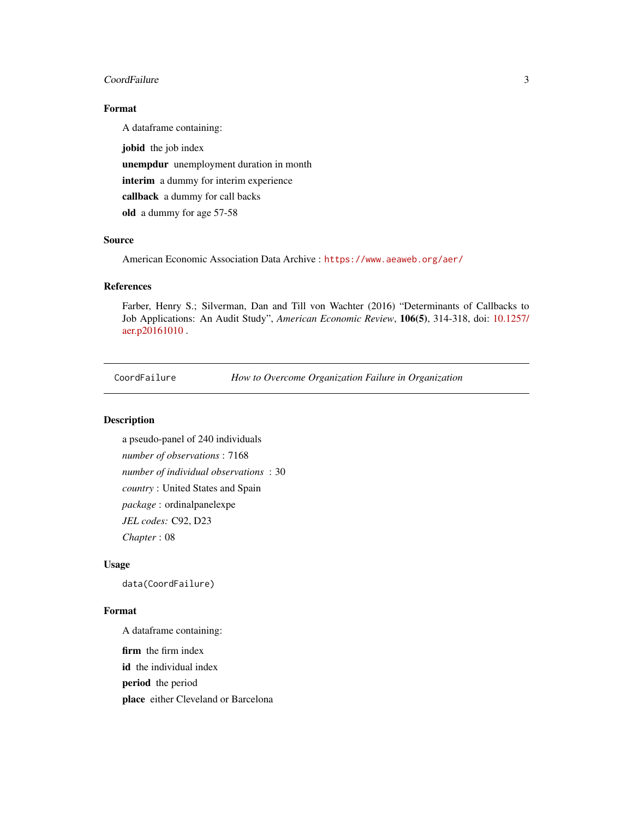#### <span id="page-2-0"></span>CoordFailure 3

# Format

A dataframe containing:

jobid the job index unempdur unemployment duration in month interim a dummy for interim experience callback a dummy for call backs old a dummy for age 57-58

## Source

American Economic Association Data Archive : <https://www.aeaweb.org/aer/>

# References

Farber, Henry S.; Silverman, Dan and Till von Wachter (2016) "Determinants of Callbacks to Job Applications: An Audit Study", *American Economic Review*, 106(5), 314-318, doi: [10.1257/](https://doi.org/10.1257/aer.p20161010) [aer.p20161010](https://doi.org/10.1257/aer.p20161010) .

<span id="page-2-1"></span>CoordFailure *How to Overcome Organization Failure in Organization*

# Description

a pseudo-panel of 240 individuals *number of observations* : 7168 *number of individual observations* : 30 *country* : United States and Spain *package* : ordinalpanelexpe *JEL codes:* C92, D23 *Chapter* : 08

#### Usage

data(CoordFailure)

#### Format

A dataframe containing: firm the firm index id the individual index period the period place either Cleveland or Barcelona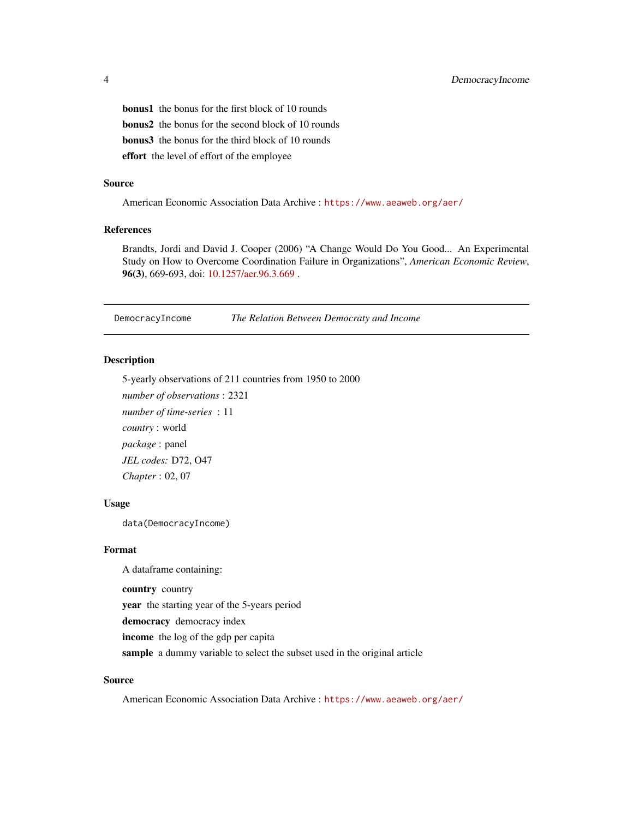<span id="page-3-0"></span>**bonus1** the bonus for the first block of 10 rounds bonus2 the bonus for the second block of 10 rounds bonus3 the bonus for the third block of 10 rounds effort the level of effort of the employee

# Source

American Economic Association Data Archive : <https://www.aeaweb.org/aer/>

# References

Brandts, Jordi and David J. Cooper (2006) "A Change Would Do You Good... An Experimental Study on How to Overcome Coordination Failure in Organizations", *American Economic Review*, 96(3), 669-693, doi: [10.1257/aer.96.3.669](https://doi.org/10.1257/aer.96.3.669) .

<span id="page-3-1"></span>DemocracyIncome *The Relation Between Democraty and Income*

#### Description

```
5-yearly observations of 211 countries from 1950 to 2000
number of observations : 2321
number of time-series : 11
country : world
package : panel
JEL codes: D72, O47
Chapter : 02, 07
```
#### Usage

data(DemocracyIncome)

#### Format

A dataframe containing:

country country

year the starting year of the 5-years period

democracy democracy index

income the log of the gdp per capita

sample a dummy variable to select the subset used in the original article

# Source

American Economic Association Data Archive : <https://www.aeaweb.org/aer/>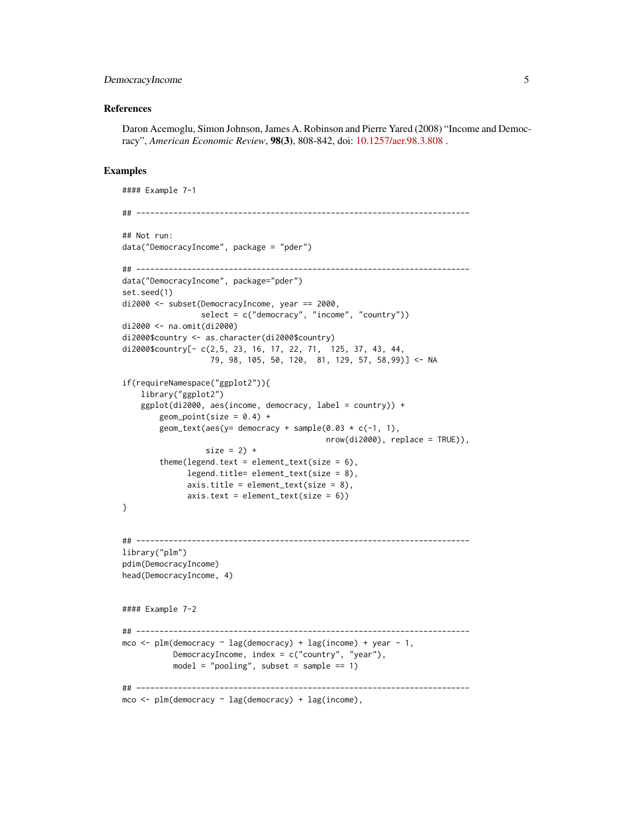# DemocracyIncome 5

#### References

Daron Acemoglu, Simon Johnson, James A. Robinson and Pierre Yared (2008) "Income and Democracy", *American Economic Review*, 98(3), 808-842, doi: [10.1257/aer.98.3.808](https://doi.org/10.1257/aer.98.3.808) .

```
#### Example 7-1
## ------------------------------------------------------------------------
## Not run:
data("DemocracyIncome", package = "pder")
## ------------------------------------------------------------------------
data("DemocracyIncome", package="pder")
set.seed(1)
di2000 <- subset(DemocracyIncome, year == 2000,
                 select = c("democracy", "income", "country"))
di2000 <- na.omit(di2000)
di2000$country <- as.character(di2000$country)
di2000$country[- c(2,5, 23, 16, 17, 22, 71, 125, 37, 43, 44,
                  79, 98, 105, 50, 120, 81, 129, 57, 58,99)] <- NA
if(requireNamespace("ggplot2")){
   library("ggplot2")
   ggplot(di2000, aes(income, democracy, label = country)) +
        geom\_point(size = 0.4) +geom_text(aes(y= democracy + sample(0.03 \star c(-1, 1),
                                            nrow(di2000), replace = TRUE)),
                  size = 2) +theme(legend.text = element_text(size = 6),
              legend.title= element_text(size = 8),
              axis.title = element_text(size = 8),
              axis. text = element\_text(size = 6)}
## ------------------------------------------------------------------------
library("plm")
pdim(DemocracyIncome)
head(DemocracyIncome, 4)
#### Example 7-2
## ------------------------------------------------------------------------
mco \le plm(democracy \sim lag(democracy) + lag(income) + year - 1,
           DemocracyIncome, index = c("country", "year"),
           model = "pooling", subset = sample == 1)## ------------------------------------------------------------------------
mco \le plm(democracy \sim lag(democracy) + lag(income),
```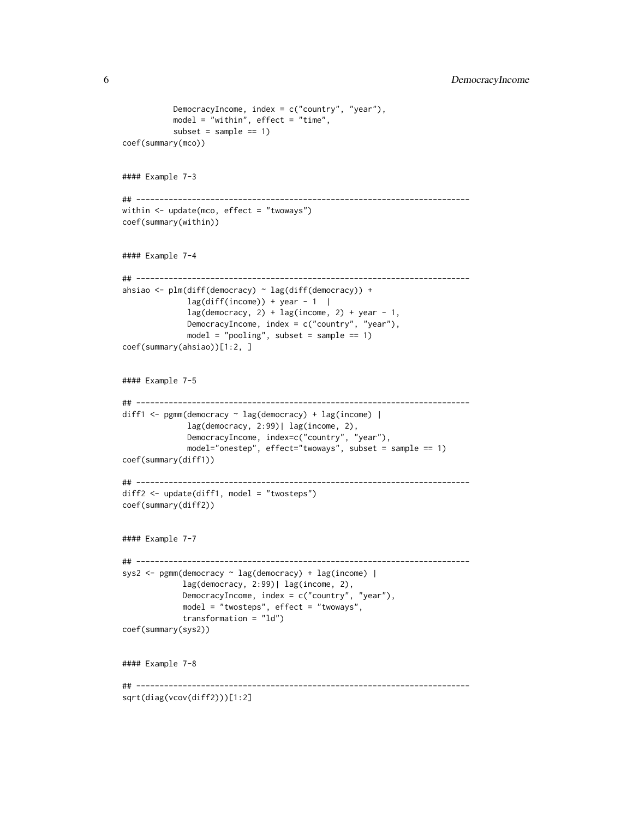```
DemocracyIncome, index = c("country", "year"),
          model = "within", effect = "time",
          subset = sample == 1)coef(summary(mco))
#### Example 7-3
## ------------------------------------------------------------------------
within <- update(mco, effect = "twoways")
coef(summary(within))
#### Example 7-4
## ------------------------------------------------------------------------
ahsiao <- plm(diff(democracy) ~ lag(diff(democracy)) +
             lag(diff(income)) + year - 1 |
             lag(democracy, 2) + lag(income, 2) + year - 1,DemocracyIncome, index = c("country", "year"),
             model = "pooling", subset = sample == 1)coef(summary(ahsiao))[1:2, ]
#### Example 7-5
## ------------------------------------------------------------------------
diff1 <- pgmm(democracy ~ lag(democracy) + lag(income) |
             lag(democracy, 2:99)| lag(income, 2),
             DemocracyIncome, index=c("country", "year"),
             model="onestep", effect="twoways", subset = sample == 1)
coef(summary(diff1))
## ------------------------------------------------------------------------
diff2 <- update(diff1, model = "twosteps")
coef(summary(diff2))
#### Example 7-7
## ------------------------------------------------------------------------
sys2 <- pgmm(democracy ~ lag(democracy) + lag(income) |
            lag(democracy, 2:99)| lag(income, 2),
            DemocracyIncome, index = c("country", "year"),
            model = "twosteps", effect = "twoways",
            transformation = "ld")
coef(summary(sys2))
#### Example 7-8
## ------------------------------------------------------------------------
sqrt(diag(vcov(diff2)))[1:2]
```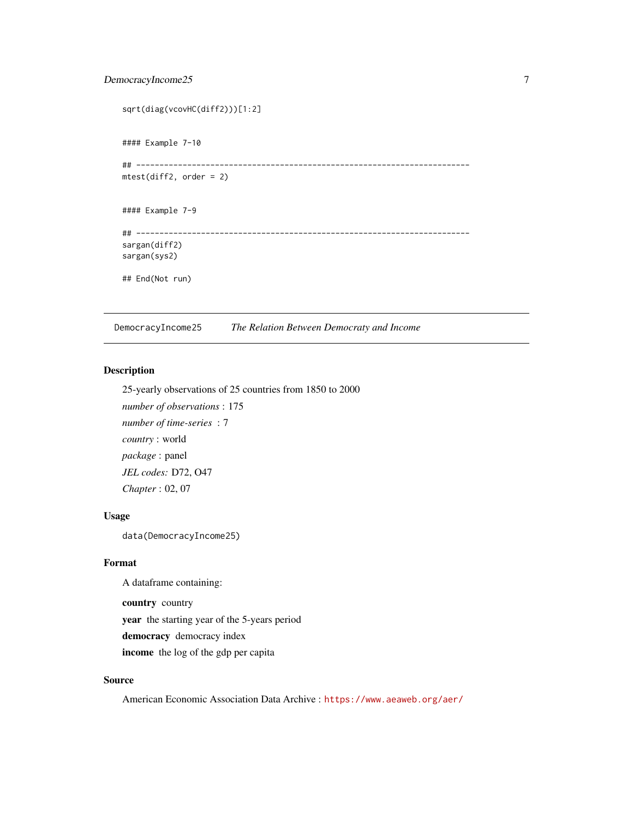# <span id="page-6-0"></span>DemocracyIncome25 7

```
sqrt(diag(vcovHC(diff2)))[1:2]
#### Example 7-10
## ------------------------------------------------------------------------
mtest(diff2, order = 2)
#### Example 7-9
## ------------------------------------------------------------------------
sargan(diff2)
sargan(sys2)
## End(Not run)
```
<span id="page-6-1"></span>DemocracyIncome25 *The Relation Between Democraty and Income*

## Description

25-yearly observations of 25 countries from 1850 to 2000 *number of observations* : 175 *number of time-series* : 7 *country* : world *package* : panel *JEL codes:* D72, O47 *Chapter* : 02, 07

# Usage

data(DemocracyIncome25)

## Format

A dataframe containing:

country country

year the starting year of the 5-years period

democracy democracy index

income the log of the gdp per capita

# Source

American Economic Association Data Archive : <https://www.aeaweb.org/aer/>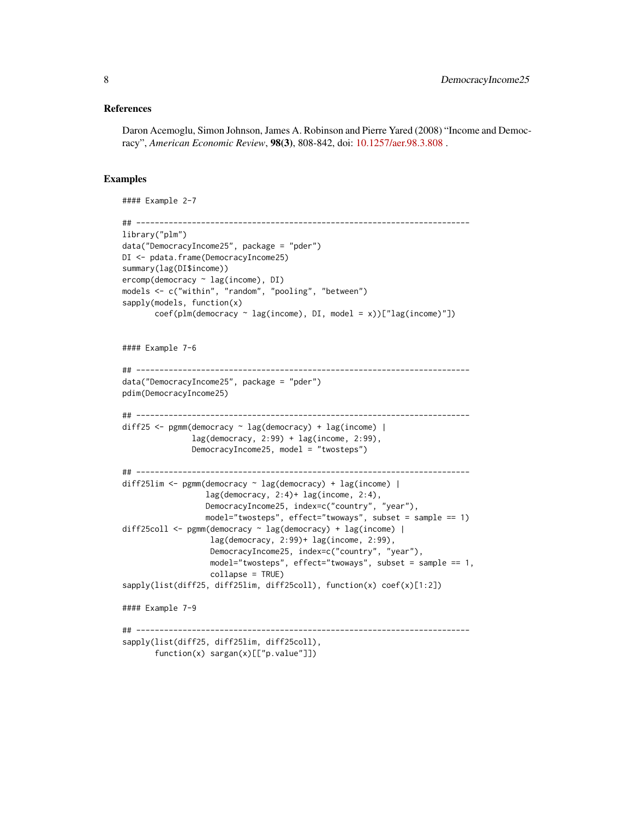#### References

Daron Acemoglu, Simon Johnson, James A. Robinson and Pierre Yared (2008) "Income and Democracy", *American Economic Review*, 98(3), 808-842, doi: [10.1257/aer.98.3.808](https://doi.org/10.1257/aer.98.3.808) .

```
#### Example 2-7
## ------------------------------------------------------------------------
library("plm")
data("DemocracyIncome25", package = "pder")
DI <- pdata.frame(DemocracyIncome25)
summary(lag(DI$income))
ercomp(democracy ~ lag(income), DI)
models <- c("within", "random", "pooling", "between")
sapply(models, function(x)
       \text{coeff}(plm(democracy \sim lag(income), DI, model = x))["lag(income)"]#### Example 7-6
## ------------------------------------------------------------------------
data("DemocracyIncome25", package = "pder")
pdim(DemocracyIncome25)
## ------------------------------------------------------------------------
diff25 <- pgmm(democracy \sim lag(democracy) + lag(income) |
               lag(democracy, 2:99) + lag(income, 2:99),
               DemocracyIncome25, model = "twosteps")
## ------------------------------------------------------------------------
diff25lim <- pgmm(democracy ~ lag(democracy) + lag(income) |
                  lag(democracy, 2:4)+ lag(income, 2:4),
                  DemocracyIncome25, index=c("country", "year"),
                  model="twosteps", effect="twoways", subset = sample == 1)
diff25coll <- pgmm(democracy ~ lag(democracy) + lag(income) |
                   lag(democracy, 2:99)+ lag(income, 2:99),
                   DemocracyIncome25, index=c("country", "year"),
                   model="twosteps", effect="twoways", subset = sample == 1,
                   collapse = TRUE)
sapply(list(diff25, diff25lim, diff25coll), function(x) coef(x)[1:2])
#### Example 7-9
## ------------------------------------------------------------------------
sapply(list(diff25, diff25lim, diff25coll),
       function(x) sargan(x)[["p.value"]])
```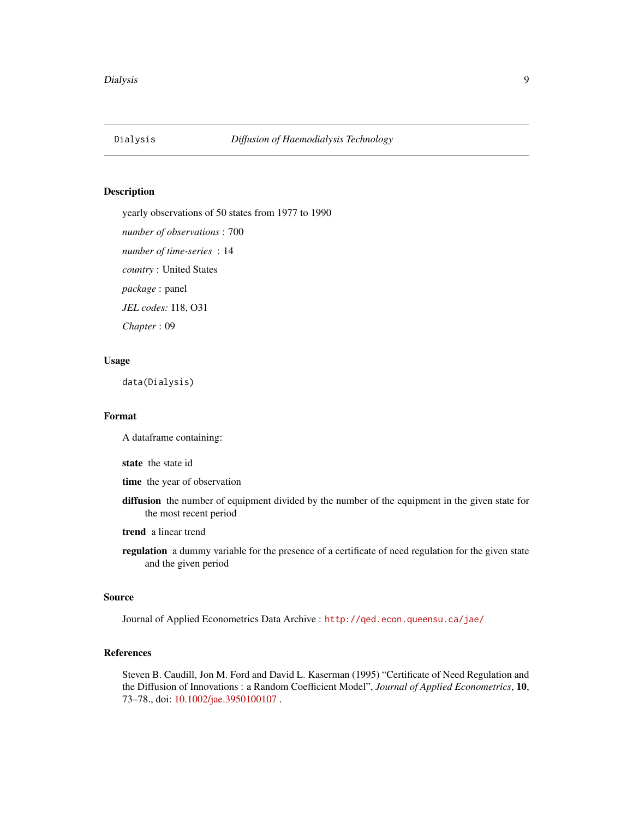<span id="page-8-1"></span><span id="page-8-0"></span>

#### Description

yearly observations of 50 states from 1977 to 1990 *number of observations* : 700 *number of time-series* : 14 *country* : United States *package* : panel *JEL codes:* I18, O31 *Chapter* : 09

# Usage

data(Dialysis)

# Format

A dataframe containing:

state the state id

time the year of observation

- diffusion the number of equipment divided by the number of the equipment in the given state for the most recent period
- trend a linear trend
- regulation a dummy variable for the presence of a certificate of need regulation for the given state and the given period

# Source

Journal of Applied Econometrics Data Archive : <http://qed.econ.queensu.ca/jae/>

# References

Steven B. Caudill, Jon M. Ford and David L. Kaserman (1995) "Certificate of Need Regulation and the Diffusion of Innovations : a Random Coefficient Model", *Journal of Applied Econometrics*, 10, 73–78., doi: [10.1002/jae.3950100107](https://doi.org/10.1002/jae.3950100107) .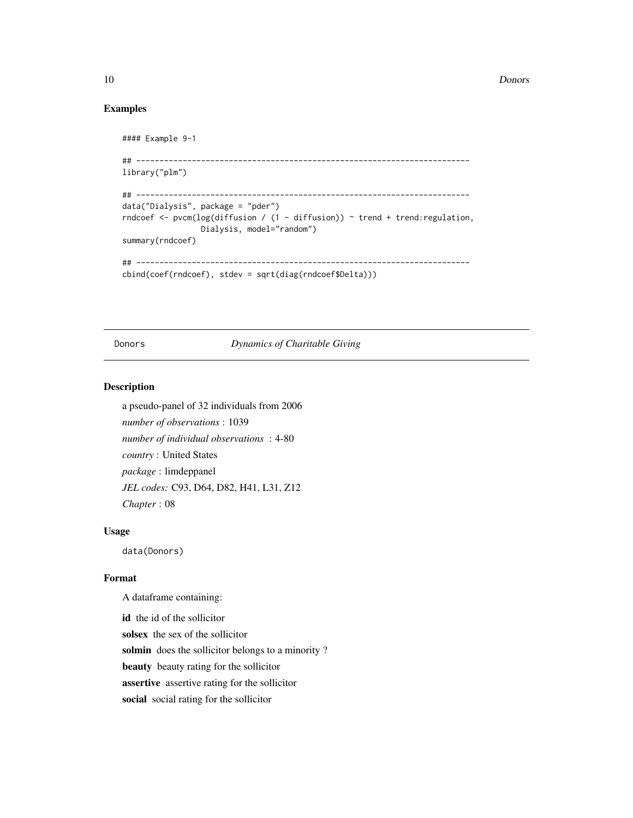#### 10 Donors

## Examples

```
#### Example 9-1
## ------------------------------------------------------------------------
library("plm")
## ------------------------------------------------------------------------
data("Dialysis", package = "pder")
rndcoef \leq pvcm(log(diffusion / (1 - diffusion)) \sim trend + trend: regulation,
                 Dialysis, model="random")
summary(rndcoef)
## ------------------------------------------------------------------------
cbind(coef(rndcoef), stdev = sqrt(diag(rndcoef$Delta)))
```
## <span id="page-9-1"></span>Donors *Dynamics of Charitable Giving*

## Description

a pseudo-panel of 32 individuals from 2006 *number of observations* : 1039 *number of individual observations* : 4-80 *country* : United States *package* : limdeppanel *JEL codes:* C93, D64, D82, H41, L31, Z12 *Chapter* : 08

#### Usage

data(Donors)

# Format

A dataframe containing:

id the id of the sollicitor solsex the sex of the sollicitor solmin does the sollicitor belongs to a minority ? beauty beauty rating for the sollicitor assertive assertive rating for the sollicitor social social rating for the sollicitor

<span id="page-9-0"></span>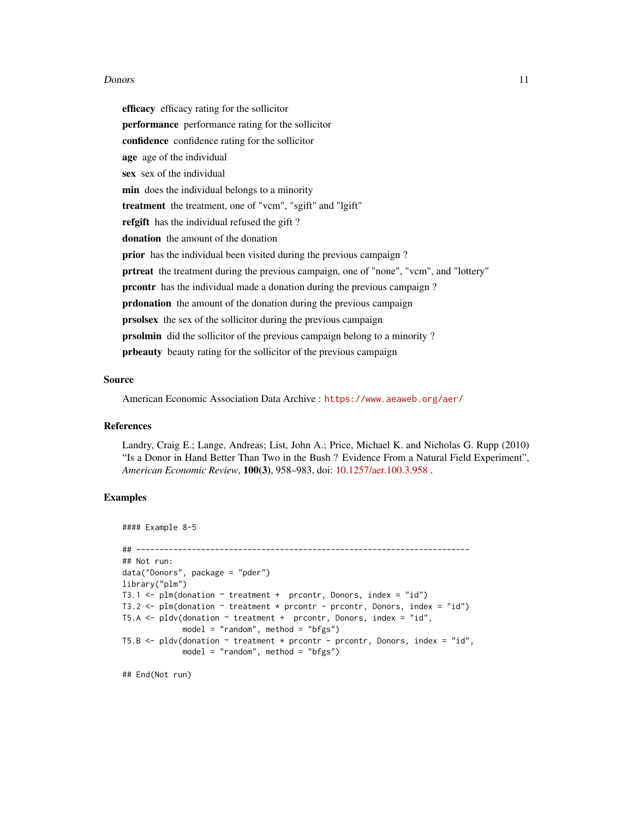#### Donors and the contract of the contract of the contract of the contract of the contract of the contract of the contract of the contract of the contract of the contract of the contract of the contract of the contract of the

efficacy efficacy rating for the sollicitor performance performance rating for the sollicitor confidence confidence rating for the sollicitor age age of the individual sex sex of the individual min does the individual belongs to a minority treatment the treatment, one of "vcm", "sgift" and "lgift" refgift has the individual refused the gift? donation the amount of the donation prior has the individual been visited during the previous campaign? prtreat the treatment during the previous campaign, one of "none", "vcm", and "lottery" prcontr has the individual made a donation during the previous campaign ? prdonation the amount of the donation during the previous campaign prsolsex the sex of the sollicitor during the previous campaign prsolmin did the sollicitor of the previous campaign belong to a minority ? prbeauty beauty rating for the sollicitor of the previous campaign

## Source

American Economic Association Data Archive : <https://www.aeaweb.org/aer/>

# References

Landry, Craig E.; Lange, Andreas; List, John A.; Price, Michael K. and Nicholas G. Rupp (2010) "Is a Donor in Hand Better Than Two in the Bush ? Evidence From a Natural Field Experiment", *American Economic Review*, 100(3), 958–983, doi: [10.1257/aer.100.3.958](https://doi.org/10.1257/aer.100.3.958) .

## Examples

```
#### Example 8-5
## ------------------------------------------------------------------------
## Not run:
data("Donors", package = "pder")
library("plm")
T3.1 \le plm(donation \sim treatment + prcontr, Donors, index = "id")
T3.2 \le plm(donation \sim treatment * prcontr - prcontr, Donors, index = "id")
T5.A \le pldv(donation \sim treatment + prcontr, Donors, index = "id",
             model = "random", method = "bfgs")T5.B \leq pldv(donation \sim treatment \star prcontr - prcontr, Donors, index = "id",
             model = "random", method = "bfgs")
```
## End(Not run)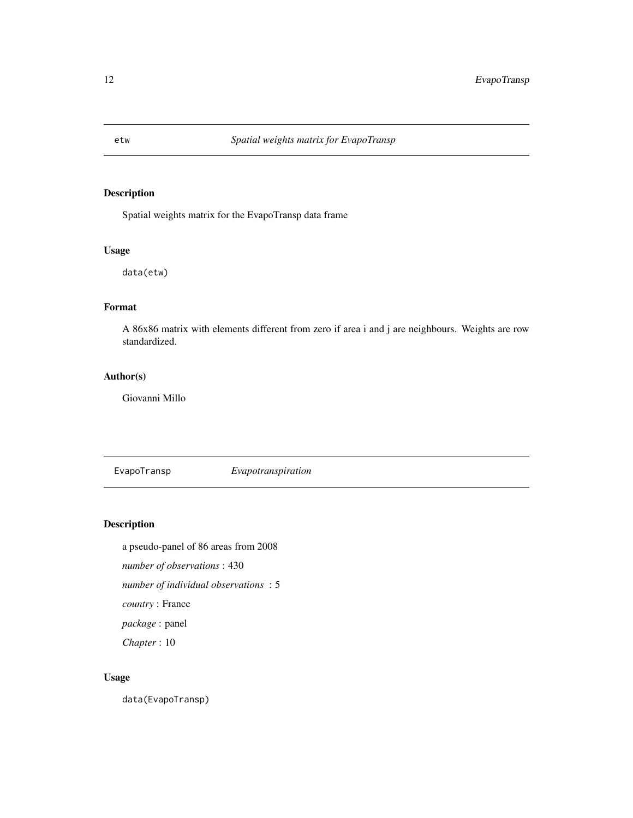<span id="page-11-0"></span>

# Description

Spatial weights matrix for the EvapoTransp data frame

# Usage

data(etw)

# Format

A 86x86 matrix with elements different from zero if area i and j are neighbours. Weights are row standardized.

# Author(s)

Giovanni Millo

EvapoTransp *Evapotranspiration*

# Description

a pseudo-panel of 86 areas from 2008

*number of observations* : 430

*number of individual observations* : 5

*country* : France

*package* : panel

*Chapter* : 10

## Usage

data(EvapoTransp)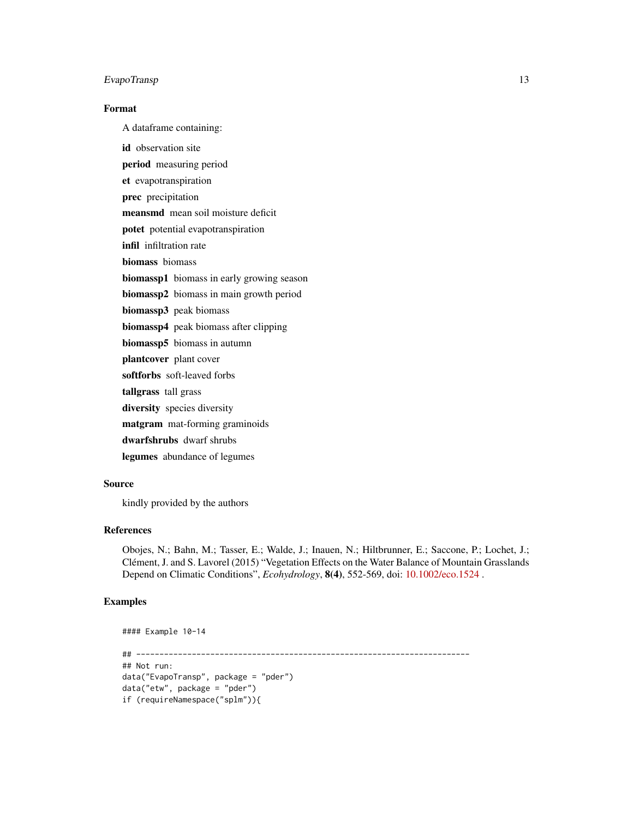# EvapoTransp 13

# Format

A dataframe containing:

id observation site period measuring period et evapotranspiration prec precipitation meansmd mean soil moisture deficit potet potential evapotranspiration infil infiltration rate biomass biomass biomassp1 biomass in early growing season biomassp2 biomass in main growth period biomassp3 peak biomass biomassp4 peak biomass after clipping biomassp5 biomass in autumn plantcover plant cover softforbs soft-leaved forbs tallgrass tall grass diversity species diversity matgram mat-forming graminoids dwarfshrubs dwarf shrubs legumes abundance of legumes

# Source

kindly provided by the authors

# References

Obojes, N.; Bahn, M.; Tasser, E.; Walde, J.; Inauen, N.; Hiltbrunner, E.; Saccone, P.; Lochet, J.; Clément, J. and S. Lavorel (2015) "Vegetation Effects on the Water Balance of Mountain Grasslands Depend on Climatic Conditions", *Ecohydrology*, 8(4), 552-569, doi: [10.1002/eco.1524](https://doi.org/10.1002/eco.1524) .

```
#### Example 10-14
## ------------------------------------------------------------------------
## Not run:
data("EvapoTransp", package = "pder")
data("etw", package = "pder")
if (requireNamespace("splm")){
```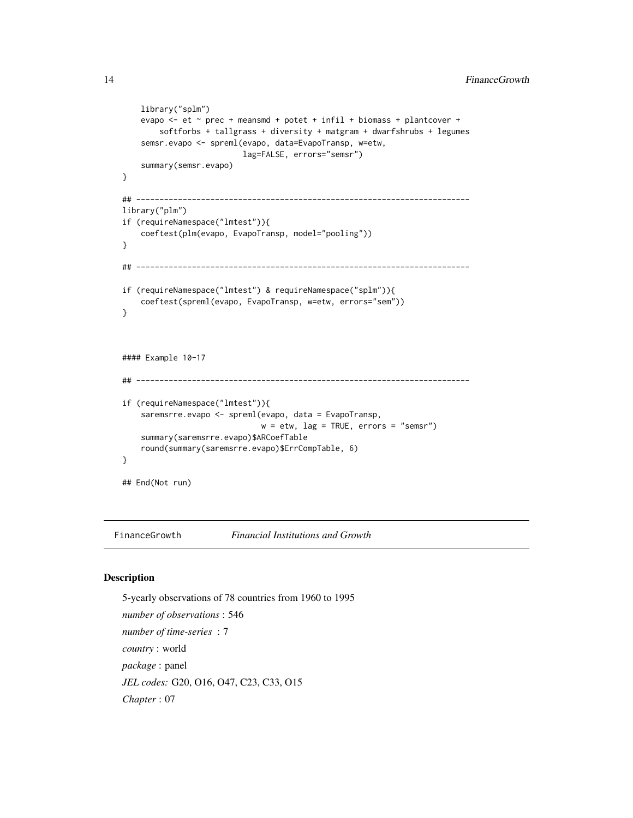```
library("splm")
   evapo <- et ~ prec + meansmd + potet + infil + biomass + plantcover +
       softforbs + tallgrass + diversity + matgram + dwarfshrubs + legumes
    semsr.evapo <- spreml(evapo, data=EvapoTransp, w=etw,
                          lag=FALSE, errors="semsr")
    summary(semsr.evapo)
}
## ------------------------------------------------------------------------
library("plm")
if (requireNamespace("lmtest")){
    coeftest(plm(evapo, EvapoTransp, model="pooling"))
}
## ------------------------------------------------------------------------
if (requireNamespace("lmtest") & requireNamespace("splm")){
    coeftest(spreml(evapo, EvapoTransp, w=etw, errors="sem"))
}
#### Example 10-17
## ------------------------------------------------------------------------
if (requireNamespace("lmtest")){
    saremsrre.evapo <- spreml(evapo, data = EvapoTransp,
                             w = etw, lag = TRUE, errors = "semsr")
    summary(saremsrre.evapo)$ARCoefTable
    round(summary(saremsrre.evapo)$ErrCompTable, 6)
}
## End(Not run)
```
<span id="page-13-1"></span>FinanceGrowth *Financial Institutions and Growth*

#### **Description**

5-yearly observations of 78 countries from 1960 to 1995 *number of observations* : 546 *number of time-series* : 7 *country* : world *package* : panel *JEL codes:* G20, O16, O47, C23, C33, O15 *Chapter* : 07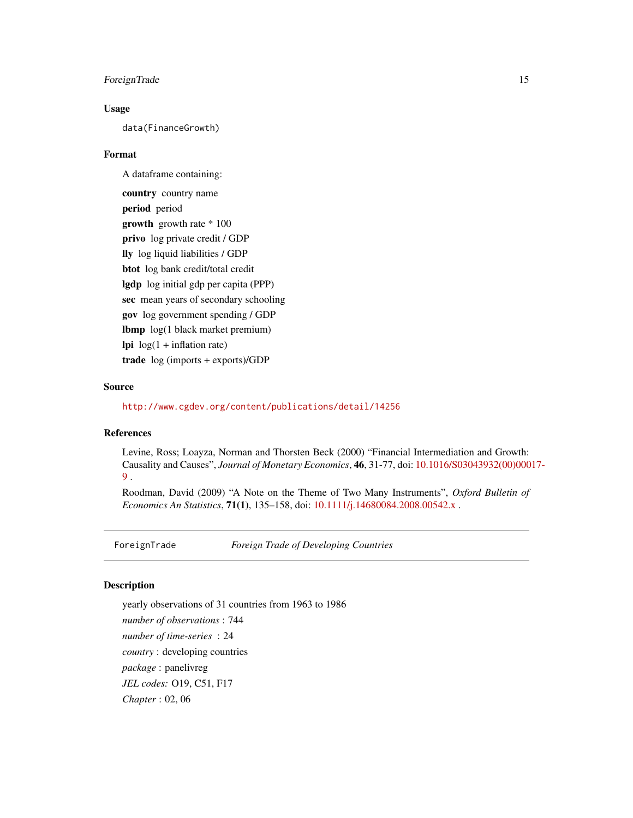# <span id="page-14-0"></span>ForeignTrade 15

#### Usage

data(FinanceGrowth)

## Format

A dataframe containing: country country name period period growth growth rate \* 100 privo log private credit / GDP lly log liquid liabilities / GDP btot log bank credit/total credit lgdp log initial gdp per capita (PPP) sec mean years of secondary schooling gov log government spending / GDP lbmp log(1 black market premium) **lpi**  $log(1 + inflation rate)$ trade log (imports + exports)/GDP

## Source

<http://www.cgdev.org/content/publications/detail/14256>

# References

Levine, Ross; Loayza, Norman and Thorsten Beck (2000) "Financial Intermediation and Growth: Causality and Causes", *Journal of Monetary Economics*, 46, 31-77, doi: [10.1016/S03043932\(00\)000](https://doi.org/10.1016/S0304-3932(00)00017-9)17- [9](https://doi.org/10.1016/S0304-3932(00)00017-9) .

Roodman, David (2009) "A Note on the Theme of Two Many Instruments", *Oxford Bulletin of Economics An Statistics*, 71(1), 135–158, doi: [10.1111/j.14680084.2008.00542.x](https://doi.org/10.1111/j.1468-0084.2008.00542.x) .

<span id="page-14-1"></span>ForeignTrade *Foreign Trade of Developing Countries*

# Description

yearly observations of 31 countries from 1963 to 1986 *number of observations* : 744 *number of time-series* : 24 *country* : developing countries *package* : panelivreg *JEL codes:* O19, C51, F17 *Chapter* : 02, 06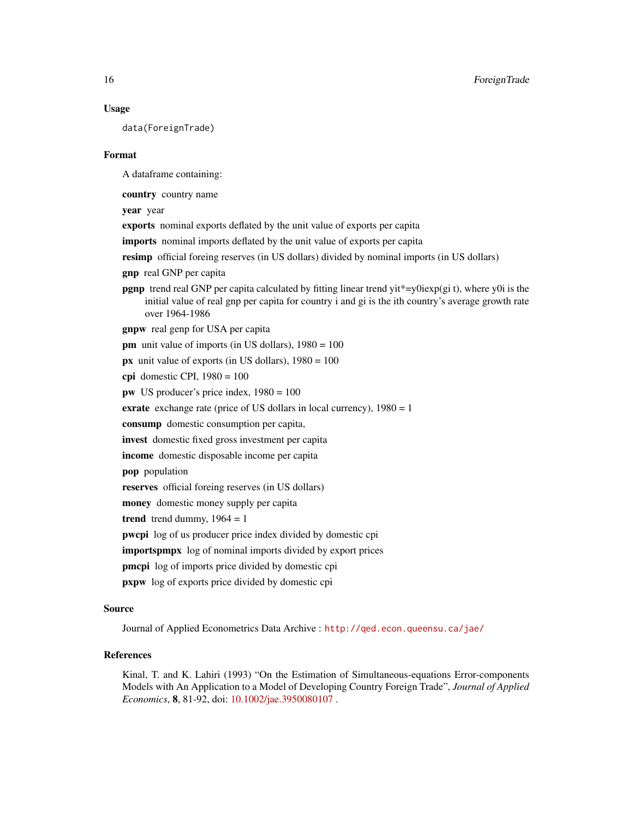## Usage

data(ForeignTrade)

#### Format

A dataframe containing:

country country name

year year

exports nominal exports deflated by the unit value of exports per capita

imports nominal imports deflated by the unit value of exports per capita

resimp official foreing reserves (in US dollars) divided by nominal imports (in US dollars)

gnp real GNP per capita

**pgnp** trend real GNP per capita calculated by fitting linear trend yit\*=y0iexp(gi t), where y0i is the initial value of real gnp per capita for country i and gi is the ith country's average growth rate over 1964-1986

gnpw real genp for USA per capita

**pm** unit value of imports (in US dollars),  $1980 = 100$ 

 $px$  unit value of exports (in US dollars),  $1980 = 100$ 

cpi domestic CPI,  $1980 = 100$ 

pw US producer's price index, 1980 = 100

exrate exchange rate (price of US dollars in local currency),  $1980 = 1$ 

consump domestic consumption per capita,

invest domestic fixed gross investment per capita

income domestic disposable income per capita

pop population

reserves official foreing reserves (in US dollars)

money domestic money supply per capita

trend trend dummy,  $1964 = 1$ 

pwcpi log of us producer price index divided by domestic cpi

importspmpx log of nominal imports divided by export prices

pmcpi log of imports price divided by domestic cpi

pxpw log of exports price divided by domestic cpi

# Source

Journal of Applied Econometrics Data Archive : <http://qed.econ.queensu.ca/jae/>

# References

Kinal, T. and K. Lahiri (1993) "On the Estimation of Simultaneous-equations Error-components Models with An Application to a Model of Developing Country Foreign Trade", *Journal of Applied Economics*, 8, 81-92, doi: [10.1002/jae.3950080107](https://doi.org/10.1002/jae.3950080107) .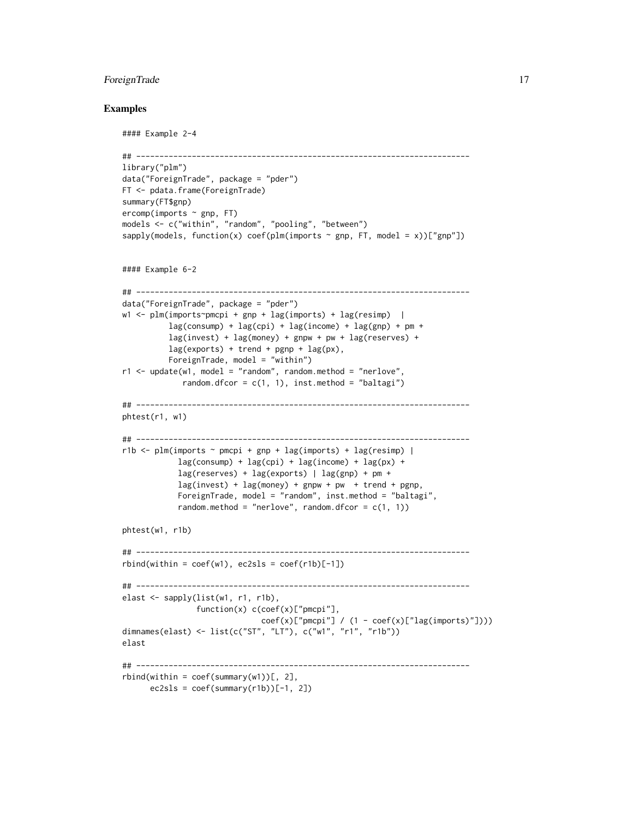# ForeignTrade 17

```
#### Example 2-4
## ------------------------------------------------------------------------
library("plm")
data("ForeignTrade", package = "pder")
FT <- pdata.frame(ForeignTrade)
summary(FT$gnp)
ercomp(imports ~ gnp, FT)
models <- c("within", "random", "pooling", "between")
sapply(models, function(x) coef(plm(imports \sim gnp, FT, model = x))["gnp"])
#### Example 6-2
## ------------------------------------------------------------------------
data("ForeignTrade", package = "pder")
w1 <- plm(imports~pmcpi + gnp + lag(imports) + lag(resimp) |
          lag(consump) + lag(cpi) + lag(income) + lag(gnp) + pm +lag(invest) + lag(money) + gnpw + pw + lag(reserves) +lag(exports) + trend + pgnp + lag(px),ForeignTrade, model = "within")
r1 <- update(w1, model = "random", random.method = "nerlove",
            random.dfcor = c(1, 1), inst.method = "baltagi")
## ------------------------------------------------------------------------
phtest(r1, w1)
## ------------------------------------------------------------------------
r1b \leq plm(imports \sim pmcpi + gnp + lag(imports) + lag(resimp) |
            lag(consump) + lag(cpi) + lag(income) + lag(px) +lag(reserves) + lag(exports) | lag(gnp) + pm +lag(invest) + lag(money) + gnpw + pw + trend + pgnp,ForeignTrade, model = "random", inst.method = "baltagi",
            random.method = "nerlove", random.dfcor = c(1, 1))
phtest(w1, r1b)
## ------------------------------------------------------------------------
rbind(within = coef(w1), ec2sls = coef(r1b)[-1])## ------------------------------------------------------------------------
elast <- sapply(list(w1, r1, r1b),
                function(x) c(coef(x)["pmcpi"],
                              coeff(x)["pmcpi"] / (1 - coeff(x)["lag(imports)"]))dimnames(elast) <- list(c("ST", "LT"), c("w1", "r1", "r1b"))
elast
## ------------------------------------------------------------------------
rbind(within = coef(summary(w1))[, 2],ec2sls = coef(summary(r1b))[-1, 2])
```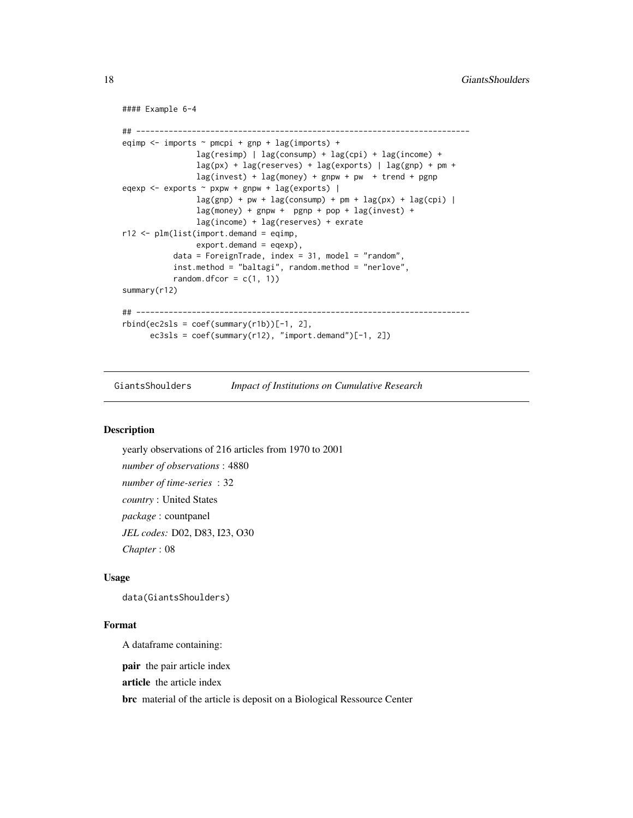```
#### Example 6-4
```

```
## ------------------------------------------------------------------------
eqimp \le imports \sim pmcpi + gnp + lag(imports) +
               lag(resimp) | lag(consump) + lag(cpi) + lag(income) +
                lag(px) + lag(reserves) + lag(exports) | lag(gnp) + pm +lag(invest) + lag(money) + gnpw + pw + trend + pgnpeqexp \leq exports \sim pxpw + gnpw + lag(exports) |
               lag(gnp) + pw + lag(consump) + pm + lag(px) + lag(cpi) |
                lag(money) + gnpw + pgnp + pop + lag(invest) +lag(income) + lag(reserves) + exrate
r12 <- plm(list(import.demand = eqimp,
                export.demand = eqexp),
           data = ForeignTrade, index = 31, model = "random",inst.method = "baltagi", random.method = "nerlove",
           random.dfcor = c(1, 1))
summary(r12)
## ------------------------------------------------------------------------
rbind(eczsls = coef(summary(r1b))[-1, 2],ec3sls = coef(summary(r12), "import.demand")[-1, 2])
```
<span id="page-17-1"></span>GiantsShoulders *Impact of Institutions on Cumulative Research*

# Description

yearly observations of 216 articles from 1970 to 2001 *number of observations* : 4880 *number of time-series* : 32 *country* : United States *package* : countpanel *JEL codes:* D02, D83, I23, O30 *Chapter* : 08

# Usage

```
data(GiantsShoulders)
```
## Format

A dataframe containing:

pair the pair article index

article the article index

brc material of the article is deposit on a Biological Ressource Center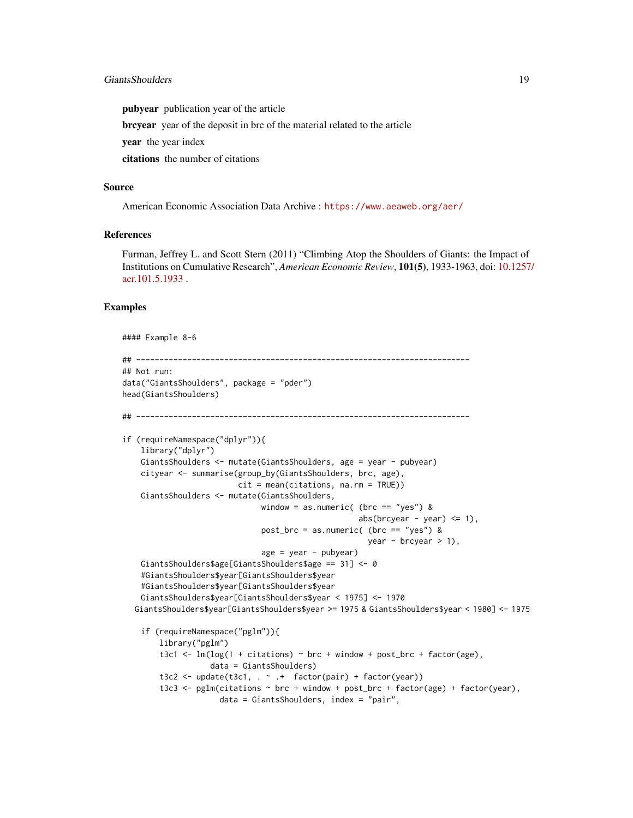## GiantsShoulders 19

pubyear publication year of the article

brcyear year of the deposit in brc of the material related to the article

year the year index

citations the number of citations

#### Source

American Economic Association Data Archive : <https://www.aeaweb.org/aer/>

#### References

Furman, Jeffrey L. and Scott Stern (2011) "Climbing Atop the Shoulders of Giants: the Impact of Institutions on Cumulative Research", *American Economic Review*, 101(5), 1933-1963, doi: [10.1257](https://doi.org/10.1257/aer.101.5.1933)/ [aer.101.5.1933](https://doi.org/10.1257/aer.101.5.1933) .

```
#### Example 8-6
## ------------------------------------------------------------------------
## Not run:
data("GiantsShoulders", package = "pder")
head(GiantsShoulders)
## ------------------------------------------------------------------------
if (requireNamespace("dplyr")){
    library("dplyr")
    GiantsShoulders <- mutate(GiantsShoulders, age = year - pubyear)
    cityear <- summarise(group_by(GiantsShoulders, brc, age),
                         cit = mean(citations, na.rm = TRUE))
    GiantsShoulders <- mutate(GiantsShoulders,
                              window = as.numeric( (brc == "yes") &
                                                    abs(brcyear - year) \leq 1),
                              post_brc = as.numeric( (brc == "yes") &
                                                      year - brcyear > 1),
                              age = year - pubyear)GiantsShoulders$age[GiantsShoulders$age == 31] <- 0
    #GiantsShoulders$year[GiantsShoulders$year
    #GiantsShoulders$year[GiantsShoulders$year
    GiantsShoulders$year[GiantsShoulders$year < 1975] <- 1970
  GiantsShoulders$year[GiantsShoulders$year >= 1975 & GiantsShoulders$year < 1980] <- 1975
    if (requireNamespace("pglm")){
        library("pglm")
        t3c1 \leq lm(log(1 + citations) \sim brc + window + post_brc + factor(age),
                   data = GiantsShoulders)
        t3c2 <- update(t3c1, \cdot \cdot \cdot + factor(pair) + factor(year))
        t3c3 <- pglm(citations \sim brc + window + post_brc + factor(age) + factor(year),
                     data = GiantsShoulders, index = "pair",
```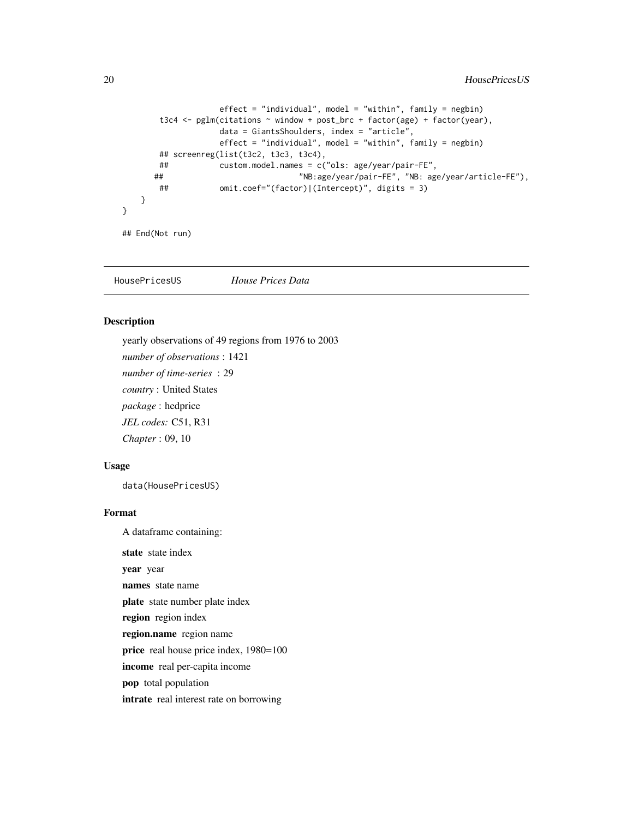```
effect = "individual", model = "within", family = negbin)
       t3c4 <- pglm(citations ~ window + post_brc + factor(age) + factor(year),
                  data = GiantsShoulders, index = "article",
                  effect = "individual", model = "within", family = negbin)
       ## screenreg(list(t3c2, t3c3, t3c4),
       ## custom.model.names = c("ols: age/year/pair-FE",
      ## "NB:age/year/pair-FE", "NB: age/year/article-FE"),
       ## omit.coef="(factor)|(Intercept)", digits = 3)
   }
}
## End(Not run)
```
<span id="page-19-1"></span>HousePricesUS *House Prices Data*

## **Description**

yearly observations of 49 regions from 1976 to 2003 *number of observations* : 1421 *number of time-series* : 29 *country* : United States *package* : hedprice *JEL codes:* C51, R31 *Chapter* : 09, 10

# Usage

data(HousePricesUS)

## Format

A dataframe containing:

state state index

year year

names state name

plate state number plate index

region region index

region.name region name

price real house price index,  $1980=100$ 

income real per-capita income

pop total population

intrate real interest rate on borrowing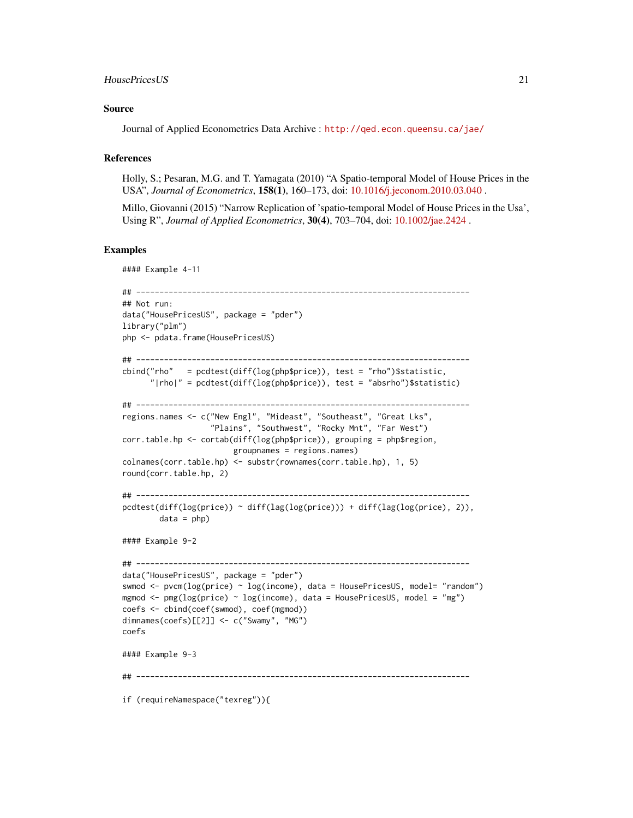# HousePricesUS 21

## Source

Journal of Applied Econometrics Data Archive : <http://qed.econ.queensu.ca/jae/>

# References

Holly, S.; Pesaran, M.G. and T. Yamagata (2010) "A Spatio-temporal Model of House Prices in the USA", *Journal of Econometrics*, 158(1), 160–173, doi: [10.1016/j.jeconom.2010.03.040](https://doi.org/10.1016/j.jeconom.2010.03.040) .

Millo, Giovanni (2015) "Narrow Replication of 'spatio-temporal Model of House Prices in the Usa', Using R", *Journal of Applied Econometrics*, 30(4), 703–704, doi: [10.1002/jae.2424](https://doi.org/10.1002/jae.2424) .

```
#### Example 4-11
## ------------------------------------------------------------------------
## Not run:
data("HousePricesUS", package = "pder")
library("plm")
php <- pdata.frame(HousePricesUS)
## ------------------------------------------------------------------------
cbind("rho" = pcdtest(diff(log(php$price)), test = "rho")$statistic,
      "|rho|" = pcdtest(diff(log(php$price)), test = "absrho")$statistic)
## ------------------------------------------------------------------------
regions.names <- c("New Engl", "Mideast", "Southeast", "Great Lks",
                   "Plains", "Southwest", "Rocky Mnt", "Far West")
corr.table.hp <- cortab(diff(log(php$price)), grouping = php$region,
                        groupnames = regions.names)
colnames(corr.table.hp) <- substr(rownames(corr.table.hp), 1, 5)
round(corr.table.hp, 2)
## ------------------------------------------------------------------------
pcdtest(diff(log(price)) ~ diff(lag(log(price))) + diff(lag(log(price), 2)),
        data = php)#### Example 9-2
## ------------------------------------------------------------------------
data("HousePricesUS", package = "pder")
swmod <- pvcm(log(price) ~ log(income), data = HousePricesUS, model= "random")
mgmod <- pmg(log(price) ~ log(income), data = HousePricesUS, model = "mg")
coefs <- cbind(coef(swmod), coef(mgmod))
dimnames(coefs)[[2]] <- c("Swamy", "MG")
coefs
#### Example 9-3
## ------------------------------------------------------------------------
if (requireNamespace("texreg")){
```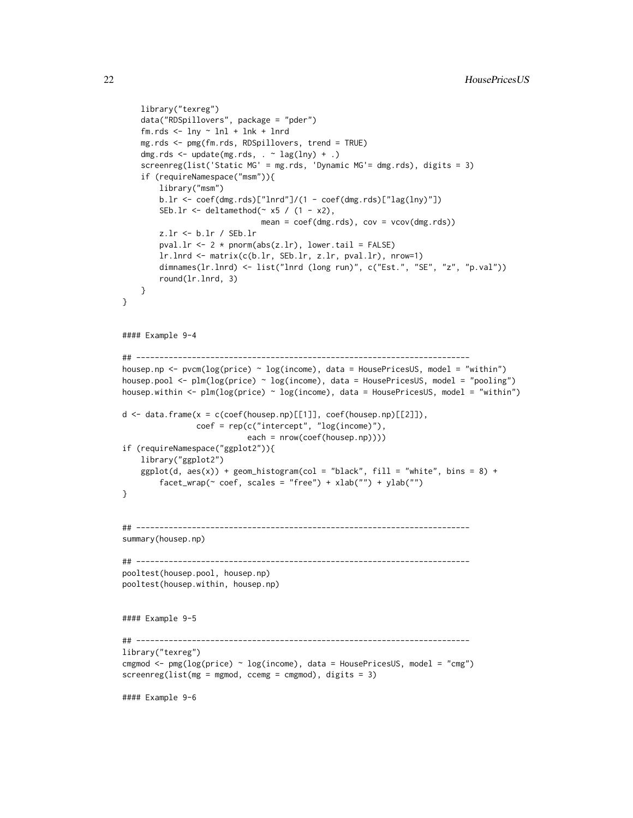```
library("texreg")
    data("RDSpillovers", package = "pder")
    fm.rds <- lny ~ lnl + lnk + lnrd
    mg.rds <- pmg(fm.rds, RDSpillovers, trend = TRUE)
    dmg.rds \leq update(mg.rds, \sim lag(lny) + .)
    screenreg(list('Static MG' = mg.rds, 'Dynamic MG'= dmg.rds), digits = 3)
    if (requireNamespace("msm")){
        library("msm")
        b.lr \leftarrow \text{coeff}(\text{dmg.rds})["lnrd"]/(1 - coef(dmg.rds)["lag(lny)"])
        SEb.lr \le deltamethod(\le x5 / (1 - x2),
                               mean = coef(dmg.rds), cov = vcov(dmg.rds))
        z.lr <- b.lr / SEb.lr
        pval.lr \leq 2 \star pnorm(abs(z.lr), lower.tail = FALSE)
        lr.lnrd <- matrix(c(b.lr, SEb.lr, z.lr, pval.lr), nrow=1)
        dimnames(lr.lnrd) <- list("lnrd (long run)", c("Est.", "SE", "z", "p.val"))
        round(lr.lnrd, 3)
    }
}
#### Example 9-4
## ------------------------------------------------------------------------
housep.np <- p \text{ cm}(\log(p \text{ rice}) \sim \log(in \text{come}), data = H \text{ousePricesUS}, model = "within")
housep.pool <- plm(log(price) ~ log(income), data = HousePricesUS, model = "pooling")
housep.within <- plm(log(price) ~ log(income), data = HousePricesUS, model = "within")
d \leq data.frame(x = c(coef(housep.np)[[1]], coef(housep.np)[[2]]),
                coef = rep(c("intercept", "log(income)"),
                            each = nrow(coef(housep.np))))
if (requireNamespace("ggplot2")){
    library("ggplot2")
    ggplot(d, aes(x)) + geom\_histogram(col = "black", fill = "white", bins = 8) +factor_{wrap}(\sim coef, scales = "free") + xlab("") + ylab("")}
## ------------------------------------------------------------------------
summary(housep.np)
## ------------------------------------------------------------------------
pooltest(housep.pool, housep.np)
pooltest(housep.within, housep.np)
#### Example 9-5
## ------------------------------------------------------------------------
library("texreg")
cmgmod <- pmg(log(price) ~ log(income), data = HousePricesUS, model = "cmg")
screenreg(list(mg = mgmod, ccemg = cmgmod), digits = 3)#### Example 9-6
```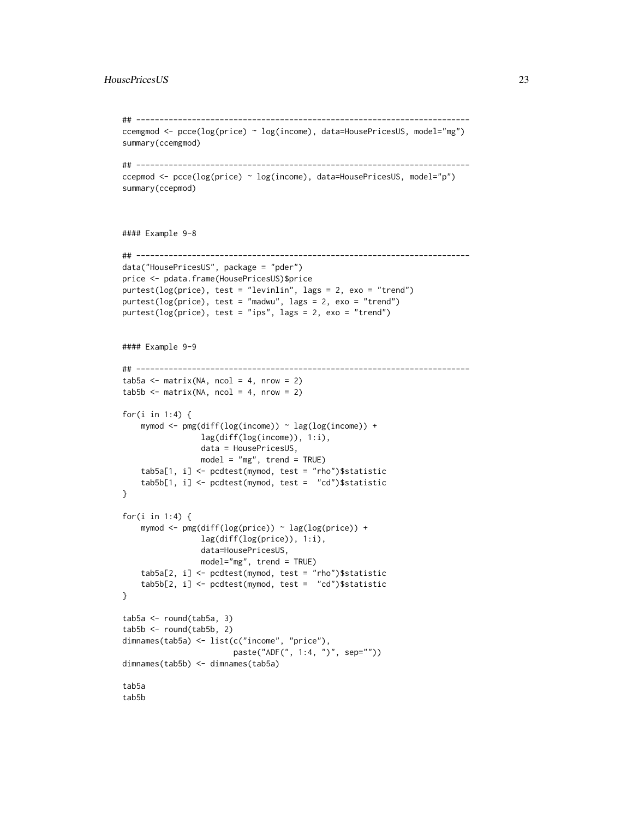## HousePricesUS 23

```
## ------------------------------------------------------------------------
ccemgmod <- pcce(log(price) ~ log(income), data=HousePricesUS, model="mg")
summary(ccemgmod)
## ------------------------------------------------------------------------
ccepmod <- pcce(log(price) ~ log(income), data=HousePricesUS, model="p")
summary(ccepmod)
#### Example 9-8
## ------------------------------------------------------------------------
data("HousePricesUS", package = "pder")
price <- pdata.frame(HousePricesUS)$price
purtest(log(price), test = "levinlin", lags = 2, exo = "trend")
purtest(log(price), test = "madwu", lags = 2, exo = "trend")
purtest(log(price), test = "ips", lags = 2, exo = "trend")
#### Example 9-9
## ------------------------------------------------------------------------
tab5a \leftarrow matrix(NA, ncol = 4, nrow = 2)tab5b \leftarrow matrix(NA, ncol = 4, nrow = 2)for(i in 1:4) {
    mymod <- pmg(diff(log(income)) ~ lag(log(income)) +
                 lag(diff(log(income)), 1:i),
                 data = HousePricesUS,
                 model = "mg", trend = TRUE)
    tab5a[1, i] <- pcdtest(mymod, test = "rho")$statistic
    tab5b[1, i] <- pcdtest(mymod, test = "cd")$statistic
}
for(i in 1:4) {
    mymod <- pmg(diff(log(price)) ~ lag(log(price)) +
                 lag(diff(log(price)), 1:i),
                 data=HousePricesUS,
                 model="mg", trend = TRUE)
    tab5a[2, i] <- pcdtest(mymod, test = "rho")$statistic
    tab5b[2, i] <- pcdtest(mymod, test = "cd")$statistic
}
tab5a < - round(tab5a, 3)
tab5b \leftarrow round(tabb5b, 2)dimnames(tab5a) <- list(c("income", "price"),
                        paste("ADF(", 1:4, ")", sep=""))
dimnames(tab5b) <- dimnames(tab5a)
tab5a
tab5b
```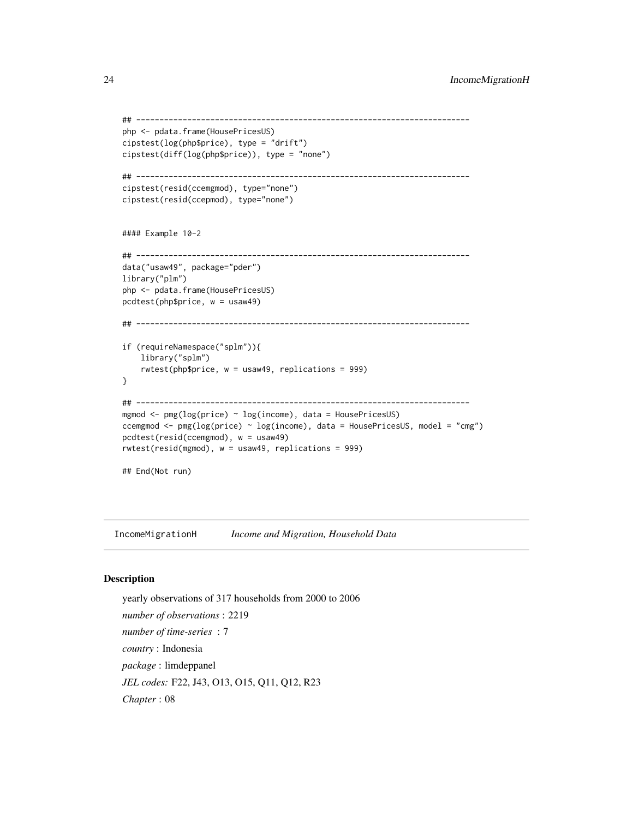```
## ------------------------------------------------------------------------
php <- pdata.frame(HousePricesUS)
cipstest(log(php$price), type = "drift")
cipstest(diff(log(php$price)), type = "none")
## ------------------------------------------------------------------------
cipstest(resid(ccemgmod), type="none")
cipstest(resid(ccepmod), type="none")
#### Example 10-2
## ------------------------------------------------------------------------
data("usaw49", package="pder")
library("plm")
php <- pdata.frame(HousePricesUS)
pcdtest(php$price, w = usaw49)
## ------------------------------------------------------------------------
if (requireNamespace("splm")){
   library("splm")
    rwtest(php$price, w = usaw49, replications = 999)
}
## ------------------------------------------------------------------------
mgmod <- pmg(log(price) ~ log(income), data = HousePricesUS)
ccemgmod <- pmg(log(price) ~ log(income), data = HousePricesUS, model = "cmg")
pcdtest(resid(ccemgmod), w = usaw49)
rwtest(resid(mgmod), w = usaw49, replications = 999)
## End(Not run)
```
<span id="page-23-1"></span>IncomeMigrationH *Income and Migration, Household Data*

# Description

yearly observations of 317 households from 2000 to 2006 *number of observations* : 2219 *number of time-series* : 7 *country* : Indonesia *package* : limdeppanel *JEL codes:* F22, J43, O13, O15, Q11, Q12, R23 *Chapter* : 08

<span id="page-23-0"></span>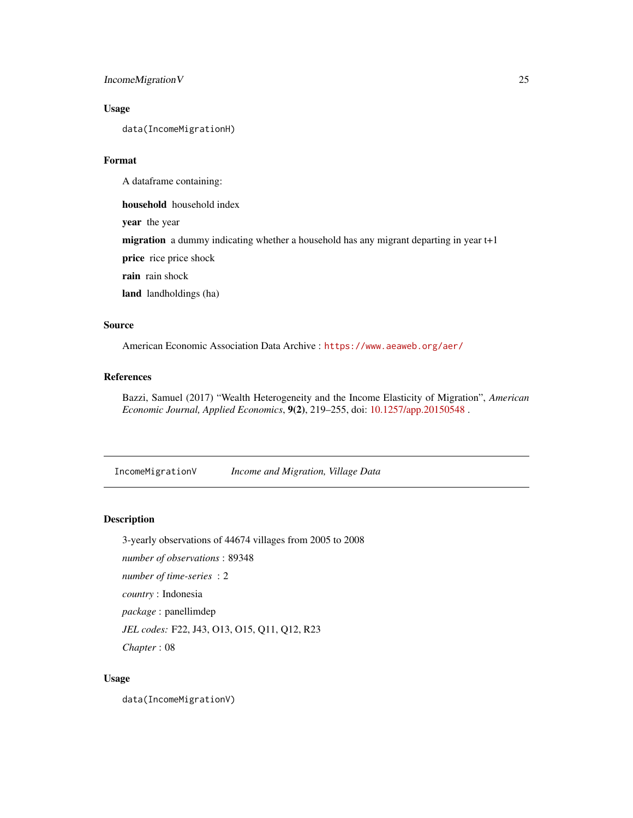# <span id="page-24-0"></span>IncomeMigration V 25

#### Usage

data(IncomeMigrationH)

# Format

A dataframe containing:

household household index

year the year

migration a dummy indicating whether a household has any migrant departing in year t+1

price rice price shock

rain rain shock

land landholdings (ha)

# Source

American Economic Association Data Archive : <https://www.aeaweb.org/aer/>

# References

Bazzi, Samuel (2017) "Wealth Heterogeneity and the Income Elasticity of Migration", *American Economic Journal, Applied Economics*, 9(2), 219–255, doi: [10.1257/app.20150548](https://doi.org/10.1257/app.20150548) .

<span id="page-24-1"></span>IncomeMigrationV *Income and Migration, Village Data*

## Description

3-yearly observations of 44674 villages from 2005 to 2008

*number of observations* : 89348

*number of time-series* : 2

*country* : Indonesia

*package* : panellimdep

*JEL codes:* F22, J43, O13, O15, Q11, Q12, R23

*Chapter* : 08

#### Usage

data(IncomeMigrationV)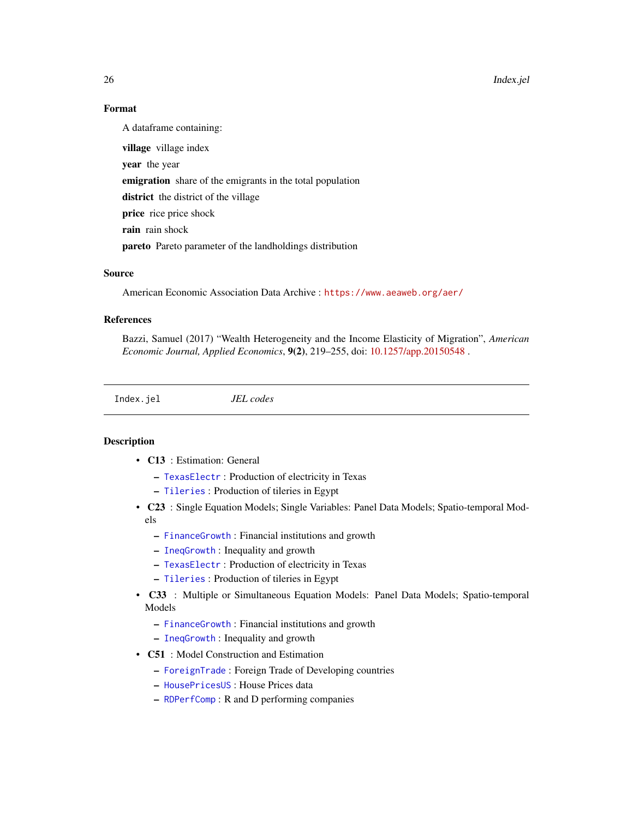# <span id="page-25-0"></span>Format

A dataframe containing:

village village index year the year emigration share of the emigrants in the total population district the district of the village price rice price shock rain rain shock pareto Pareto parameter of the landholdings distribution

# Source

American Economic Association Data Archive : <https://www.aeaweb.org/aer/>

# References

Bazzi, Samuel (2017) "Wealth Heterogeneity and the Income Elasticity of Migration", *American Economic Journal, Applied Economics*, 9(2), 219–255, doi: [10.1257/app.20150548](https://doi.org/10.1257/app.20150548) .

Index.jel *JEL codes*

## **Description**

- C13 : Estimation: General
	- [TexasElectr](#page-52-1) : Production of electricity in Texas
	- [Tileries](#page-54-1) : Production of tileries in Egypt
- C23 : Single Equation Models; Single Variables: Panel Data Models; Spatio-temporal Models
	- [FinanceGrowth](#page-13-1) : Financial institutions and growth
	- [IneqGrowth](#page-31-1) : Inequality and growth
	- [TexasElectr](#page-52-1) : Production of electricity in Texas
	- [Tileries](#page-54-1) : Production of tileries in Egypt
- C33 : Multiple or Simultaneous Equation Models: Panel Data Models; Spatio-temporal Models
	- [FinanceGrowth](#page-13-1) : Financial institutions and growth
	- [IneqGrowth](#page-31-1) : Inequality and growth
- C51 : Model Construction and Estimation
	- [ForeignTrade](#page-14-1) : Foreign Trade of Developing countries
	- [HousePricesUS](#page-19-1) : House Prices data
	- [RDPerfComp](#page-38-1) : R and D performing companies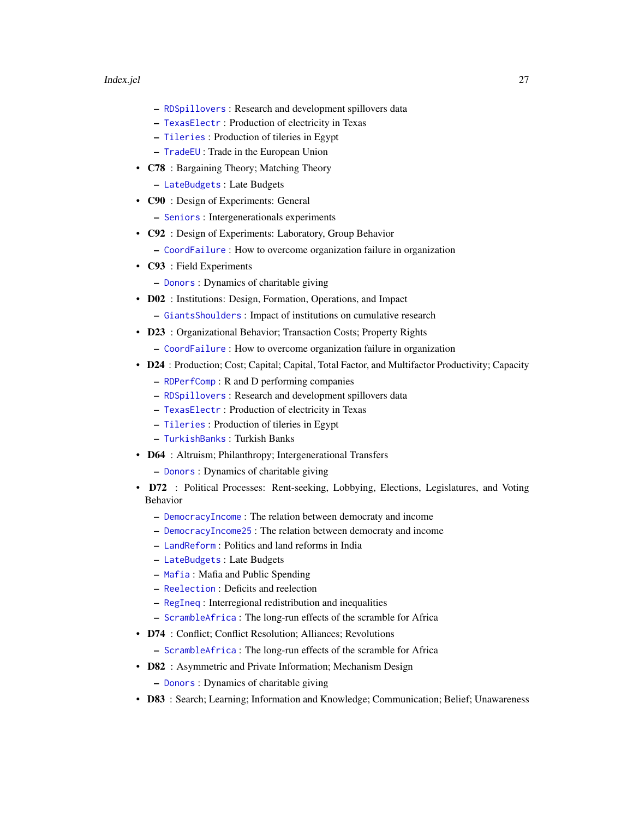- <span id="page-26-0"></span>– [RDSpillovers](#page-39-1) : Research and development spillovers data
- [TexasElectr](#page-52-1) : Production of electricity in Texas
- [Tileries](#page-54-1) : Production of tileries in Egypt
- [TradeEU](#page-60-1) : Trade in the European Union
- C78 : Bargaining Theory; Matching Theory
	- [LateBudgets](#page-33-1) : Late Budgets
- **C90** : Design of Experiments: General
	- [Seniors](#page-48-1) : Intergenerationals experiments
- C92 : Design of Experiments: Laboratory, Group Behavior
	- [CoordFailure](#page-2-1) : How to overcome organization failure in organization
- C93 : Field Experiments
	- [Donors](#page-9-1) : Dynamics of charitable giving
- D02 : Institutions: Design, Formation, Operations, and Impact
	- [GiantsShoulders](#page-17-1) : Impact of institutions on cumulative research
- D23 : Organizational Behavior; Transaction Costs; Property Rights
	- [CoordFailure](#page-2-1) : How to overcome organization failure in organization
- D24 : Production; Cost; Capital; Capital, Total Factor, and Multifactor Productivity; Capacity
	- [RDPerfComp](#page-38-1) : R and D performing companies
	- [RDSpillovers](#page-39-1) : Research and development spillovers data
	- [TexasElectr](#page-52-1) : Production of electricity in Texas
	- [Tileries](#page-54-1) : Production of tileries in Egypt
	- [TurkishBanks](#page-63-1) : Turkish Banks
- **D64** : Altruism; Philanthropy; Intergenerational Transfers
	- [Donors](#page-9-1) : Dynamics of charitable giving
- D72 : Political Processes: Rent-seeking, Lobbying, Elections, Legislatures, and Voting Behavior
	- [DemocracyIncome](#page-3-1) : The relation between democraty and income
	- [DemocracyIncome25](#page-6-1) : The relation between democraty and income
	- [LandReform](#page-32-1) : Politics and land reforms in India
	- [LateBudgets](#page-33-1) : Late Budgets
	- [Mafia](#page-35-1) : Mafia and Public Spending
	- [Reelection](#page-42-1) : Deficits and reelection
	- [RegIneq](#page-44-1) : Interregional redistribution and inequalities
	- [ScrambleAfrica](#page-45-1) : The long-run effects of the scramble for Africa
- D74 : Conflict: Conflict Resolution; Alliances; Revolutions
	- [ScrambleAfrica](#page-45-1) : The long-run effects of the scramble for Africa
- D82: Asymmetric and Private Information; Mechanism Design
	- [Donors](#page-9-1) : Dynamics of charitable giving
- D83 : Search; Learning; Information and Knowledge; Communication; Belief; Unawareness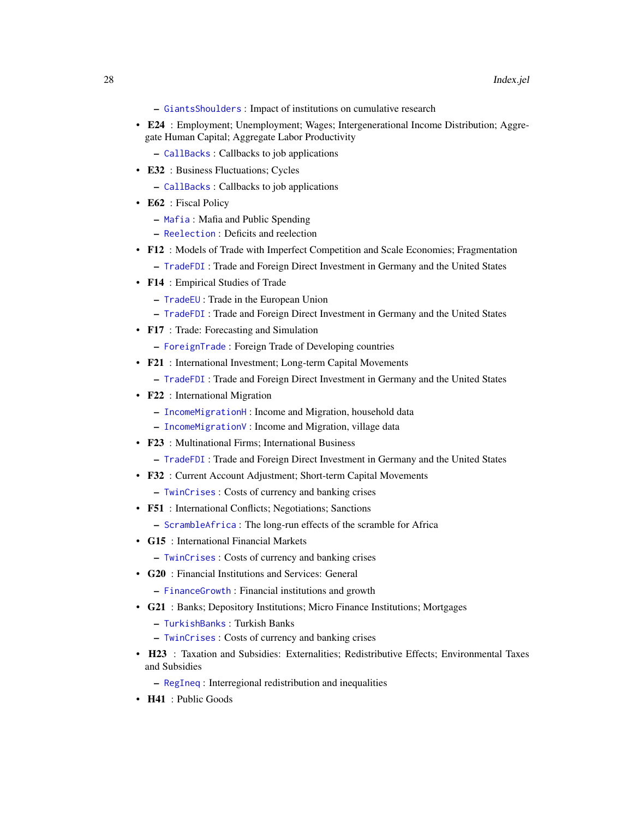- <span id="page-27-0"></span>– [GiantsShoulders](#page-17-1) : Impact of institutions on cumulative research
- E24 : Employment; Unemployment; Wages; Intergenerational Income Distribution; Aggregate Human Capital; Aggregate Labor Productivity
	- [CallBacks](#page-1-1) : Callbacks to job applications
- E32 : Business Fluctuations; Cycles
	- [CallBacks](#page-1-1) : Callbacks to job applications
- E62 : Fiscal Policy
	- [Mafia](#page-35-1) : Mafia and Public Spending
	- [Reelection](#page-42-1) : Deficits and reelection
- F12 : Models of Trade with Imperfect Competition and Scale Economies; Fragmentation
	- [TradeFDI](#page-62-1) : Trade and Foreign Direct Investment in Germany and the United States
- F14 : Empirical Studies of Trade
	- [TradeEU](#page-60-1) : Trade in the European Union
	- [TradeFDI](#page-62-1) : Trade and Foreign Direct Investment in Germany and the United States
- F17 : Trade: Forecasting and Simulation
	- [ForeignTrade](#page-14-1) : Foreign Trade of Developing countries
- F21 : International Investment; Long-term Capital Movements
	- [TradeFDI](#page-62-1) : Trade and Foreign Direct Investment in Germany and the United States
- **F22** : International Migration
	- [IncomeMigrationH](#page-23-1) : Income and Migration, household data
	- [IncomeMigrationV](#page-24-1) : Income and Migration, village data
- F23 : Multinational Firms; International Business
	- [TradeFDI](#page-62-1) : Trade and Foreign Direct Investment in Germany and the United States
- F32 : Current Account Adjustment; Short-term Capital Movements
	- [TwinCrises](#page-64-1) : Costs of currency and banking crises
- F51 : International Conflicts; Negotiations; Sanctions
	- [ScrambleAfrica](#page-45-1) : The long-run effects of the scramble for Africa
- G15 : International Financial Markets
	- [TwinCrises](#page-64-1) : Costs of currency and banking crises
- G20 : Financial Institutions and Services: General
	- [FinanceGrowth](#page-13-1) : Financial institutions and growth
- G21 : Banks; Depository Institutions; Micro Finance Institutions; Mortgages
	- [TurkishBanks](#page-63-1) : Turkish Banks
	- [TwinCrises](#page-64-1) : Costs of currency and banking crises
- H23 : Taxation and Subsidies: Externalities; Redistributive Effects; Environmental Taxes and Subsidies
	- [RegIneq](#page-44-1) : Interregional redistribution and inequalities
- H41 : Public Goods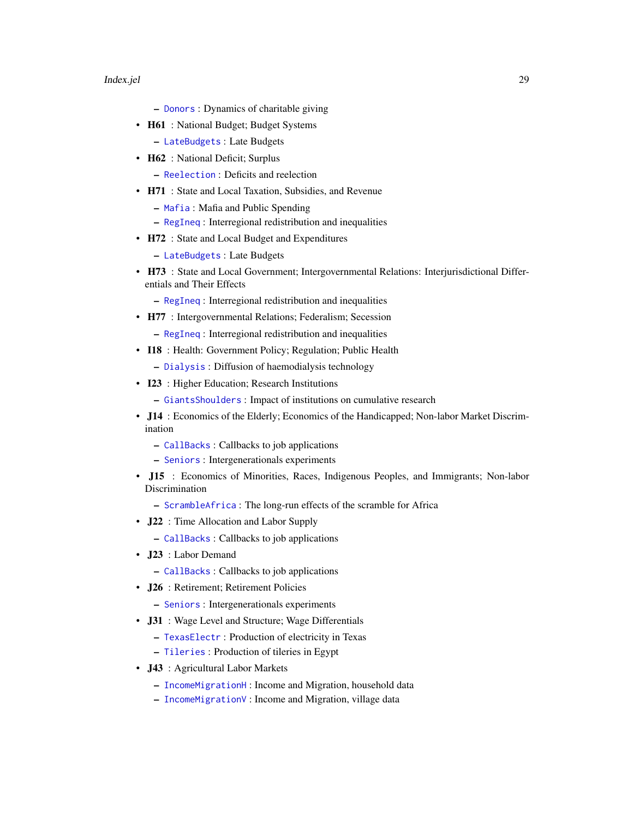- <span id="page-28-0"></span>– [Donors](#page-9-1) : Dynamics of charitable giving
- H61 : National Budget; Budget Systems
	- [LateBudgets](#page-33-1) : Late Budgets
- H62 : National Deficit; Surplus
	- [Reelection](#page-42-1) : Deficits and reelection
- H71 : State and Local Taxation, Subsidies, and Revenue
	- [Mafia](#page-35-1) : Mafia and Public Spending
	- [RegIneq](#page-44-1) : Interregional redistribution and inequalities
- H72 : State and Local Budget and Expenditures
	- [LateBudgets](#page-33-1) : Late Budgets
- H73 : State and Local Government; Intergovernmental Relations: Interjurisdictional Differentials and Their Effects
	- [RegIneq](#page-44-1) : Interregional redistribution and inequalities
- H77 : Intergovernmental Relations; Federalism; Secession
	- [RegIneq](#page-44-1) : Interregional redistribution and inequalities
- I18 : Health: Government Policy; Regulation; Public Health
	- [Dialysis](#page-8-1) : Diffusion of haemodialysis technology
- **I23** : Higher Education; Research Institutions
	- [GiantsShoulders](#page-17-1) : Impact of institutions on cumulative research
- **J14** : Economics of the Elderly; Economics of the Handicapped; Non-labor Market Discrimination
	- [CallBacks](#page-1-1) : Callbacks to job applications
	- [Seniors](#page-48-1) : Intergenerationals experiments
- J15 : Economics of Minorities, Races, Indigenous Peoples, and Immigrants; Non-labor Discrimination
	- [ScrambleAfrica](#page-45-1) : The long-run effects of the scramble for Africa
- J22 : Time Allocation and Labor Supply
	- [CallBacks](#page-1-1) : Callbacks to job applications
- J23 : Labor Demand
	- [CallBacks](#page-1-1) : Callbacks to job applications
- J26 : Retirement; Retirement Policies
	- [Seniors](#page-48-1) : Intergenerationals experiments
- **J31** : Wage Level and Structure; Wage Differentials
	- [TexasElectr](#page-52-1) : Production of electricity in Texas
	- [Tileries](#page-54-1) : Production of tileries in Egypt
- J43 : Agricultural Labor Markets
	- [IncomeMigrationH](#page-23-1) : Income and Migration, household data
	- [IncomeMigrationV](#page-24-1) : Income and Migration, village data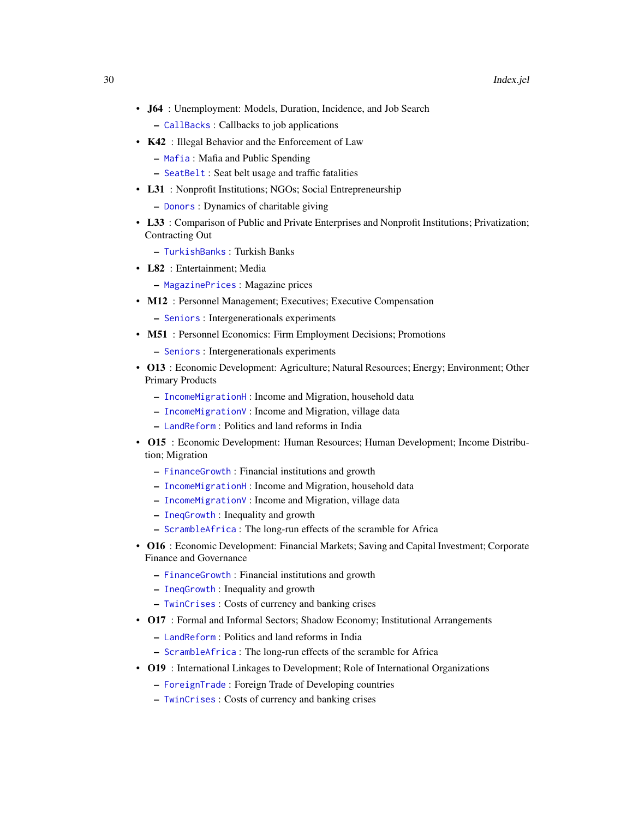- <span id="page-29-0"></span>• J64 : Unemployment: Models, Duration, Incidence, and Job Search
	- [CallBacks](#page-1-1) : Callbacks to job applications
- K42 : Illegal Behavior and the Enforcement of Law
	- [Mafia](#page-35-1) : Mafia and Public Spending
	- [SeatBelt](#page-46-1) : Seat belt usage and traffic fatalities
- L31 : Nonprofit Institutions; NGOs; Social Entrepreneurship

– [Donors](#page-9-1) : Dynamics of charitable giving

- L33 : Comparison of Public and Private Enterprises and Nonprofit Institutions; Privatization; Contracting Out
	- [TurkishBanks](#page-63-1) : Turkish Banks
- L82 : Entertainment; Media
	- [MagazinePrices](#page-36-1) : Magazine prices
- M12 : Personnel Management; Executives; Executive Compensation

– [Seniors](#page-48-1) : Intergenerationals experiments

• M51 : Personnel Economics: Firm Employment Decisions; Promotions

– [Seniors](#page-48-1) : Intergenerationals experiments

- O13 : Economic Development: Agriculture; Natural Resources; Energy; Environment; Other Primary Products
	- [IncomeMigrationH](#page-23-1) : Income and Migration, household data
	- [IncomeMigrationV](#page-24-1) : Income and Migration, village data
	- [LandReform](#page-32-1) : Politics and land reforms in India
- O15 : Economic Development: Human Resources; Human Development; Income Distribution; Migration
	- [FinanceGrowth](#page-13-1) : Financial institutions and growth
	- [IncomeMigrationH](#page-23-1) : Income and Migration, household data
	- [IncomeMigrationV](#page-24-1) : Income and Migration, village data
	- [IneqGrowth](#page-31-1) : Inequality and growth
	- [ScrambleAfrica](#page-45-1) : The long-run effects of the scramble for Africa
- O16 : Economic Development: Financial Markets; Saving and Capital Investment; Corporate Finance and Governance
	- [FinanceGrowth](#page-13-1) : Financial institutions and growth
	- [IneqGrowth](#page-31-1) : Inequality and growth
	- [TwinCrises](#page-64-1) : Costs of currency and banking crises
- **O17** : Formal and Informal Sectors; Shadow Economy; Institutional Arrangements
	- [LandReform](#page-32-1) : Politics and land reforms in India
	- [ScrambleAfrica](#page-45-1) : The long-run effects of the scramble for Africa
- **O19** : International Linkages to Development; Role of International Organizations
	- [ForeignTrade](#page-14-1) : Foreign Trade of Developing countries
	- [TwinCrises](#page-64-1) : Costs of currency and banking crises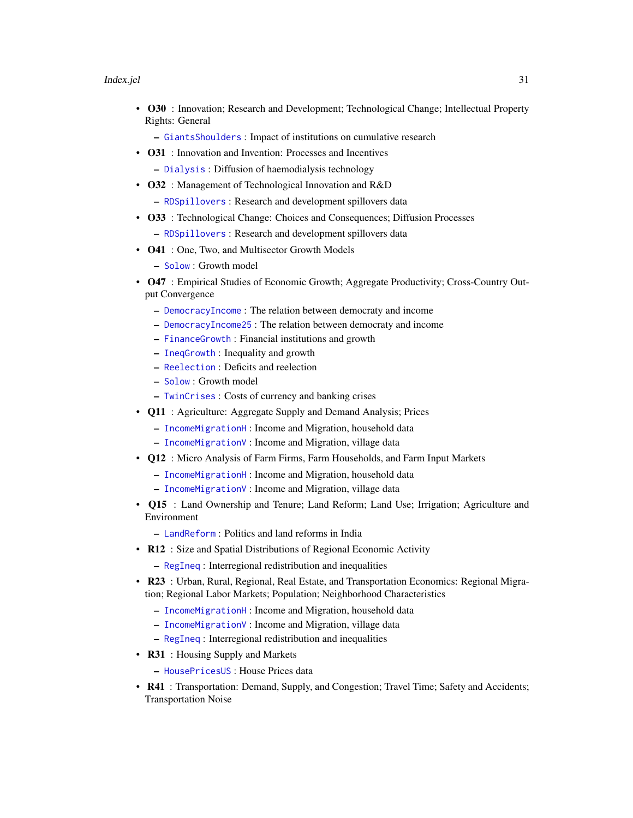<span id="page-30-0"></span>• O30 : Innovation; Research and Development; Technological Change; Intellectual Property Rights: General

– [GiantsShoulders](#page-17-1) : Impact of institutions on cumulative research

- O31 : Innovation and Invention: Processes and Incentives – [Dialysis](#page-8-1) : Diffusion of haemodialysis technology
- O32 : Management of Technological Innovation and R&D
	- [RDSpillovers](#page-39-1) : Research and development spillovers data
- **O33** : Technological Change: Choices and Consequences; Diffusion Processes – [RDSpillovers](#page-39-1) : Research and development spillovers data
- **O41** : One, Two, and Multisector Growth Models

– [Solow](#page-51-1) : Growth model

- O47 : Empirical Studies of Economic Growth; Aggregate Productivity; Cross-Country Output Convergence
	- [DemocracyIncome](#page-3-1) : The relation between democraty and income
	- [DemocracyIncome25](#page-6-1) : The relation between democraty and income
	- [FinanceGrowth](#page-13-1) : Financial institutions and growth
	- [IneqGrowth](#page-31-1) : Inequality and growth
	- [Reelection](#page-42-1) : Deficits and reelection
	- [Solow](#page-51-1) : Growth model
	- [TwinCrises](#page-64-1) : Costs of currency and banking crises
- **Q11** : Agriculture: Aggregate Supply and Demand Analysis; Prices
	- [IncomeMigrationH](#page-23-1) : Income and Migration, household data
	- [IncomeMigrationV](#page-24-1) : Income and Migration, village data
- Q12 : Micro Analysis of Farm Firms, Farm Households, and Farm Input Markets
	- [IncomeMigrationH](#page-23-1) : Income and Migration, household data
	- [IncomeMigrationV](#page-24-1) : Income and Migration, village data
- Q15 : Land Ownership and Tenure; Land Reform; Land Use; Irrigation; Agriculture and Environment
	- [LandReform](#page-32-1) : Politics and land reforms in India
- R12 : Size and Spatial Distributions of Regional Economic Activity
	- [RegIneq](#page-44-1) : Interregional redistribution and inequalities
- R23 : Urban, Rural, Regional, Real Estate, and Transportation Economics: Regional Migration; Regional Labor Markets; Population; Neighborhood Characteristics
	- [IncomeMigrationH](#page-23-1) : Income and Migration, household data
	- [IncomeMigrationV](#page-24-1) : Income and Migration, village data
	- [RegIneq](#page-44-1) : Interregional redistribution and inequalities
- R31 : Housing Supply and Markets
	- [HousePricesUS](#page-19-1) : House Prices data
- R41 : Transportation: Demand, Supply, and Congestion; Travel Time; Safety and Accidents; Transportation Noise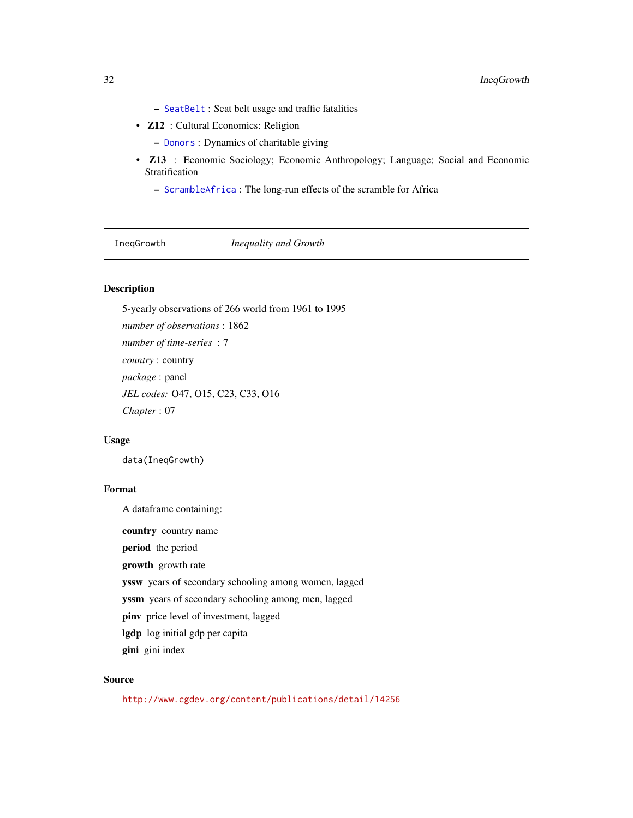- [SeatBelt](#page-46-1) : Seat belt usage and traffic fatalities
- <span id="page-31-0"></span>• Z12 : Cultural Economics: Religion
	- [Donors](#page-9-1) : Dynamics of charitable giving
- Z13 : Economic Sociology; Economic Anthropology; Language; Social and Economic **Stratification** 
	- [ScrambleAfrica](#page-45-1) : The long-run effects of the scramble for Africa

<span id="page-31-1"></span>IneqGrowth *Inequality and Growth*

# Description

5-yearly observations of 266 world from 1961 to 1995 *number of observations* : 1862 *number of time-series* : 7 *country* : country *package* : panel *JEL codes:* O47, O15, C23, C33, O16 *Chapter* : 07

#### Usage

data(IneqGrowth)

# Format

A dataframe containing: country country name

period the period

growth growth rate

yssw years of secondary schooling among women, lagged

yssm years of secondary schooling among men, lagged

pinv price level of investment, lagged

lgdp log initial gdp per capita

gini gini index

## Source

<http://www.cgdev.org/content/publications/detail/14256>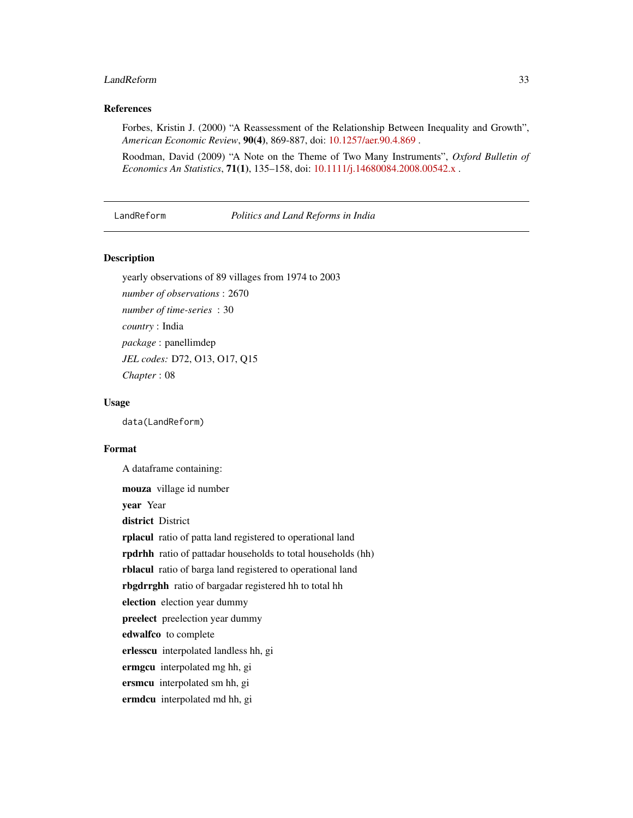#### <span id="page-32-0"></span>LandReform 33

# References

Forbes, Kristin J. (2000) "A Reassessment of the Relationship Between Inequality and Growth", *American Economic Review*, 90(4), 869-887, doi: [10.1257/aer.90.4.869](https://doi.org/10.1257/aer.90.4.869) .

Roodman, David (2009) "A Note on the Theme of Two Many Instruments", *Oxford Bulletin of Economics An Statistics*, 71(1), 135–158, doi: [10.1111/j.14680084.2008.00542.x](https://doi.org/10.1111/j.1468-0084.2008.00542.x) .

<span id="page-32-1"></span>LandReform *Politics and Land Reforms in India*

## Description

yearly observations of 89 villages from 1974 to 2003 *number of observations* : 2670 *number of time-series* : 30 *country* : India

*JEL codes:* D72, O13, O17, Q15

*package* : panellimdep

*Chapter* : 08

## Usage

data(LandReform)

#### Format

A dataframe containing: mouza village id number year Year district District rplacul ratio of patta land registered to operational land rpdrhh ratio of pattadar households to total households (hh) rblacul ratio of barga land registered to operational land rbgdrrghh ratio of bargadar registered hh to total hh election election year dummy preelect preelection year dummy edwalfco to complete erlesscu interpolated landless hh, gi ermgcu interpolated mg hh, gi ersmcu interpolated sm hh, gi ermdcu interpolated md hh, gi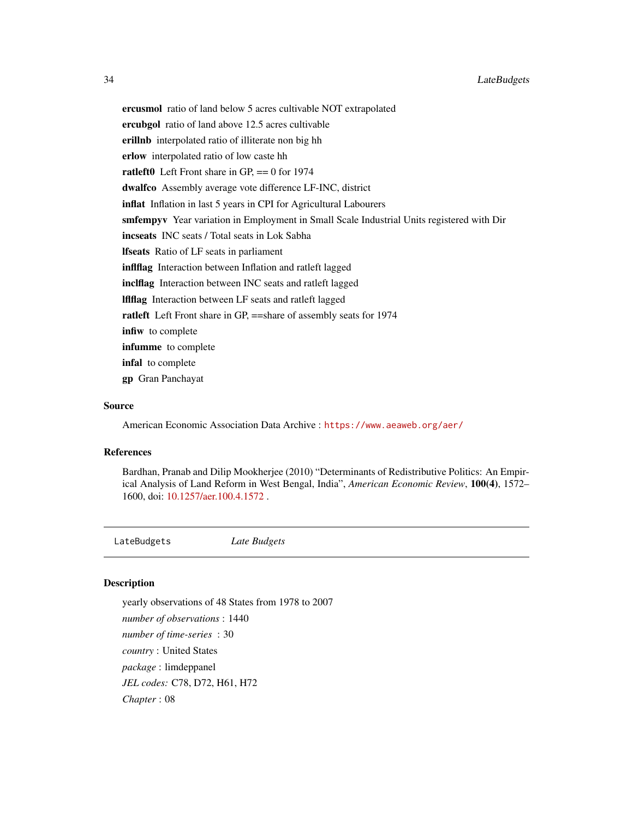<span id="page-33-0"></span>ercusmol ratio of land below 5 acres cultivable NOT extrapolated ercubgol ratio of land above 12.5 acres cultivable erillnb interpolated ratio of illiterate non big hh erlow interpolated ratio of low caste hh ratleft0 Left Front share in GP, == 0 for 1974 dwalfco Assembly average vote difference LF-INC, district inflat Inflation in last 5 years in CPI for Agricultural Labourers smfempyv Year variation in Employment in Small Scale Industrial Units registered with Dir incseats INC seats / Total seats in Lok Sabha lfseats Ratio of LF seats in parliament inflflag Interaction between Inflation and ratleft lagged inclflag Interaction between INC seats and ratleft lagged lflflag Interaction between LF seats and ratleft lagged ratleft Left Front share in GP, = share of assembly seats for 1974 infiw to complete infumme to complete infal to complete gp Gran Panchayat

#### Source

American Economic Association Data Archive : <https://www.aeaweb.org/aer/>

#### References

Bardhan, Pranab and Dilip Mookherjee (2010) "Determinants of Redistributive Politics: An Empirical Analysis of Land Reform in West Bengal, India", *American Economic Review*, 100(4), 1572– 1600, doi: [10.1257/aer.100.4.1572](https://doi.org/10.1257/aer.100.4.1572) .

<span id="page-33-1"></span>LateBudgets *Late Budgets*

## **Description**

yearly observations of 48 States from 1978 to 2007 *number of observations* : 1440 *number of time-series* : 30 *country* : United States *package* : limdeppanel *JEL codes:* C78, D72, H61, H72 *Chapter* : 08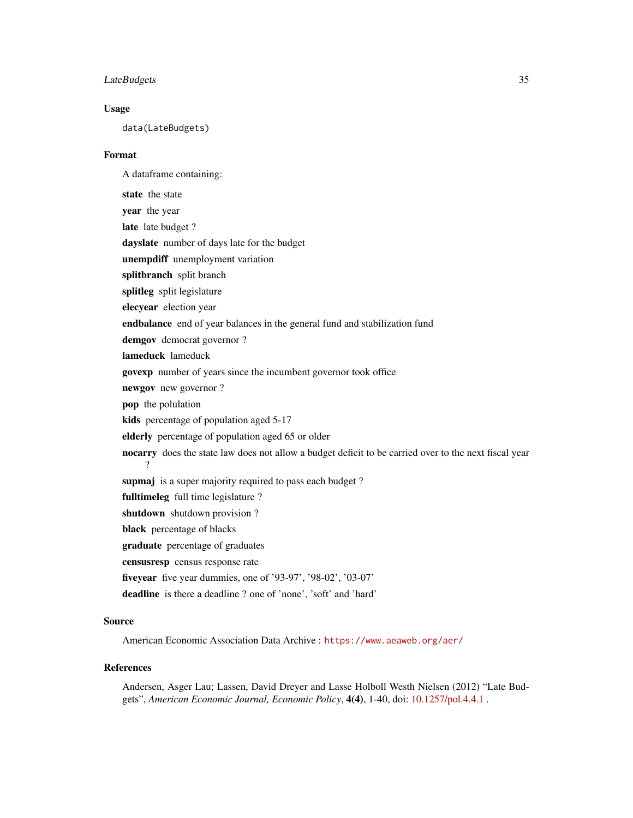# **LateBudgets** 35

#### Usage

data(LateBudgets)

## Format

A dataframe containing: state the state year the year late late budget ? dayslate number of days late for the budget unempdiff unemployment variation splitbranch split branch splitleg split legislature elecyear election year endbalance end of year balances in the general fund and stabilization fund demgov democrat governor? lameduck lameduck govexp number of years since the incumbent governor took office newgov new governor ? pop the polulation kids percentage of population aged 5-17 elderly percentage of population aged 65 or older nocarry does the state law does not allow a budget deficit to be carried over to the next fiscal year ? supmaj is a super majority required to pass each budget ? fulltimeleg full time legislature ? shutdown shutdown provision ? black percentage of blacks graduate percentage of graduates censusresp census response rate fiveyear five year dummies, one of '93-97', '98-02', '03-07' deadline is there a deadline ? one of 'none', 'soft' and 'hard'

## Source

American Economic Association Data Archive : <https://www.aeaweb.org/aer/>

#### References

Andersen, Asger Lau; Lassen, David Dreyer and Lasse Holboll Westh Nielsen (2012) "Late Budgets", *American Economic Journal, Economic Policy*, 4(4), 1-40, doi: [10.1257/pol.4.4.1](https://doi.org/10.1257/pol.4.4.1) .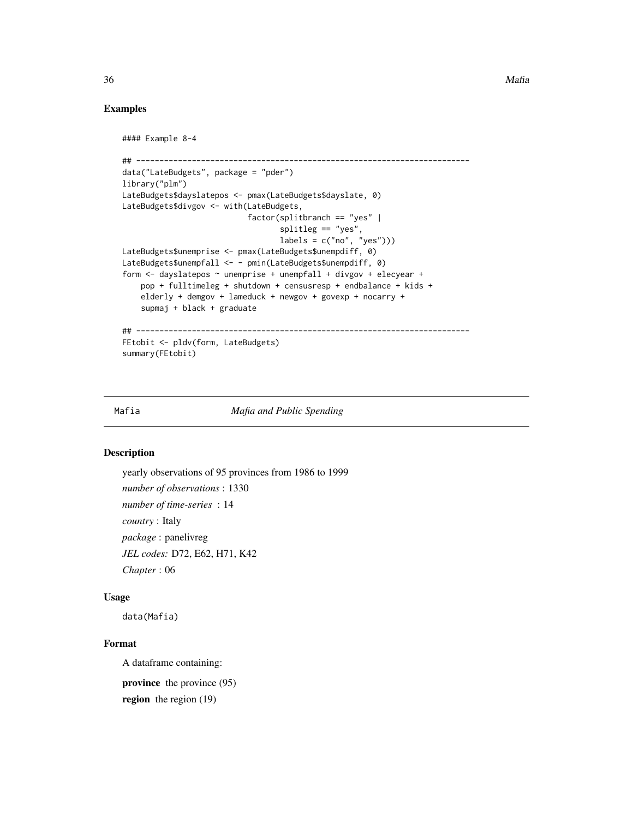# Examples

```
#### Example 8-4
## ------------------------------------------------------------------------
data("LateBudgets", package = "pder")
library("plm")
LateBudgets$dayslatepos <- pmax(LateBudgets$dayslate, 0)
LateBudgets$divgov <- with(LateBudgets,
                           factor(splitbranch == "yes" |
                                  splitleg == "yes",
                                  labels = c("no", "yes"))LateBudgets$unemprise <- pmax(LateBudgets$unempdiff, 0)
LateBudgets$unempfall <- - pmin(LateBudgets$unempdiff, 0)
form <- dayslatepos ~ unemprise + unempfall + divgov + elecyear +
    pop + fulltimeleg + shutdown + censusresp + endbalance + kids +
    elderly + demgov + lameduck + newgov + govexp + nocarry +
    supmaj + black + graduate
## ------------------------------------------------------------------------
FEtobit <- pldv(form, LateBudgets)
summary(FEtobit)
```
<span id="page-35-1"></span>

#### Mafia *Mafia and Public Spending*

#### Description

yearly observations of 95 provinces from 1986 to 1999 *number of observations* : 1330 *number of time-series* : 14 *country* : Italy *package* : panelivreg *JEL codes:* D72, E62, H71, K42 *Chapter* : 06

# Usage

data(Mafia)

## Format

A dataframe containing:

province the province (95)

region the region (19)

<span id="page-35-0"></span>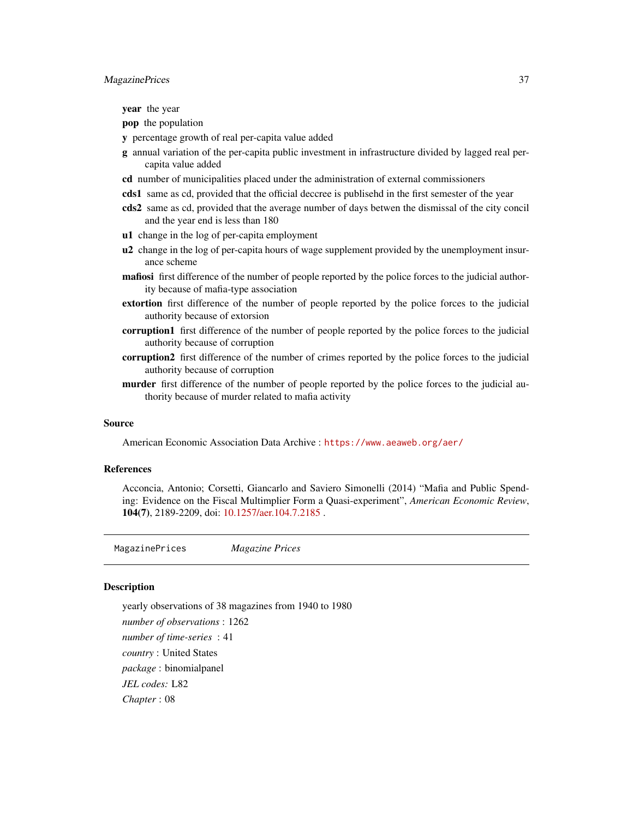#### <span id="page-36-0"></span>MagazinePrices 37

year the year

**pop** the population

- y percentage growth of real per-capita value added
- g annual variation of the per-capita public investment in infrastructure divided by lagged real percapita value added
- cd number of municipalities placed under the administration of external commissioners
- cds1 same as cd, provided that the official deccree is publisehd in the first semester of the year
- cds2 same as cd, provided that the average number of days betwen the dismissal of the city concil and the year end is less than 180
- u1 change in the log of per-capita employment
- u2 change in the log of per-capita hours of wage supplement provided by the unemployment insurance scheme
- mafiosi first difference of the number of people reported by the police forces to the judicial authority because of mafia-type association
- extortion first difference of the number of people reported by the police forces to the judicial authority because of extorsion
- corruption1 first difference of the number of people reported by the police forces to the judicial authority because of corruption
- corruption2 first difference of the number of crimes reported by the police forces to the judicial authority because of corruption
- murder first difference of the number of people reported by the police forces to the judicial authority because of murder related to mafia activity

#### Source

American Economic Association Data Archive : <https://www.aeaweb.org/aer/>

## References

Acconcia, Antonio; Corsetti, Giancarlo and Saviero Simonelli (2014) "Mafia and Public Spending: Evidence on the Fiscal Multimplier Form a Quasi-experiment", *American Economic Review*, 104(7), 2189-2209, doi: [10.1257/aer.104.7.2185](https://doi.org/10.1257/aer.104.7.2185) .

<span id="page-36-1"></span>MagazinePrices *Magazine Prices*

## **Description**

yearly observations of 38 magazines from 1940 to 1980 *number of observations* : 1262 *number of time-series* : 41 *country* : United States *package* : binomialpanel *JEL codes:* L82 *Chapter* : 08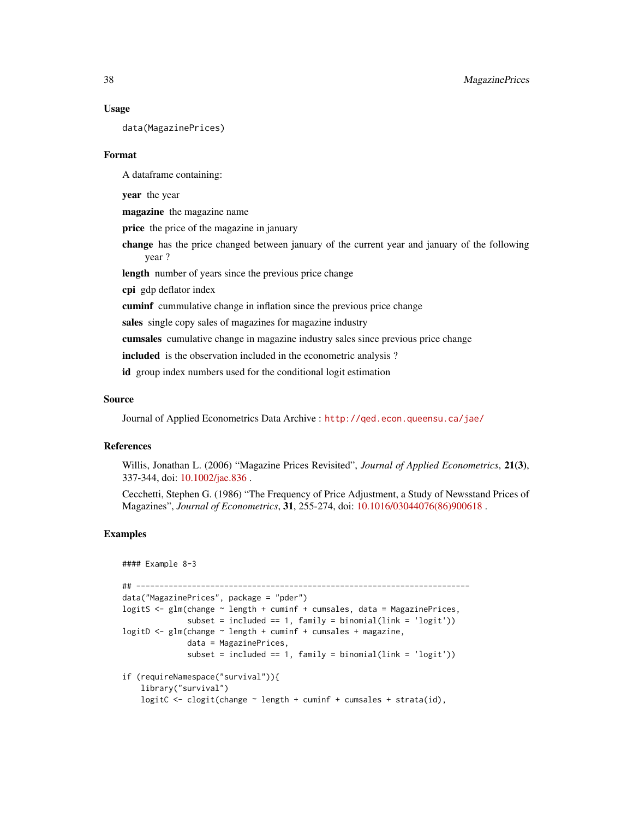#### Usage

data(MagazinePrices)

#### Format

A dataframe containing:

year the year

magazine the magazine name

**price** the price of the magazine in january

change has the price changed between january of the current year and january of the following year ?

length number of years since the previous price change

cpi gdp deflator index

cuminf cummulative change in inflation since the previous price change

sales single copy sales of magazines for magazine industry

cumsales cumulative change in magazine industry sales since previous price change

included is the observation included in the econometric analysis ?

id group index numbers used for the conditional logit estimation

## Source

Journal of Applied Econometrics Data Archive : <http://qed.econ.queensu.ca/jae/>

# References

Willis, Jonathan L. (2006) "Magazine Prices Revisited", *Journal of Applied Econometrics*, 21(3), 337-344, doi: [10.1002/jae.836](https://doi.org/10.1002/jae.836) .

Cecchetti, Stephen G. (1986) "The Frequency of Price Adjustment, a Study of Newsstand Prices of Magazines", *Journal of Econometrics*, 31, 255-274, doi: [10.1016/03044076\(86\)900618](https://doi.org/10.1016/0304-4076(86)90061-8) .

```
#### Example 8-3
## ------------------------------------------------------------------------
data("MagazinePrices", package = "pder")
logitS <- glm(change ~ length + cuminf + cumsales, data = MagazinePrices,
              subset = included == 1, family = binomial(link = 'logit'))logitD \leq glm(change \sim length + cuminf + cumsales + magazine,
              data = MagazinePrices,
              subset = included == 1, family = binomial(link = 'logit'))
if (requireNamespace("survival")){
    library("survival")
   logitC <- clogit(change \sim length + cuminf + cumsales + strata(id),
```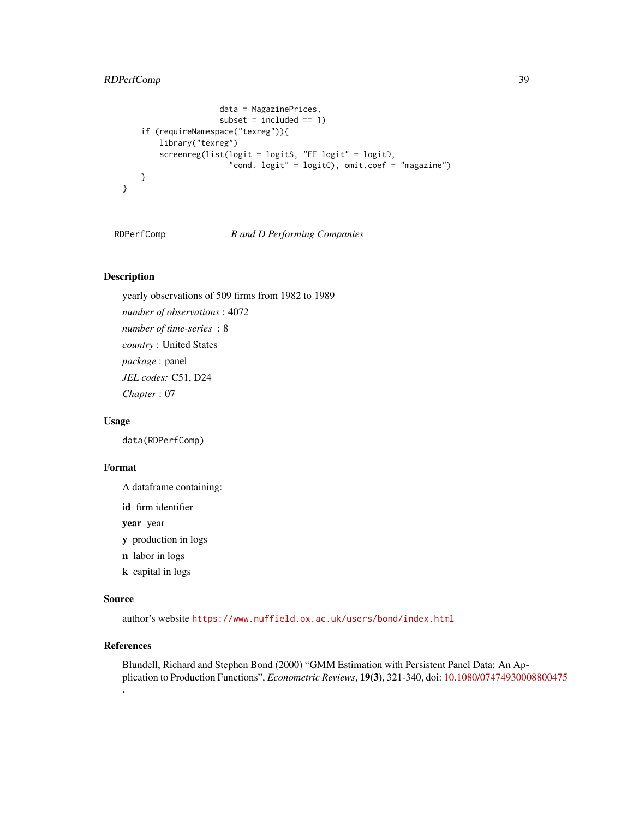# <span id="page-38-0"></span>RDPerfComp 39

```
data = MagazinePrices,
                     subset = included == 1)if (requireNamespace("texreg")){
       library("texreg")
       screenreg(list(logit = logitS, "FE logit" = logitD,
                       "cond. logit" = logitC), omit.coef = "magazine")
   }
}
```
#### <span id="page-38-1"></span>RDPerfComp *R and D Performing Companies*

## Description

yearly observations of 509 firms from 1982 to 1989

*number of observations* : 4072 *number of time-series* : 8 *country* : United States *package* : panel *JEL codes:* C51, D24 *Chapter* : 07

# Usage

data(RDPerfComp)

# Format

A dataframe containing:

id firm identifier

year year

- y production in logs
- n labor in logs
- k capital in logs

#### Source

author's website <https://www.nuffield.ox.ac.uk/users/bond/index.html>

## References

.

Blundell, Richard and Stephen Bond (2000) "GMM Estimation with Persistent Panel Data: An Application to Production Functions", *Econometric Reviews*, 19(3), 321-340, doi: [10.1080/07474930008800475](https://doi.org/10.1080/07474930008800475)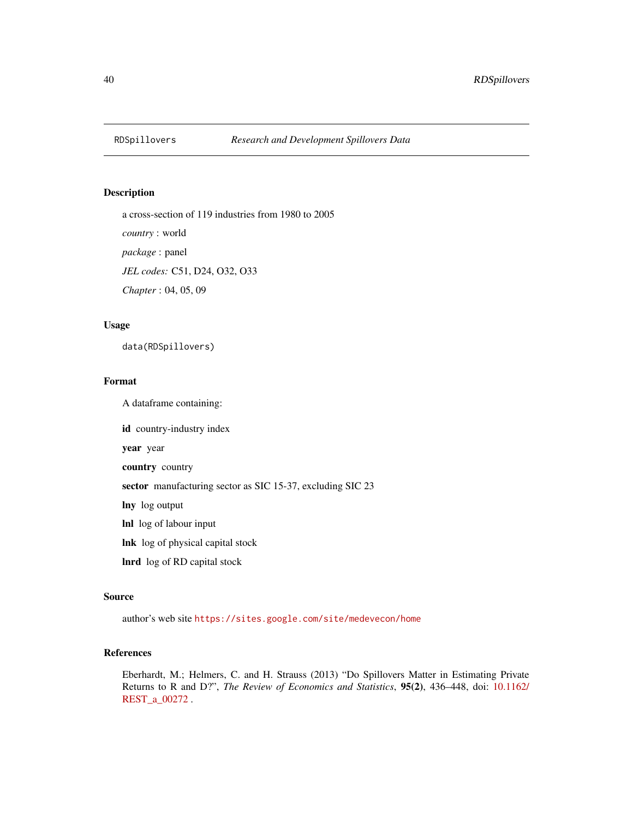<span id="page-39-1"></span><span id="page-39-0"></span>

# Description

a cross-section of 119 industries from 1980 to 2005 *country* : world *package* : panel *JEL codes:* C51, D24, O32, O33 *Chapter* : 04, 05, 09

# Usage

data(RDSpillovers)

# Format

A dataframe containing:

id country-industry index

year year

country country

sector manufacturing sector as SIC 15-37, excluding SIC 23

lny log output

lnl log of labour input

lnk log of physical capital stock

lnrd log of RD capital stock

#### Source

author's web site <https://sites.google.com/site/medevecon/home>

## References

Eberhardt, M.; Helmers, C. and H. Strauss (2013) "Do Spillovers Matter in Estimating Private Returns to R and D?", *The Review of Economics and Statistics*, 95(2), 436–448, doi: [10.1162/](https://doi.org/10.1162/REST_a_00272) [REST\\_a\\_00272](https://doi.org/10.1162/REST_a_00272) .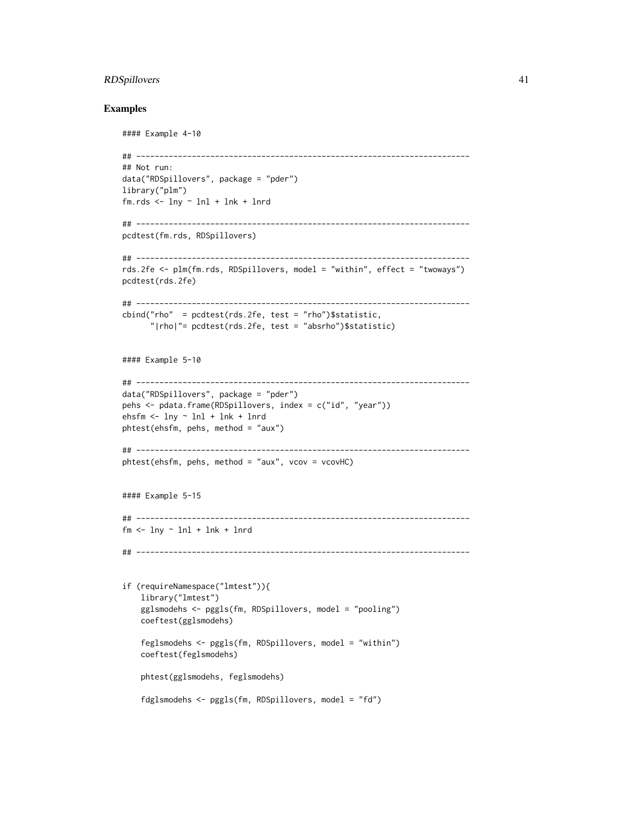# RDSpillovers 41

```
#### Example 4-10
## ------------------------------------------------------------------------
## Not run:
data("RDSpillovers", package = "pder")
library("plm")
fm.rds <- lny ~ lnl + lnk + lnrd
## ------------------------------------------------------------------------
pcdtest(fm.rds, RDSpillovers)
## ------------------------------------------------------------------------
rds.2fe <- plm(fm.rds, RDSpillovers, model = "within", effect = "twoways")
pcdtest(rds.2fe)
## ------------------------------------------------------------------------
cbind("rho" = pcdtest(rds.2fe, test = "rho")$statistic,
      "|rho|"= pcdtest(rds.2fe, test = "absrho")$statistic)
#### Example 5-10
## ------------------------------------------------------------------------
data("RDSpillovers", package = "pder")
pehs <- pdata.frame(RDSpillovers, index = c("id", "year"))
ehsfm \le lny \sim lnl + lnk + lnrd
phtest(ehsfm, pehs, method = "aux")
## ------------------------------------------------------------------------
phtest(ehsfm, pehs, method = "aux", vcov = vcovHC)
#### Example 5-15
## ------------------------------------------------------------------------
fm \leq \ln y \approx \ln 1 + \ln k + \ln nd## ------------------------------------------------------------------------
if (requireNamespace("lmtest")){
    library("lmtest")
    gglsmodehs <- pggls(fm, RDSpillovers, model = "pooling")
    coeftest(gglsmodehs)
    feglsmodehs <- pggls(fm, RDSpillovers, model = "within")
    coeftest(feglsmodehs)
    phtest(gglsmodehs, feglsmodehs)
    fdglsmodehs <- pggls(fm, RDSpillovers, model = "fd")
```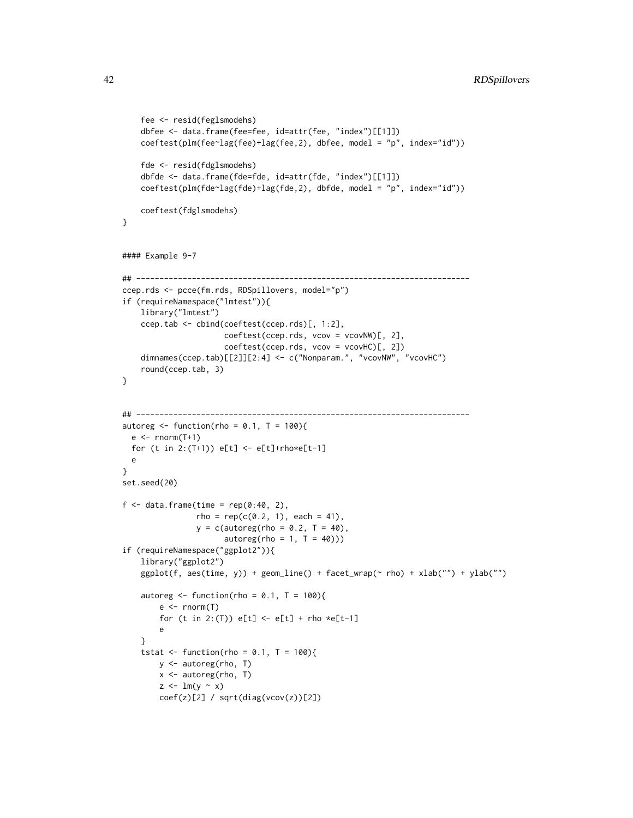```
fee <- resid(feglsmodehs)
    dbfee <- data.frame(fee=fee, id=attr(fee, "index")[[1]])
    coeftest(plm(fee~lag(fee)+lag(fee,2), dbfee, model = "p", index="id"))
    fde <- resid(fdglsmodehs)
    dbfde <- data.frame(fde=fde, id=attr(fde, "index")[[1]])
    coeftest(plm(fde~lag(fde)+lag(fde,2), dbfde, model = "p", index="id"))
    coeftest(fdglsmodehs)
}
#### Example 9-7
## ------------------------------------------------------------------------
ccep.rds <- pcce(fm.rds, RDSpillovers, model="p")
if (requireNamespace("lmtest")){
    library("lmtest")
    ccep.tab <- cbind(coeftest(ccep.rds)[, 1:2],
                      coeftest(ccep.rds, vcov = vcovNW)[, 2],
                      coeftest(ccep.rds, vcov = vcovHC)[, 2])
    dimnames(ccep.tab)[[2]][2:4] <- c("Nonparam.", "vcovNW", "vcovHC")
    round(ccep.tab, 3)
}
## ------------------------------------------------------------------------
autoreg \leq function(rho = 0.1, T = 100){
 e \leftarrow \text{rnorm}(T+1)for (t in 2:(T+1)) e[t] < -e[t] + rho * e[t-1]e
}
set.seed(20)
f \leftarrow data . frame(time = rep(0:40, 2),rho = rep(c(0.2, 1), each = 41),y = c(autoreg(rho = 0.2, T = 40),autoreg(rho = 1, T = 40))if (requireNamespace("ggplot2")){
    library("ggplot2")
    ggplot(f, aes(time, y)) + geom_line() + facet_wrap(~ rho) + xlab("") + ylab("")
    autoreg \leq function(rho = 0.1, T = 100){
        e \le - rnorm(T)for (t in 2:(T)) e[t] < -e[t] + rho *e[t-1]e
    }
    tstat \le function(rho = 0.1, T = 100){
        y <- autoreg(rho, T)
        x <- autoreg(rho, T)
        z \leq \ln(y \sim x)coef(z)[2] / sqrt(diag(vcov(z))[2])
```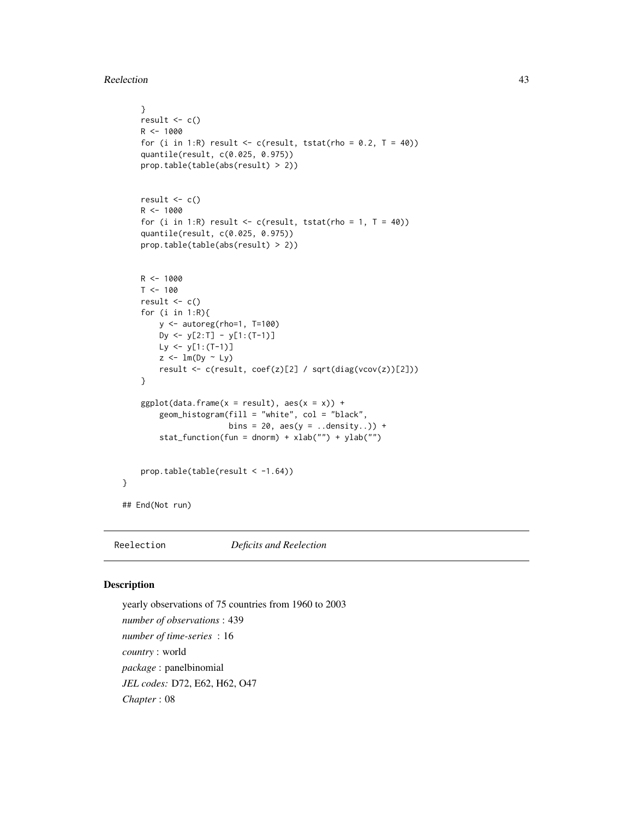<span id="page-42-0"></span>Reelection 43

```
}
   result \leftarrow c()
   R <- 1000
    for (i in 1:R) result \leq c(result, tstat(rho = 0.2, T = 40))
    quantile(result, c(0.025, 0.975))
    prop.table(table(abs(result) > 2))
    result \leq c()R < - 1000for (i in 1:R) result \leq c(result, tstat(rho = 1, T = 40))
    quantile(result, c(0.025, 0.975))
    prop.table(table(abs(result) > 2))
   R <- 1000
    T < - 100result \leftarrow c()for (i in 1:R){
        y <- autoreg(rho=1, T=100)
        Dy <- y[2:T] - y[1:(T-1)]
        Ly <- y[1:(T-1)]
        z < - \ln(Dy \sim Ly)result <- c(result, coef(z)[2] / sqrt(diag(vcov(z))[2]))
    }
    ggplot(data, frame(x = result), aes(x = x)) +geom_histogram(fill = "white", col = "black",
                       bins = 20, aes(y = . . density. ) +
        stat_function(fun = dnorm) + xlab("") + ylab("")
    prop.table(table(result < -1.64))## End(Not run)
```
<span id="page-42-1"></span>

Reelection *Deficits and Reelection*

# Description

}

yearly observations of 75 countries from 1960 to 2003 *number of observations* : 439 *number of time-series* : 16 *country* : world *package* : panelbinomial *JEL codes:* D72, E62, H62, O47 *Chapter* : 08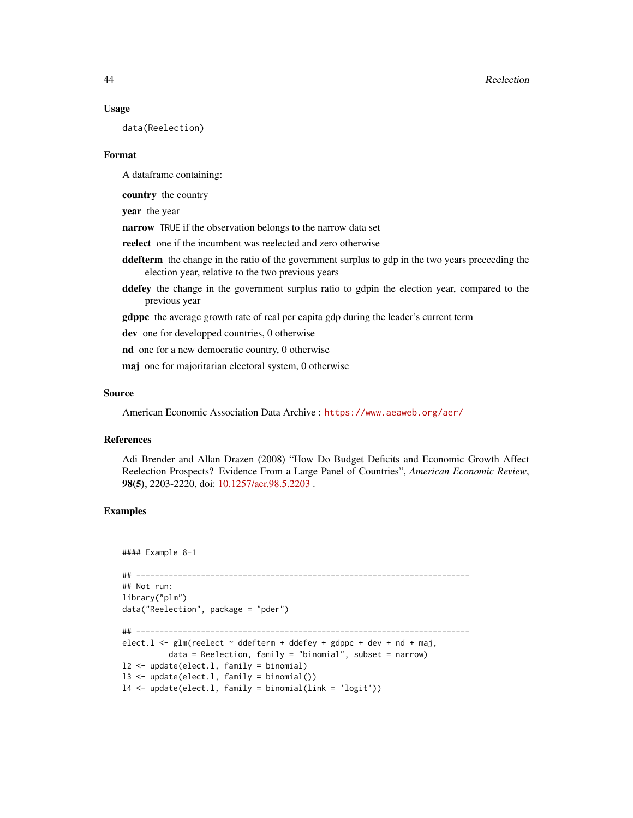## Usage

data(Reelection)

#### Format

A dataframe containing:

country the country

year the year

narrow TRUE if the observation belongs to the narrow data set

reelect one if the incumbent was reelected and zero otherwise

- ddefterm the change in the ratio of the government surplus to gdp in the two years preeceding the election year, relative to the two previous years
- ddefey the change in the government surplus ratio to gdpin the election year, compared to the previous year

gdppc the average growth rate of real per capita gdp during the leader's current term

dev one for developped countries, 0 otherwise

nd one for a new democratic country, 0 otherwise

maj one for majoritarian electoral system, 0 otherwise

#### Source

American Economic Association Data Archive : <https://www.aeaweb.org/aer/>

## References

Adi Brender and Allan Drazen (2008) "How Do Budget Deficits and Economic Growth Affect Reelection Prospects? Evidence From a Large Panel of Countries", *American Economic Review*, 98(5), 2203-2220, doi: [10.1257/aer.98.5.2203](https://doi.org/10.1257/aer.98.5.2203) .

```
#### Example 8-1
## ------------------------------------------------------------------------
## Not run:
library("plm")
data("Reelection", package = "pder")
## ------------------------------------------------------------------------
elect.1 \leq g \ln(\text{reelect} \sim \text{ddefterm} + \text{ddefey} + \text{gdppc} + \text{dev} + \text{nd} + \text{maj},data = Reelection, family = "binomial", subset = narrow)
l2 <- update(elect.l, family = binomial)
l3 <- update(elect.l, family = binomial())
l4 <- update(elect.l, family = binomial(link = 'logit'))
```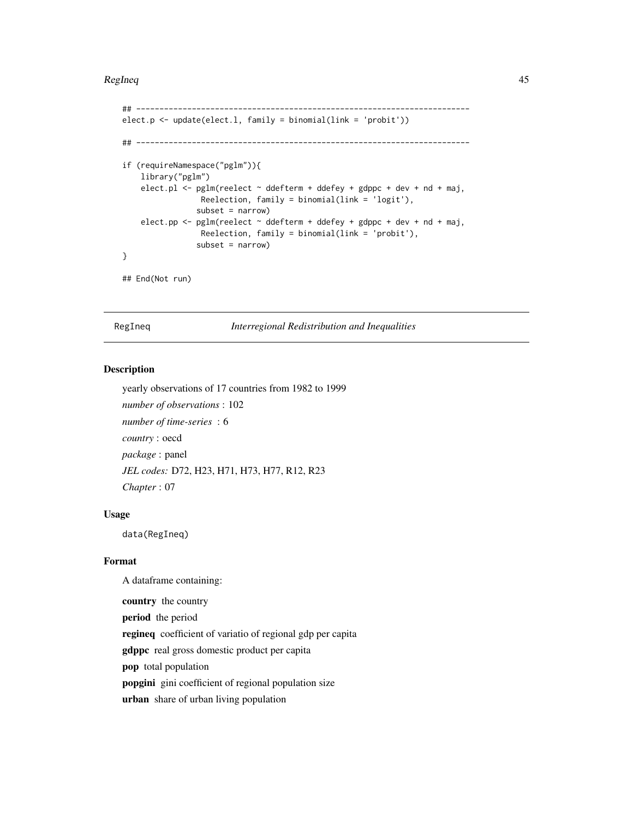#### <span id="page-44-0"></span>RegIneq and the set of the set of the set of the set of the set of the set of the set of the set of the set of the set of the set of the set of the set of the set of the set of the set of the set of the set of the set of t

```
## ------------------------------------------------------------------------
elect.p <- update(elect.l, family = binomial(link = 'probit'))
## ------------------------------------------------------------------------
if (requireNamespace("pglm")){
   library("pglm")
   elect.pl \leq- pglm(reelect \sim ddefterm + ddefey + gdppc + dev + nd + maj,
                 Reelection, family = binomial(link = 'logit'),
                subset = narrow)
   elect.pp <- pglm(reelect ~ ddefterm ~ ddefey ~t gdppc ~t dev ~t nd ~t maj,
                 Reelection, family = binomial(link = 'probit'),
                subset = narrow)}
## End(Not run)
```
<span id="page-44-1"></span>

RegIneq *Interregional Redistribution and Inequalities*

## Description

yearly observations of 17 countries from 1982 to 1999 *number of observations* : 102 *number of time-series* : 6 *country* : oecd *package* : panel *JEL codes:* D72, H23, H71, H73, H77, R12, R23 *Chapter* : 07

#### Usage

data(RegIneq)

## Format

A dataframe containing:

country the country period the period regineq coefficient of variatio of regional gdp per capita gdppc real gross domestic product per capita pop total population popgini gini coefficient of regional population size urban share of urban living population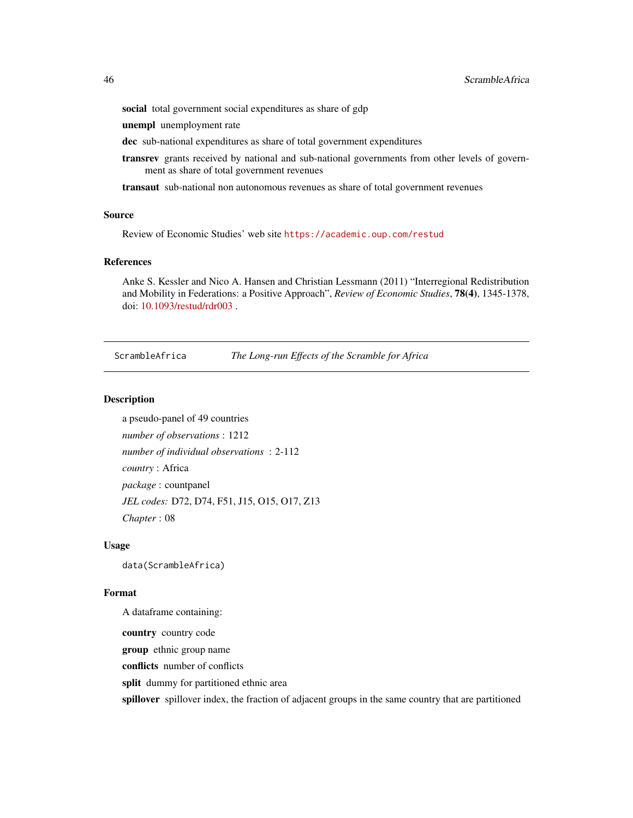social total government social expenditures as share of gdp

unempl unemployment rate

dec sub-national expenditures as share of total government expenditures

- transrev grants received by national and sub-national governments from other levels of government as share of total government revenues
- transaut sub-national non autonomous revenues as share of total government revenues

#### Source

Review of Economic Studies' web site <https://academic.oup.com/restud>

#### References

Anke S. Kessler and Nico A. Hansen and Christian Lessmann (2011) "Interregional Redistribution and Mobility in Federations: a Positive Approach", *Review of Economic Studies*, 78(4), 1345-1378, doi: [10.1093/restud/rdr003](https://doi.org/10.1093/restud/rdr003) .

<span id="page-45-1"></span>ScrambleAfrica *The Long-run Effects of the Scramble for Africa*

#### Description

a pseudo-panel of 49 countries *number of observations* : 1212 *number of individual observations* : 2-112 *country* : Africa *package* : countpanel *JEL codes:* D72, D74, F51, J15, O15, O17, Z13 *Chapter* : 08

#### Usage

data(ScrambleAfrica)

## Format

A dataframe containing: country country code group ethnic group name conflicts number of conflicts split dummy for partitioned ethnic area spillover spillover index, the fraction of adjacent groups in the same country that are partitioned

<span id="page-45-0"></span>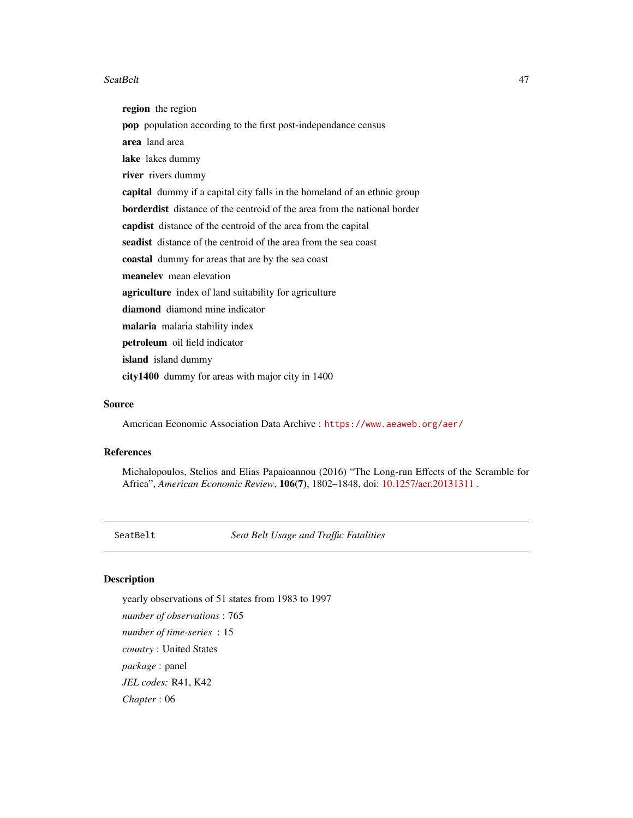#### <span id="page-46-0"></span>SeatBelt 47

region the region pop population according to the first post-independance census area land area lake lakes dummy river rivers dummy capital dummy if a capital city falls in the homeland of an ethnic group borderdist distance of the centroid of the area from the national border capdist distance of the centroid of the area from the capital seadist distance of the centroid of the area from the sea coast coastal dummy for areas that are by the sea coast meanelev mean elevation agriculture index of land suitability for agriculture diamond diamond mine indicator malaria malaria stability index petroleum oil field indicator island island dummy city1400 dummy for areas with major city in 1400

# Source

American Economic Association Data Archive : <https://www.aeaweb.org/aer/>

## References

Michalopoulos, Stelios and Elias Papaioannou (2016) "The Long-run Effects of the Scramble for Africa", *American Economic Review*, 106(7), 1802–1848, doi: [10.1257/aer.20131311](https://doi.org/10.1257/aer.20131311) .

<span id="page-46-1"></span>SeatBelt *Seat Belt Usage and Traffic Fatalities*

# Description

yearly observations of 51 states from 1983 to 1997 *number of observations* : 765 *number of time-series* : 15 *country* : United States *package* : panel *JEL codes:* R41, K42 *Chapter* : 06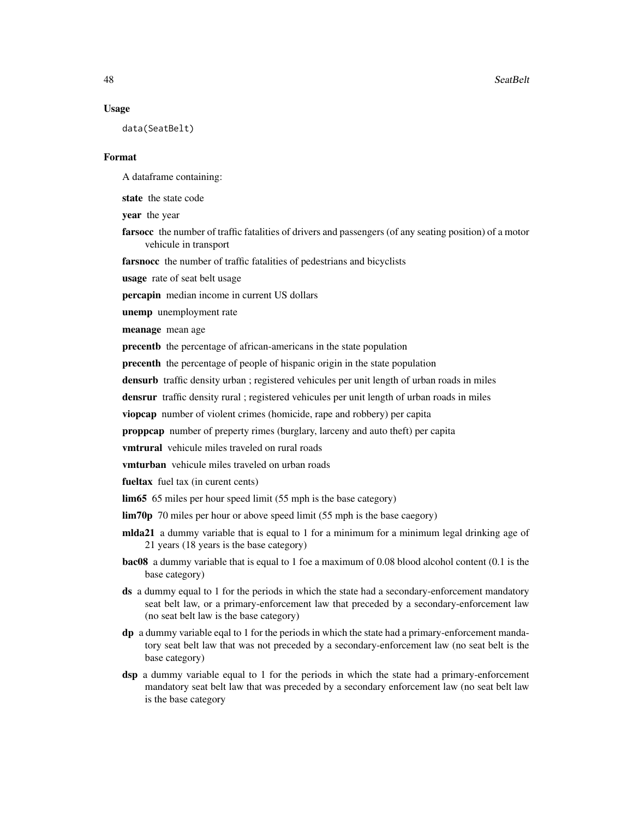#### Usage

data(SeatBelt)

## Format

A dataframe containing:

state the state code

year the year

farsocc the number of traffic fatalities of drivers and passengers (of any seating position) of a motor vehicule in transport

farsnocc the number of traffic fatalities of pedestrians and bicyclists

usage rate of seat belt usage

percapin median income in current US dollars

unemp unemployment rate

meanage mean age

precentb the percentage of african-americans in the state population

precenth the percentage of people of hispanic origin in the state population

densurb traffic density urban ; registered vehicules per unit length of urban roads in miles

densrur traffic density rural ; registered vehicules per unit length of urban roads in miles

viopcap number of violent crimes (homicide, rape and robbery) per capita

proppcap number of preperty rimes (burglary, larceny and auto theft) per capita

vmtrural vehicule miles traveled on rural roads

vmturban vehicule miles traveled on urban roads

fueltax fuel tax (in curent cents)

- lim65 65 miles per hour speed limit (55 mph is the base category)
- lim70p 70 miles per hour or above speed limit (55 mph is the base caegory)
- mlda21 a dummy variable that is equal to 1 for a minimum for a minimum legal drinking age of 21 years (18 years is the base category)
- bac08 a dummy variable that is equal to 1 foe a maximum of 0.08 blood alcohol content (0.1 is the base category)
- ds a dummy equal to 1 for the periods in which the state had a secondary-enforcement mandatory seat belt law, or a primary-enforcement law that preceded by a secondary-enforcement law (no seat belt law is the base category)
- dp a dummy variable eqal to 1 for the periods in which the state had a primary-enforcement mandatory seat belt law that was not preceded by a secondary-enforcement law (no seat belt is the base category)
- dsp a dummy variable equal to 1 for the periods in which the state had a primary-enforcement mandatory seat belt law that was preceded by a secondary enforcement law (no seat belt law is the base category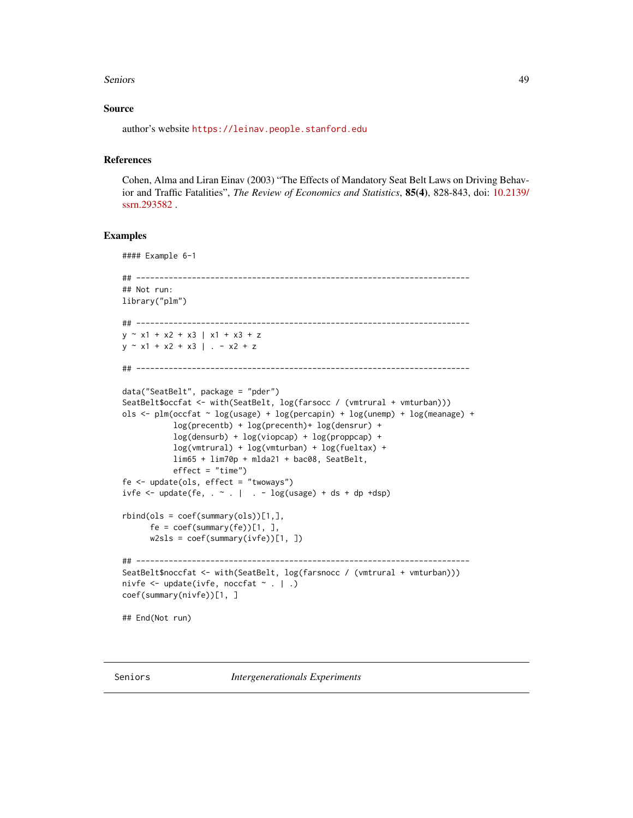#### <span id="page-48-0"></span>Seniors **49**

## Source

author's website <https://leinav.people.stanford.edu>

## References

Cohen, Alma and Liran Einav (2003) "The Effects of Mandatory Seat Belt Laws on Driving Behavior and Traffic Fatalities", *The Review of Economics and Statistics*, 85(4), 828-843, doi: [10.2139/](https://doi.org/10.2139/ssrn.293582) [ssrn.293582](https://doi.org/10.2139/ssrn.293582) .

#### Examples

```
#### Example 6-1
## ------------------------------------------------------------------------
## Not run:
library("plm")
## ------------------------------------------------------------------------
y \sim x1 + x2 + x3 | x1 + x3 + zy ~ x1 + x2 + x3 | . - x2 + z
## ------------------------------------------------------------------------
data("SeatBelt", package = "pder")
SeatBelt$occfat <- with(SeatBelt, log(farsocc / (vmtrural + vmturban)))
ols <- plm(occfat ~ log(usage) + log(percapin) + log(unemp) + log(meanage) +
           log(precentb) + log(precenth)+ log(densrur) +
           log(densurb) + log(viopcap) + log(proppcap) +
           log(vmtrural) + log(vmturban) + log(fueltax) +
           lim65 + lim70p + mlda21 + bac08, SeatBelt,
           effect = "time")fe <- update(ols, effect = "twoways")
ivfe <- update(fe, . ~ . | . - log(usage) + ds + dp +dsp)
rbind(ols = coef(summary(ols))[1,],
      fe = coef(summary(fe))[1, ],
      w2sls = coef(summary(ivfe))[1, ])
## ------------------------------------------------------------------------
SeatBelt$noccfat <- with(SeatBelt, log(farsnocc / (vmtrural + vmturban)))
nivfe <- update(ivfe, noccfat ~ . | .)
coef(summary(nivfe))[1, ]
## End(Not run)
```
<span id="page-48-1"></span>Seniors *Intergenerationals Experiments*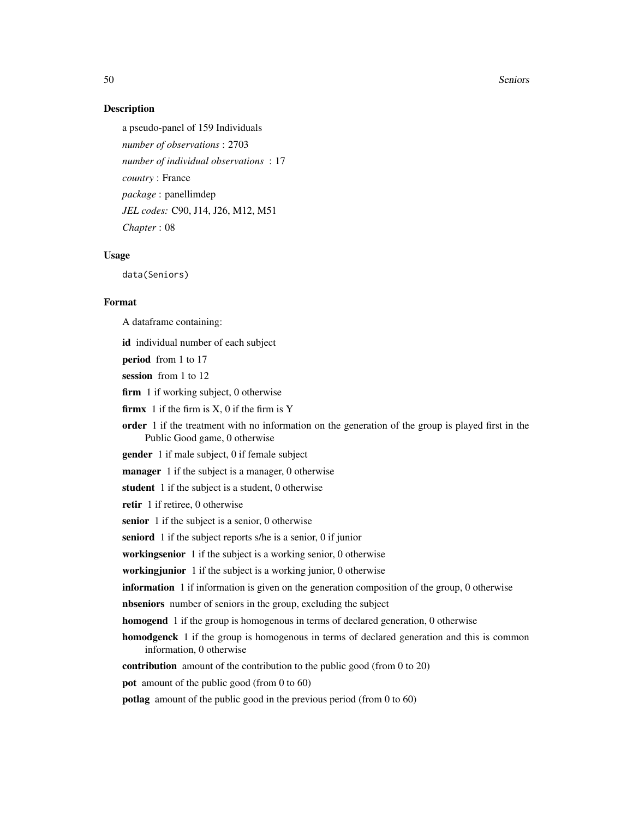50 Seniors and the seniors of the seniors of the seniors of the seniors of the seniors of the seniors of the seniors of the seniors of the seniors of the seniors of the seniors of the seniors of the seniors of the seniors

## Description

a pseudo-panel of 159 Individuals *number of observations* : 2703 *number of individual observations* : 17 *country* : France *package* : panellimdep *JEL codes:* C90, J14, J26, M12, M51 *Chapter* : 08

# Usage

data(Seniors)

#### Format

A dataframe containing:

id individual number of each subject

period from 1 to 17

session from 1 to 12

firm 1 if working subject, 0 otherwise

firm  $x$  1 if the firm is  $X$ , 0 if the firm is  $Y$ 

order 1 if the treatment with no information on the generation of the group is played first in the Public Good game, 0 otherwise

gender 1 if male subject, 0 if female subject

manager 1 if the subject is a manager, 0 otherwise

student 1 if the subject is a student, 0 otherwise

retir 1 if retiree, 0 otherwise

senior 1 if the subject is a senior, 0 otherwise

seniord 1 if the subject reports s/he is a senior, 0 if junior

workingsenior 1 if the subject is a working senior, 0 otherwise

workingjunior 1 if the subject is a working junior, 0 otherwise

information 1 if information is given on the generation composition of the group, 0 otherwise

nbseniors number of seniors in the group, excluding the subject

homogend 1 if the group is homogenous in terms of declared generation, 0 otherwise

homodgenck 1 if the group is homogenous in terms of declared generation and this is common information, 0 otherwise

contribution amount of the contribution to the public good (from 0 to 20)

pot amount of the public good (from 0 to 60)

potlag amount of the public good in the previous period (from 0 to 60)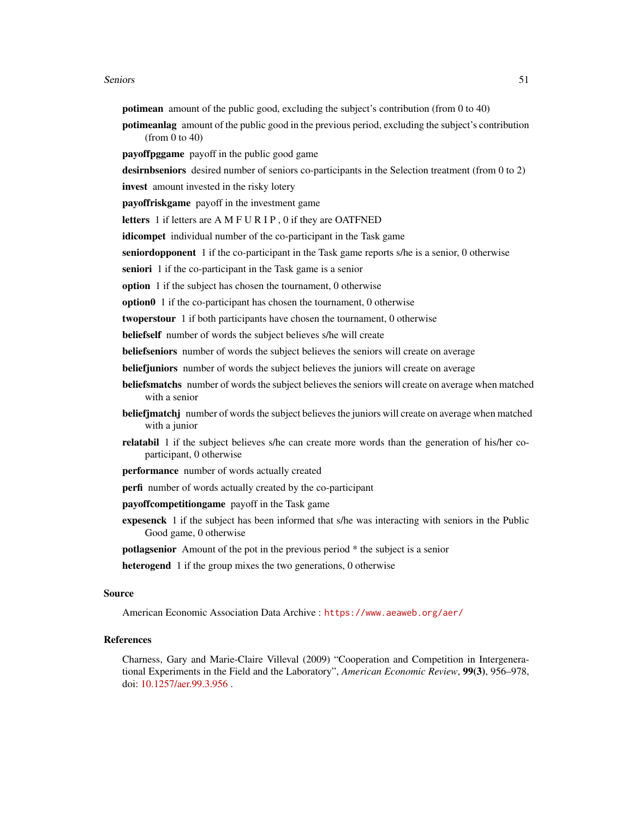#### Seniors 51

- potimean amount of the public good, excluding the subject's contribution (from 0 to 40)
- potimeanlag amount of the public good in the previous period, excluding the subject's contribution (from 0 to 40)
- payoffpggame payoff in the public good game
- desirnbseniors desired number of seniors co-participants in the Selection treatment (from 0 to 2)
- invest amount invested in the risky lotery
- payoffriskgame payoff in the investment game
- letters 1 if letters are A M F U R I P, 0 if they are OATFNED
- idicompet individual number of the co-participant in the Task game
- **seniordopponent** 1 if the co-participant in the Task game reports s/he is a senior, 0 otherwise
- seniori 1 if the co-participant in the Task game is a senior
- option 1 if the subject has chosen the tournament, 0 otherwise
- option0 1 if the co-participant has chosen the tournament, 0 otherwise
- twoperstour 1 if both participants have chosen the tournament, 0 otherwise
- beliefself number of words the subject believes s/he will create
- beliefseniors number of words the subject believes the seniors will create on average
- beliefjuniors number of words the subject believes the juniors will create on average
- beliefsmatchs number of words the subject believes the seniors will create on average when matched with a senior
- belief jmatch j number of words the subject believes the juniors will create on average when matched with a junior
- relatabil 1 if the subject believes s/he can create more words than the generation of his/her coparticipant, 0 otherwise
- performance number of words actually created
- perfi number of words actually created by the co-participant
- payoffcompetitiongame payoff in the Task game
- expesenck 1 if the subject has been informed that s/he was interacting with seniors in the Public Good game, 0 otherwise
- potlagsenior Amount of the pot in the previous period \* the subject is a senior
- heterogend 1 if the group mixes the two generations, 0 otherwise

#### Source

American Economic Association Data Archive : <https://www.aeaweb.org/aer/>

#### References

Charness, Gary and Marie-Claire Villeval (2009) "Cooperation and Competition in Intergenerational Experiments in the Field and the Laboratory", *American Economic Review*, 99(3), 956–978, doi: [10.1257/aer.99.3.956](https://doi.org/10.1257/aer.99.3.956) .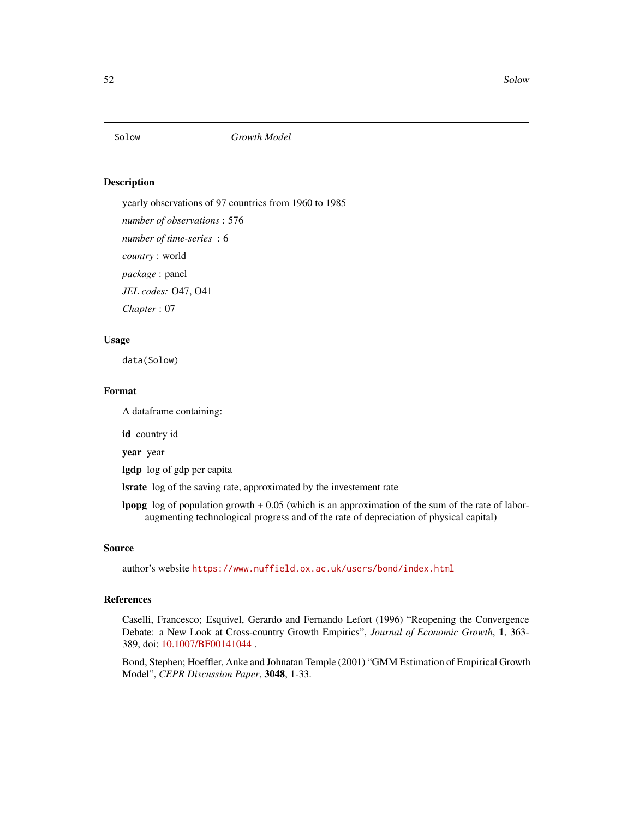<span id="page-51-1"></span><span id="page-51-0"></span>

# Description

yearly observations of 97 countries from 1960 to 1985

*number of observations* : 576

*number of time-series* : 6

*country* : world

*package* : panel

*JEL codes:* O47, O41

*Chapter* : 07

## Usage

data(Solow)

# Format

A dataframe containing:

id country id

year year

lgdp log of gdp per capita

lsrate log of the saving rate, approximated by the investement rate

**lpopg** log of population growth  $+ 0.05$  (which is an approximation of the sum of the rate of laboraugmenting technological progress and of the rate of depreciation of physical capital)

#### Source

author's website <https://www.nuffield.ox.ac.uk/users/bond/index.html>

## References

Caselli, Francesco; Esquivel, Gerardo and Fernando Lefort (1996) "Reopening the Convergence Debate: a New Look at Cross-country Growth Empirics", *Journal of Economic Growth*, 1, 363- 389, doi: [10.1007/BF00141044](https://doi.org/10.1007/BF00141044) .

Bond, Stephen; Hoeffler, Anke and Johnatan Temple (2001) "GMM Estimation of Empirical Growth Model", *CEPR Discussion Paper*, 3048, 1-33.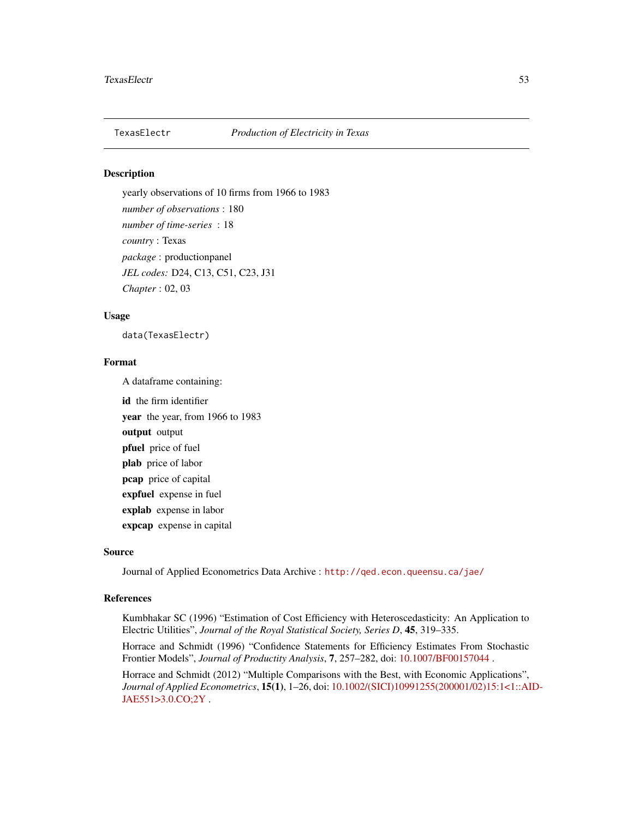<span id="page-52-1"></span><span id="page-52-0"></span>

## Description

yearly observations of 10 firms from 1966 to 1983 *number of observations* : 180 *number of time-series* : 18 *country* : Texas *package* : productionpanel *JEL codes:* D24, C13, C51, C23, J31 *Chapter* : 02, 03

# Usage

data(TexasElectr)

## Format

A dataframe containing: id the firm identifier year the year, from 1966 to 1983 output output pfuel price of fuel plab price of labor pcap price of capital expfuel expense in fuel explab expense in labor expcap expense in capital

# Source

Journal of Applied Econometrics Data Archive : <http://qed.econ.queensu.ca/jae/>

# References

Kumbhakar SC (1996) "Estimation of Cost Efficiency with Heteroscedasticity: An Application to Electric Utilities", *Journal of the Royal Statistical Society, Series D*, 45, 319–335.

Horrace and Schmidt (1996) "Confidence Statements for Efficiency Estimates From Stochastic Frontier Models", *Journal of Productity Analysis*, 7, 257–282, doi: [10.1007/BF00157044](https://doi.org/10.1007/BF00157044) .

Horrace and Schmidt (2012) "Multiple Comparisons with the Best, with Economic Applications", *Journal of Applied Econometrics*, 15(1), 1–26, doi: [10.1002/\(SICI\)10991255\(200001/02\)15:1<1::AI](https://doi.org/10.1002/(SICI)1099-1255(200001/02)15:1<1::AID-JAE551>3.0.CO;2-Y)D-[JAE551>3.0.CO;2Y](https://doi.org/10.1002/(SICI)1099-1255(200001/02)15:1<1::AID-JAE551>3.0.CO;2-Y) .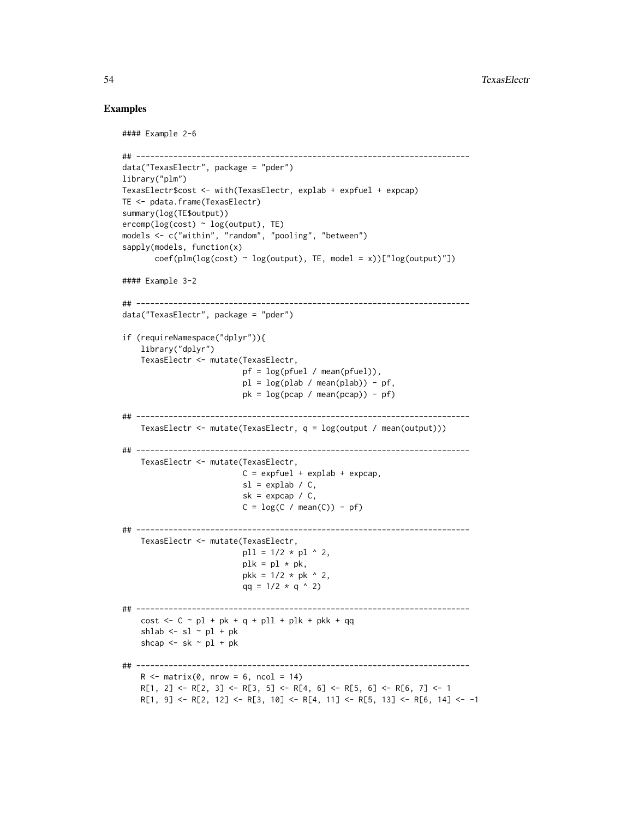```
#### Example 2-6
## ------------------------------------------------------------------------
data("TexasElectr", package = "pder")
library("plm")
TexasElectr$cost <- with(TexasElectr, explab + expfuel + expcap)
TE <- pdata.frame(TexasElectr)
summary(log(TE$output))
ercomp(log(cost) ~ log(output), TE)
models <- c("within", "random", "pooling", "between")
sapply(models, function(x)
       \text{coeff}(plm(\text{log}(\text{cost}) \sim \text{log}(\text{output}), \text{TE}, \text{model} = x))["log(output)"])
#### Example 3-2
## ------------------------------------------------------------------------
data("TexasElectr", package = "pder")
if (requireNamespace("dplyr")){
    library("dplyr")
    TexasElectr <- mutate(TexasElectr,
                           pf = log(pfuel / mean(pfuel)),pl = log(plab / mean(plab)) - pf,pk = log(pcap / mean(pcap)) - pf)## ------------------------------------------------------------------------
    TexasElectr \leq mutate(TexasElectr, q = log(output / mean(output)))## ------------------------------------------------------------------------
    TexasElectr <- mutate(TexasElectr,
                           C = expfuel + explab + expcap,sl = explab / C,
                           sk = expcap / C,
                           C = log(C / mean(C)) - pf## ------------------------------------------------------------------------
    TexasElectr <- mutate(TexasElectr,
                           p11 = 1/2 * p1 * 2,
                           plk = pl * pk,
                           pkk = 1/2 * pk ~ 2,
                           qq = 1/2 * q * 2)## ------------------------------------------------------------------------
    cost \leq C \leq pl + pk + q + pll + plk + pk + qqshlab \le sl \sim pl + pk
    shcap \leq sk \sim pl + pk
## ------------------------------------------------------------------------
    R \leq - matrix(0, nrow = 6, ncol = 14)
    R[1, 2] \leftarrow R[2, 3] \leftarrow R[3, 5] \leftarrow R[4, 6] \leftarrow R[5, 6] \leftarrow R[6, 7] \leftarrow 1R[1, 9] <- R[2, 12] <- R[3, 10] <- R[4, 11] <- R[5, 13] <- R[6, 14] <- -1
```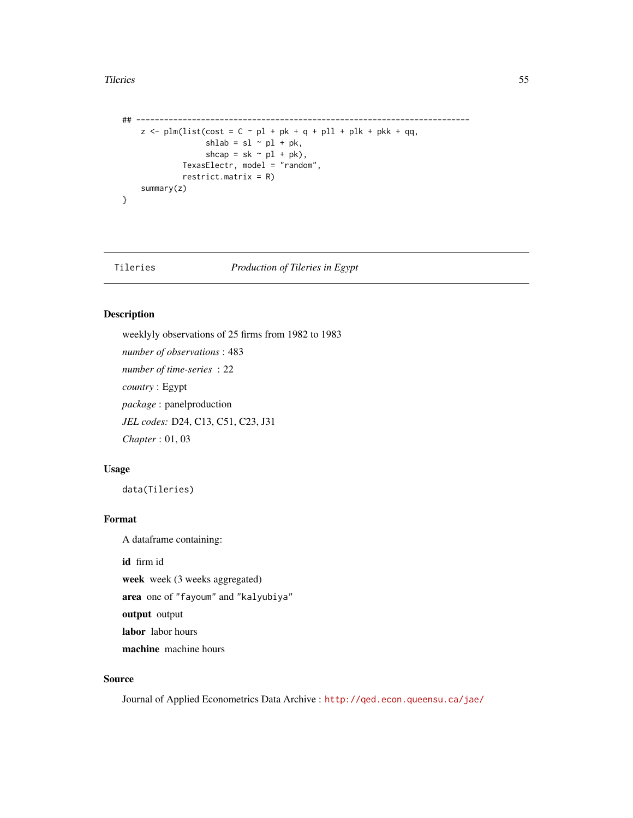#### <span id="page-54-0"></span>Tileries 55

```
## ------------------------------------------------------------------------
   z \leq plm(list(cost = C \sim pl + pk + q + pll + plk + pkk + qq,
                  shlab = s1 \sim pl + pk,
                  shcap = sk \sim pl + pk),
             TexasElectr, model = "random",
             restrict.matrix = R)summary(z)
}
```
## <span id="page-54-1"></span>Tileries *Production of Tileries in Egypt*

# Description

weeklyly observations of 25 firms from 1982 to 1983 *number of observations* : 483 *number of time-series* : 22 *country* : Egypt *package* : panelproduction *JEL codes:* D24, C13, C51, C23, J31 *Chapter* : 01, 03

#### Usage

data(Tileries)

# Format

A dataframe containing:

id firm id

week week (3 weeks aggregated)

area one of "fayoum" and "kalyubiya"

output output

labor labor hours

machine machine hours

## Source

Journal of Applied Econometrics Data Archive : <http://qed.econ.queensu.ca/jae/>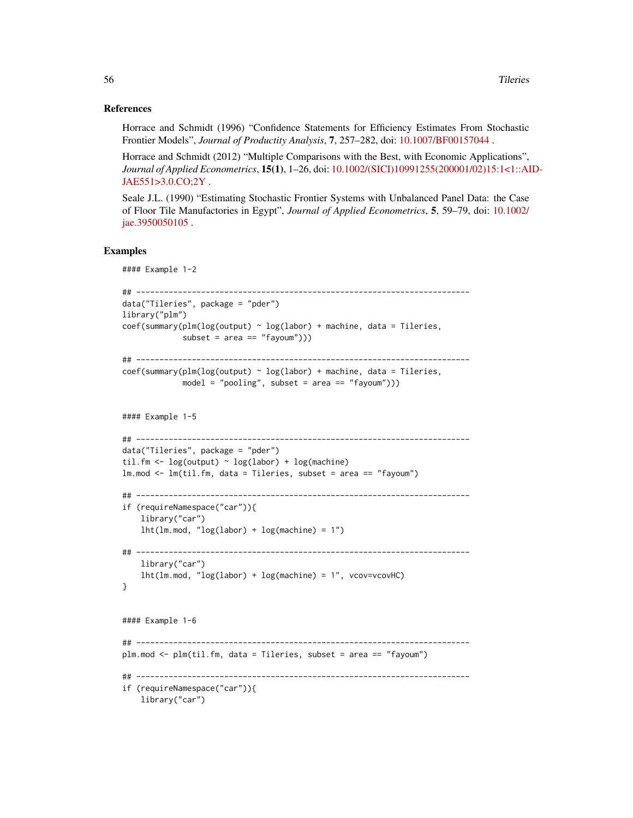## References

Horrace and Schmidt (1996) "Confidence Statements for Efficiency Estimates From Stochastic Frontier Models", *Journal of Productity Analysis*, 7, 257–282, doi: [10.1007/BF00157044](https://doi.org/10.1007/BF00157044) .

Horrace and Schmidt (2012) "Multiple Comparisons with the Best, with Economic Applications", *Journal of Applied Econometrics*, 15(1), 1–26, doi: [10.1002/\(SICI\)10991255\(200001/02\)15:1<1::AI](https://doi.org/10.1002/(SICI)1099-1255(200001/02)15:1<1::AID-JAE551>3.0.CO;2-Y)D-[JAE551>3.0.CO;2Y](https://doi.org/10.1002/(SICI)1099-1255(200001/02)15:1<1::AID-JAE551>3.0.CO;2-Y) .

Seale J.L. (1990) "Estimating Stochastic Frontier Systems with Unbalanced Panel Data: the Case of Floor Tile Manufactories in Egypt", *Journal of Applied Econometrics*, 5, 59–79, doi: [10.1002/](https://doi.org/10.1002/jae.3950050105) [jae.3950050105](https://doi.org/10.1002/jae.3950050105) .

```
#### Example 1-2
## ------------------------------------------------------------------------
data("Tileries", package = "pder")
library("plm")
\text{coeff}(summary(plm(log(output) \sim log(labor) + machine, data = Tileries,subset = area == "fayoum")## ------------------------------------------------------------------------
coeff(summary(plm(log(output) ~ log(labor) ~ + machine, data = Tileries,model = "pooling", subset = area == "fayoum")))
#### Example 1-5
## ------------------------------------------------------------------------
data("Tileries", package = "pder")
til.fm <- log(output) \sim log(labor) + log(maching)lm.mod <- lm(til.fm, data = Tileries, subset = area == "fayoum")
## ------------------------------------------------------------------------
if (requireNamespace("car")){
    library("car")
   lht(lm.mod, "log(labor) + log(maching) = 1")## ------------------------------------------------------------------------
   library("car")
   lht(lm.mod, "log(labor) + log(machine) = 1", vcov=vcovHC)
}
#### Example 1-6
## ------------------------------------------------------------------------
plm.mod <- plm(til.fm, data = Tileries, subset = area == "fayoum")
## ------------------------------------------------------------------------
if (requireNamespace("car")){
   library("car")
```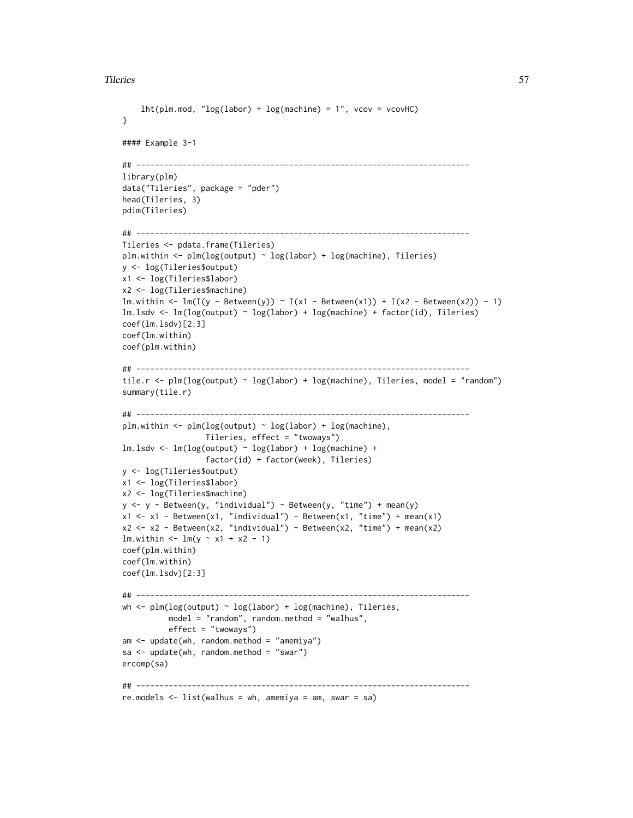```
lht(plm.mod, "log(labor) + log(machine) = 1", vcov = vcovHC)}
#### Example 3-1
## ------------------------------------------------------------------------
library(plm)
data("Tileries", package = "pder")
head(Tileries, 3)
pdim(Tileries)
## ------------------------------------------------------------------------
Tileries <- pdata.frame(Tileries)
plm.within <- plm(log(output) ~ log(labor) + log(machine), Tileries)
y <- log(Tileries$output)
x1 <- log(Tileries$labor)
x2 <- log(Tileries$machine)
lm.within <- lm(I(y - Between(y)) \sim I(x1 - Between(x1)) + I(x2 - Between(x2)) - 1)lm.lsdv <- lm(log(output) ~ log(labor) + log(machine) + factor(id), Tileries)
coef(lm.lsdv)[2:3]
coef(lm.within)
coef(plm.within)
## ------------------------------------------------------------------------
tile.r <- plm(log(output) ~ log(labor) + log(machine), Tileries, model = "random")
summary(tile.r)
## ------------------------------------------------------------------------
plm.within <- plm(log(output) ~ log(labor) + log(machine),
                  Tileries, effect = "twoways")
lm.lsdv <- lm(log(output) ~ log(labor) + log(machine) +
                  factor(id) + factor(week), Tileries)
y <- log(Tileries$output)
x1 <- log(Tileries$labor)
x2 <- log(Tileries$machine)
y \le y - \text{Between}(y, 'individual'') - \text{Between}(y, 'time'') + \text{mean}(y)x1 \leftarrow x1 - Between(x1, "individual") - Between(x1, "time") + mean(x1)
x2 \le -x2 - Between(x2, "individual") - Between(x2, "time") + mean(x2)
lm.within < - lm(y ~ x1 + x2 - 1)coef(plm.within)
coef(lm.within)
coef(lm.lsdv)[2:3]
## ------------------------------------------------------------------------
wh \leq plm(log(output) \sim log(labor) + log(machine), Tileries,
          model = "random", random.method = "walhus",
          effect = "twoways")
am < - update(wh, random.method = "amemiya")
sa \leq update(wh, random.method = "swar")
ercomp(sa)
## ------------------------------------------------------------------------
re.models < - list(walthus = wh, amemiya = am, swar = sa)
```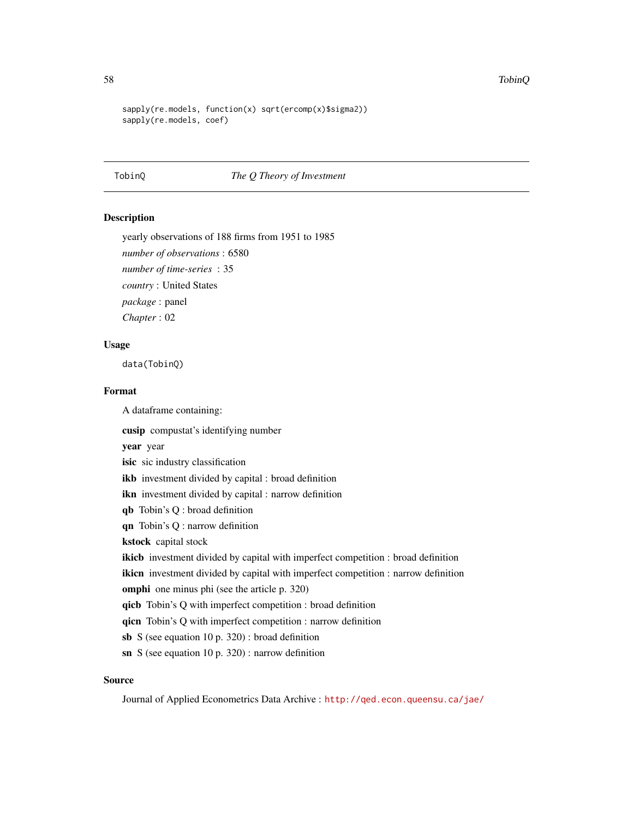```
sapply(re.models, function(x) sqrt(ercomp(x)$sigma2))
sapply(re.models, coef)
```
# TobinQ *The Q Theory of Investment*

#### **Description**

yearly observations of 188 firms from 1951 to 1985 *number of observations* : 6580 *number of time-series* : 35 *country* : United States *package* : panel *Chapter* : 02

## Usage

data(TobinQ)

# Format

A dataframe containing:

cusip compustat's identifying number

year year

isic sic industry classification

ikb investment divided by capital : broad definition

ikn investment divided by capital : narrow definition

qb Tobin's Q : broad definition

qn Tobin's Q : narrow definition

kstock capital stock

ikicb investment divided by capital with imperfect competition : broad definition

ikicn investment divided by capital with imperfect competition : narrow definition

omphi one minus phi (see the article p. 320)

qicb Tobin's Q with imperfect competition : broad definition

qicn Tobin's Q with imperfect competition : narrow definition

sb S (see equation 10 p. 320) : broad definition

sn S (see equation 10 p. 320) : narrow definition

# Source

Journal of Applied Econometrics Data Archive : <http://qed.econ.queensu.ca/jae/>

<span id="page-57-0"></span>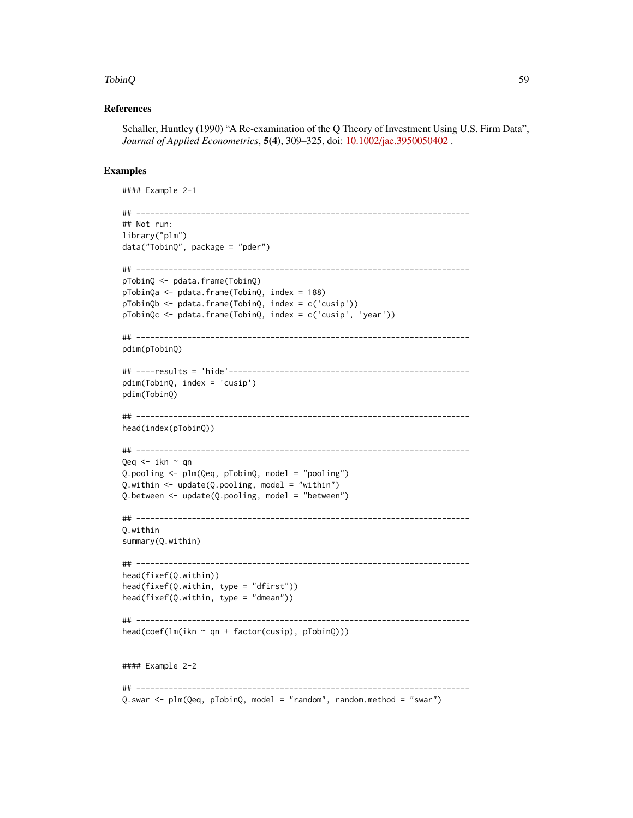#### TobinQ 59

## References

Schaller, Huntley (1990) "A Re-examination of the Q Theory of Investment Using U.S. Firm Data", *Journal of Applied Econometrics*, 5(4), 309–325, doi: [10.1002/jae.3950050402](https://doi.org/10.1002/jae.3950050402) .

```
#### Example 2-1
## ------------------------------------------------------------------------
## Not run:
library("plm")
data("TobinQ", package = "pder")
## ------------------------------------------------------------------------
pTobinQ <- pdata.frame(TobinQ)
pTobinQa <- pdata.frame(TobinQ, index = 188)
pTobinQb <- pdata.frame(TobinQ, index = c('cusip'))
pTobinQc <- pdata.frame(TobinQ, index = c('cusip', 'year'))
## ------------------------------------------------------------------------
pdim(pTobinQ)
## ----results = 'hide'----------------------------------------------------
pdim(TobinQ, index = 'cusip')
pdim(TobinQ)
## ------------------------------------------------------------------------
head(index(pTobinQ))
## ------------------------------------------------------------------------
Qeq <- ikn ~ qn
Q.pooling <- plm(Qeq, pTobinQ, model = "pooling")
Q.within \leq update(Q.pooling, model = "within")
Q.between \leq update(Q.pooling, model = "between")
## ------------------------------------------------------------------------
Q.within
summary(Q.within)
## ------------------------------------------------------------------------
head(fixef(Q.within))
head(fixef(Q.within, type = "dfirst"))
head(fixef(Q.within, type = "dmean"))
## ------------------------------------------------------------------------
head(coeff(lm(ikn \sim qn + factor(cusip), pTobinQ)))#### Example 2-2
## ------------------------------------------------------------------------
Q.swar <- plm(Qeq, pTobinQ, model = "random", random.method = "swar")
```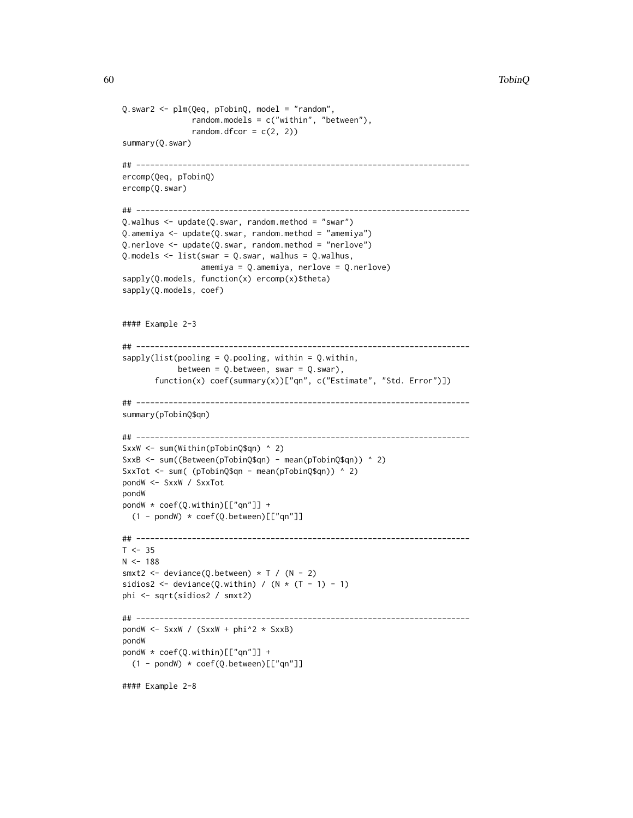```
Q.swar2 <- plm(Qeq, pTobinQ, model = "random",
               random.models = c("within", "between"),
               random.dfcor = c(2, 2))
summary(Q.swar)
## ------------------------------------------------------------------------
ercomp(Qeq, pTobinQ)
ercomp(Q.swar)
## ------------------------------------------------------------------------
Q.walhus <- update(Q.swar, random.method = "swar")
Q.amemiya <- update(Q.swar, random.method = "amemiya")
Q.nerlove <- update(Q.swar, random.method = "nerlove")
Q.models <- list(swar = Q.swar, walhus = Q.walhus,
                 amemiya = Q.amemiya, nerlove = Q.nerlove)
sapply(Q.models, function(x) ercomp(x)$theta)
sapply(Q.models, coef)
#### Example 2-3
## ------------------------------------------------------------------------
sapply(list(pooling = Q.pooling, within = Q.within,
            between = Q.between, swar = Q.swar),
       function(x) coef(summary(x))["qn", c("Estimate", "Std. Error")])
## ------------------------------------------------------------------------
summary(pTobinQ$qn)
## ------------------------------------------------------------------------
SxxW <- sum(Within(pTobinQ$qn) ^ 2)
SxxB <- sum((Between(pTobinQ$qn) - mean(pTobinQ$qn)) ^ 2)
SxxTot <- sum( (pTobinQ$qn - mean(pTobinQ$qn)) ^ 2)
pondW <- SxxW / SxxTot
pondW
pondW * coef(Q.within)[["qn"]] +
  (1 - \text{pondW}) * \text{coef}(Q.\text{between})[["qn"]]
## ------------------------------------------------------------------------
T < -35N < - 188smxt2 <- deviance(Q.between) * T / (N - 2)
sidios2 <- deviance(Q.within) / (N * (T - 1) - 1)phi <- sqrt(sidios2 / smxt2)
## ------------------------------------------------------------------------
pondW <- SxxW / (SxxW + phi^2 * SxxB)
pondW
pondW * coef(Q.within)[["qn"]] +
  (1 - pondW) * coef(Q.between)[["qn"]]
```
#### Example 2-8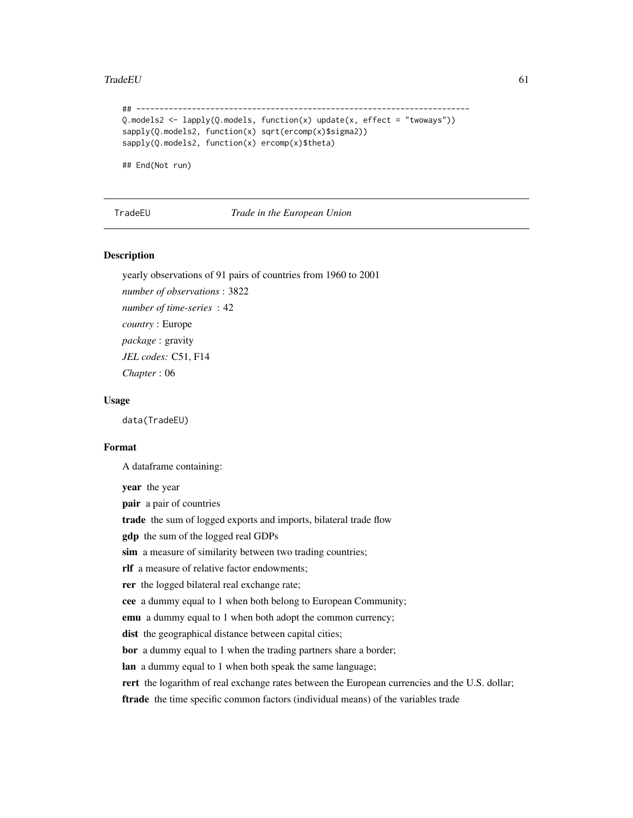#### <span id="page-60-0"></span> $\Gamma$ Trade $EU$  61

```
## ------------------------------------------------------------------------
Q.models2 <- lapply(Q.models, function(x) update(x, effect = "twoways"))
sapply(Q.models2, function(x) sqrt(ercomp(x)$sigma2))
sapply(Q.models2, function(x) ercomp(x)$theta)
```
## End(Not run)

#### <span id="page-60-1"></span>TradeEU *Trade in the European Union*

#### Description

yearly observations of 91 pairs of countries from 1960 to 2001 *number of observations* : 3822

*number of time-series* : 42 *country* : Europe *package* : gravity *JEL codes:* C51, F14 *Chapter* : 06

#### Usage

data(TradeEU)

#### Format

A dataframe containing:

year the year

pair a pair of countries

trade the sum of logged exports and imports, bilateral trade flow

gdp the sum of the logged real GDPs

sim a measure of similarity between two trading countries;

rlf a measure of relative factor endowments;

rer the logged bilateral real exchange rate;

cee a dummy equal to 1 when both belong to European Community;

emu a dummy equal to 1 when both adopt the common currency;

dist the geographical distance between capital cities;

bor a dummy equal to 1 when the trading partners share a border;

lan a dummy equal to 1 when both speak the same language;

rert the logarithm of real exchange rates between the European currencies and the U.S. dollar;

ftrade the time specific common factors (individual means) of the variables trade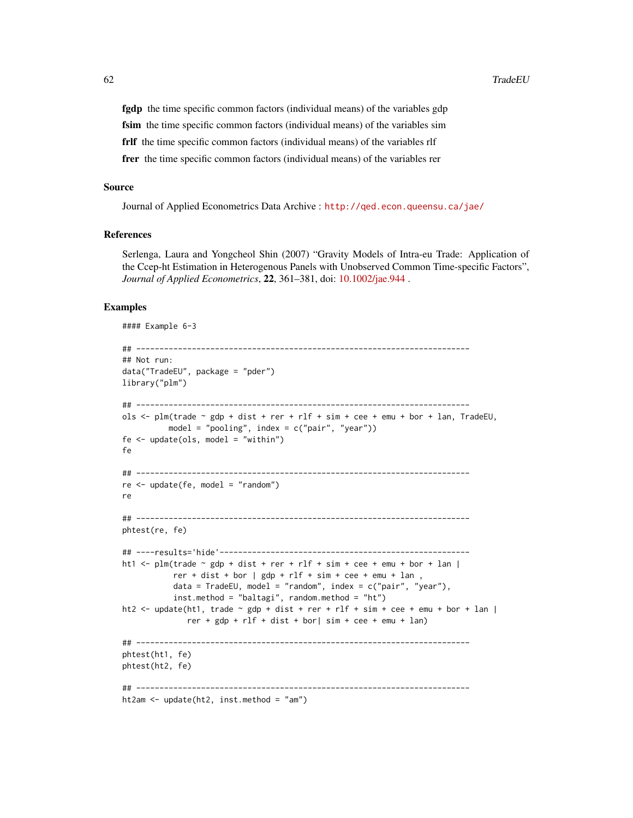fgdp the time specific common factors (individual means) of the variables gdp fsim the time specific common factors (individual means) of the variables sim frlf the time specific common factors (individual means) of the variables rlf frer the time specific common factors (individual means) of the variables rer

#### Source

Journal of Applied Econometrics Data Archive : <http://qed.econ.queensu.ca/jae/>

#### References

Serlenga, Laura and Yongcheol Shin (2007) "Gravity Models of Intra-eu Trade: Application of the Ccep-ht Estimation in Heterogenous Panels with Unobserved Common Time-specific Factors", *Journal of Applied Econometrics*, 22, 361–381, doi: [10.1002/jae.944](https://doi.org/10.1002/jae.944) .

```
#### Example 6-3
## ------------------------------------------------------------------------
## Not run:
data("TradeEU", package = "pder")
library("plm")
## ------------------------------------------------------------------------
ols \le plm(trade \sim gdp + dist + rer + rlf + sim + cee + emu + bor + lan, TradeEU,
          model = "pooling", index = c("pair", "year")fe < - update(ols, model = "within")
fe
## ------------------------------------------------------------------------
re <- update(fe, model = "random")
re
## ------------------------------------------------------------------------
phtest(re, fe)
## ----results='hide'------------------------------------------------------
ht1 \le - plm(trade \sim gdp + dist + rer + rlf + sim + cee + emu + bor + lan |
           rer + dist + bor | gdp + rlf + sim + cee + emu + lan,
           data = TradeEU, model = "random", index = c("pair", "year"),
           inst.method = "baltagi", random.method = "ht")
ht2 <- update(ht1, trade \sim gdp + dist + rer + rlf + sim + cee + emu + bor + lan |
              rer + gdp + rlf + dist + bor| sim + cee + emu + lan)
## ------------------------------------------------------------------------
phtest(ht1, fe)
phtest(ht2, fe)
## ------------------------------------------------------------------------
ht2am <- update(ht2, inst.method = "am")
```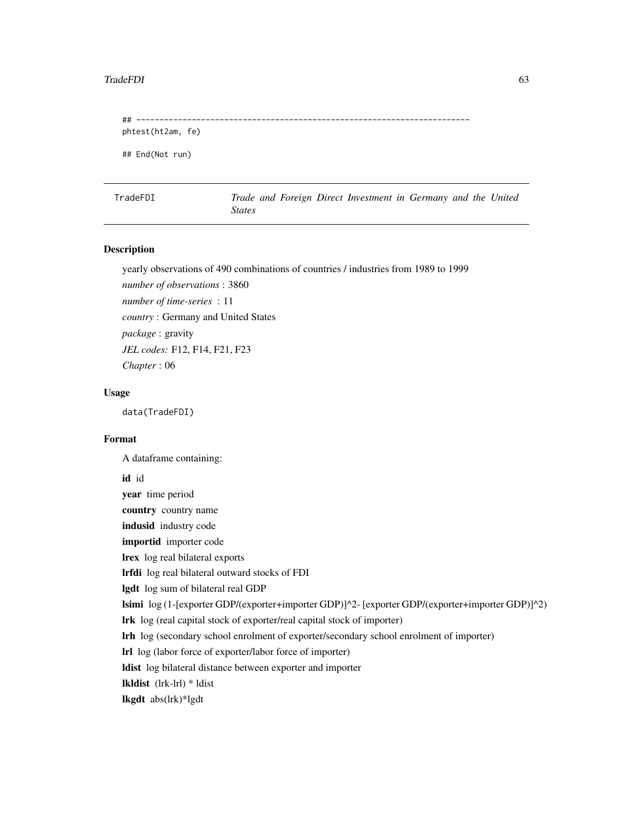#### <span id="page-62-0"></span>TradeFDI 63

## ------------------------------------------------------------------------

phtest(ht2am, fe)

## End(Not run)

<span id="page-62-1"></span>TradeFDI *Trade and Foreign Direct Investment in Germany and the United States*

# Description

yearly observations of 490 combinations of countries / industries from 1989 to 1999 *number of observations* : 3860 *number of time-series* : 11 *country* : Germany and United States *package* : gravity *JEL codes:* F12, F14, F21, F23 *Chapter* : 06

# Usage

data(TradeFDI)

## Format

A dataframe containing:

id id

year time period country country name indusid industry code importid importer code lrex log real bilateral exports lrfdi log real bilateral outward stocks of FDI lgdt log sum of bilateral real GDP lsimi log (1-[exporter GDP/(exporter+importer GDP)]^2- [exporter GDP/(exporter+importer GDP)]^2) lrk log (real capital stock of exporter/real capital stock of importer) lrh log (secondary school enrolment of exporter/secondary school enrolment of importer) lrl log (labor force of exporter/labor force of importer) ldist log bilateral distance between exporter and importer lkldist (lrk-lrl) \* ldist lkgdt abs(lrk)\*lgdt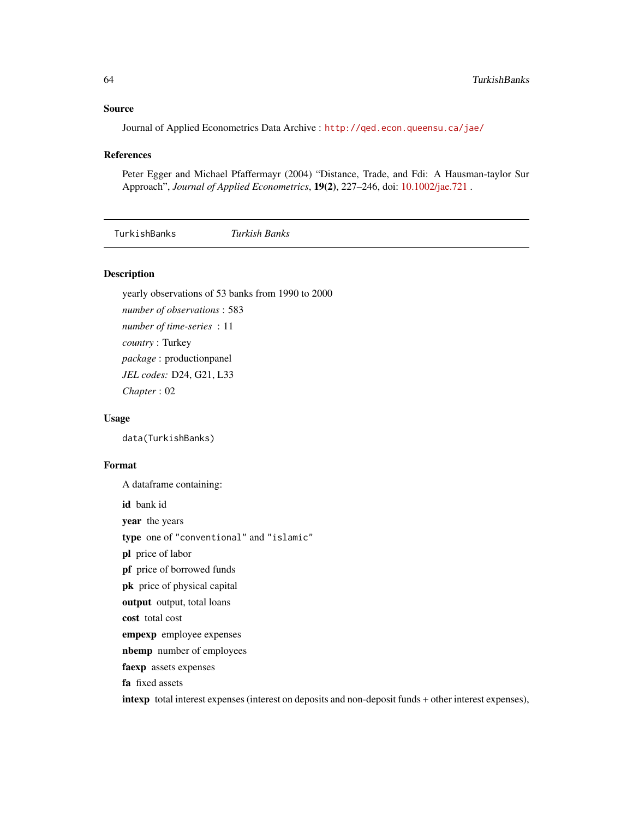#### <span id="page-63-0"></span>Source

Journal of Applied Econometrics Data Archive : <http://qed.econ.queensu.ca/jae/>

#### References

Peter Egger and Michael Pfaffermayr (2004) "Distance, Trade, and Fdi: A Hausman-taylor Sur Approach", *Journal of Applied Econometrics*, 19(2), 227–246, doi: [10.1002/jae.721](https://doi.org/10.1002/jae.721) .

<span id="page-63-1"></span>

|--|--|

# Description

yearly observations of 53 banks from 1990 to 2000 *number of observations* : 583

*number of time-series* : 11 *country* : Turkey *package* : productionpanel *JEL codes:* D24, G21, L33 *Chapter* : 02

#### Usage

data(TurkishBanks)

# Format

A dataframe containing:

id bank id

year the years

type one of "conventional" and "islamic"

pl price of labor

pf price of borrowed funds

pk price of physical capital

output output, total loans

cost total cost

empexp employee expenses

nbemp number of employees

faexp assets expenses

fa fixed assets

intexp total interest expenses (interest on deposits and non-deposit funds + other interest expenses),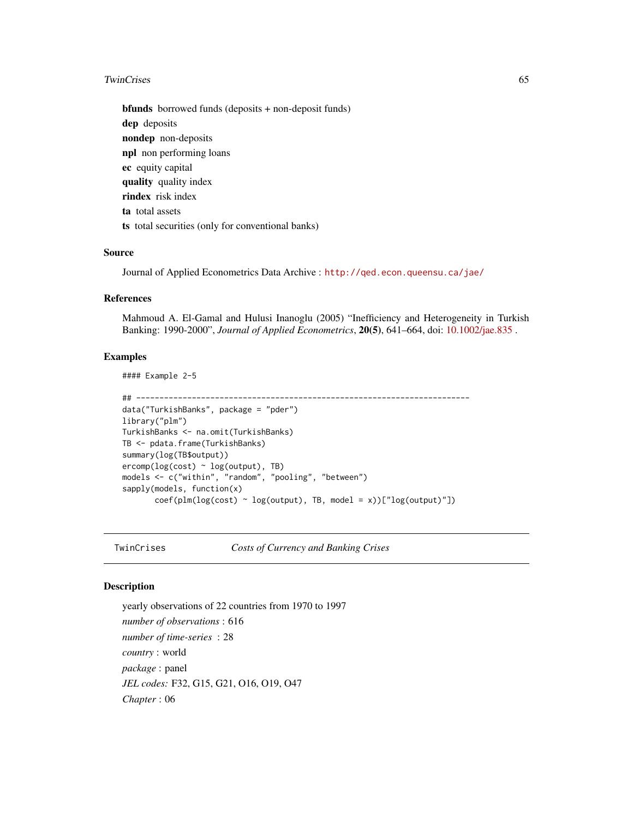#### <span id="page-64-0"></span>TwinCrises 65

bfunds borrowed funds (deposits + non-deposit funds) dep deposits nondep non-deposits npl non performing loans ec equity capital quality quality index rindex risk index ta total assets ts total securities (only for conventional banks)

## Source

Journal of Applied Econometrics Data Archive : <http://qed.econ.queensu.ca/jae/>

# References

Mahmoud A. El-Gamal and Hulusi Inanoglu (2005) "Inefficiency and Heterogeneity in Turkish Banking: 1990-2000", *Journal of Applied Econometrics*, 20(5), 641–664, doi: [10.1002/jae.835](https://doi.org/10.1002/jae.835) .

# Examples

```
#### Example 2-5
## ------------------------------------------------------------------------
data("TurkishBanks", package = "pder")
library("plm")
TurkishBanks <- na.omit(TurkishBanks)
TB <- pdata.frame(TurkishBanks)
summary(log(TB$output))
ercomp(log(cost) ~ log(output), TB)
models <- c("within", "random", "pooling", "between")
sapply(models, function(x)
        \text{coef}(\text{plm}(\text{log}(\text{cost}) \sim \text{log}(\text{output}), \text{TB}, \text{model} = x))["log(output)"])
```
<span id="page-64-1"></span>TwinCrises *Costs of Currency and Banking Crises*

## **Description**

yearly observations of 22 countries from 1970 to 1997 *number of observations* : 616 *number of time-series* : 28 *country* : world *package* : panel *JEL codes:* F32, G15, G21, O16, O19, O47 *Chapter* : 06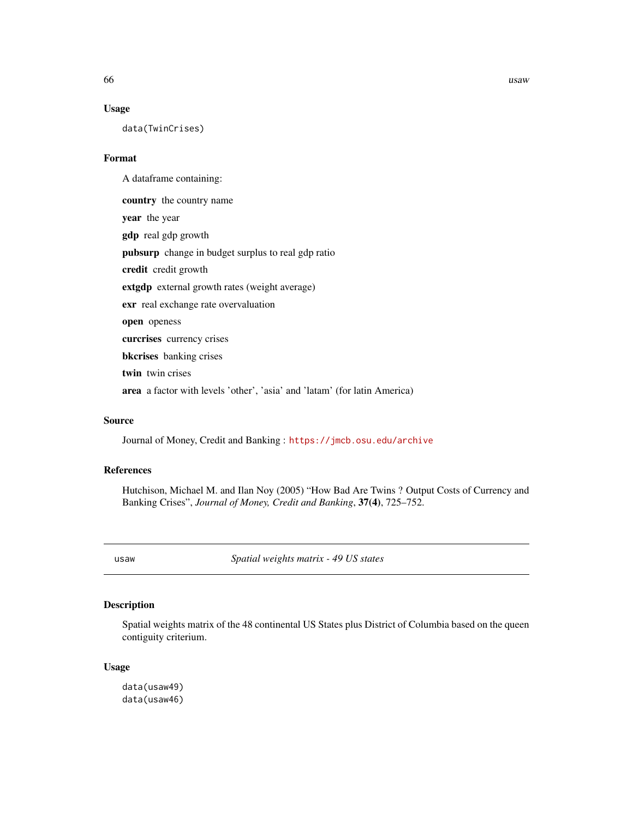<span id="page-65-0"></span>

## Usage

data(TwinCrises)

# Format

A dataframe containing: country the country name year the year gdp real gdp growth pubsurp change in budget surplus to real gdp ratio credit credit growth extgdp external growth rates (weight average) exr real exchange rate overvaluation open openess curcrises currency crises bkcrises banking crises twin twin crises area a factor with levels 'other', 'asia' and 'latam' (for latin America)

# Source

Journal of Money, Credit and Banking : <https://jmcb.osu.edu/archive>

# References

Hutchison, Michael M. and Ilan Noy (2005) "How Bad Are Twins ? Output Costs of Currency and Banking Crises", *Journal of Money, Credit and Banking*, 37(4), 725–752.

usaw *Spatial weights matrix - 49 US states*

## Description

Spatial weights matrix of the 48 continental US States plus District of Columbia based on the queen contiguity criterium.

#### Usage

```
data(usaw49)
data(usaw46)
```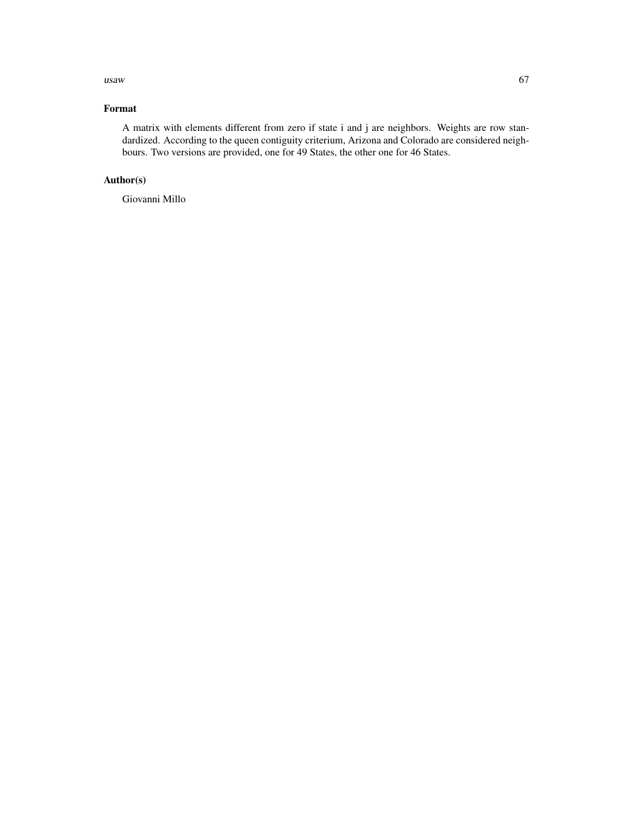#### $u$ saw 67

# Format

A matrix with elements different from zero if state i and j are neighbors. Weights are row standardized. According to the queen contiguity criterium, Arizona and Colorado are considered neighbours. Two versions are provided, one for 49 States, the other one for 46 States.

# Author(s)

Giovanni Millo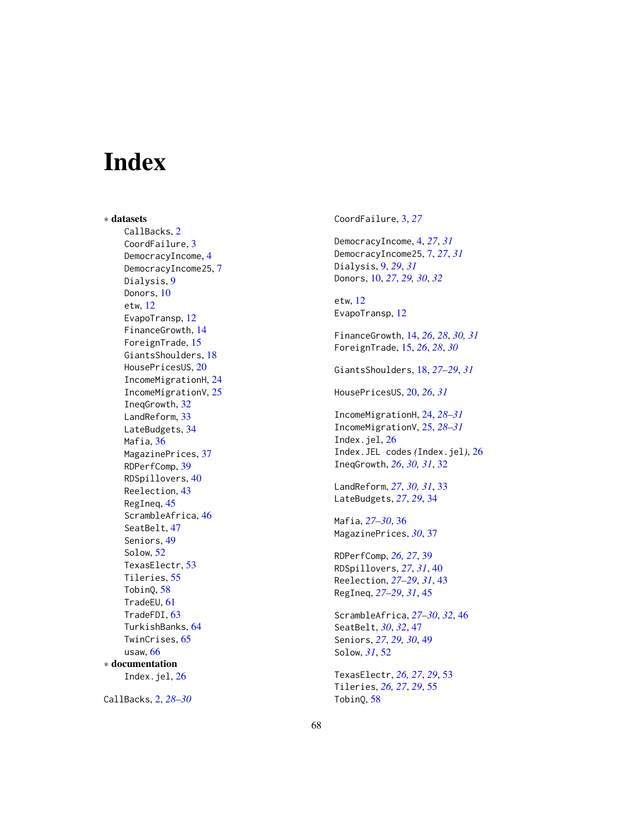# <span id="page-67-0"></span>Index

∗ datasets CallBacks , [2](#page-1-0) CoordFailure, [3](#page-2-0) DemocracyIncome , [4](#page-3-0) DemocracyIncome25 , [7](#page-6-0) Dialysis, [9](#page-8-0) Donors, [10](#page-9-0) etw , [12](#page-11-0) EvapoTransp, [12](#page-11-0) FinanceGrowth , [14](#page-13-0) ForeignTrade , [15](#page-14-0) GiantsShoulders , [18](#page-17-0) HousePricesUS , [20](#page-19-0) IncomeMigrationH , [24](#page-23-0) IncomeMigrationV , [25](#page-24-0) IneqGrowth , [32](#page-31-0) LandReform , [33](#page-32-0) LateBudgets, [34](#page-33-0) Mafia, [36](#page-35-0) MagazinePrices, [37](#page-36-0) RDPerfComp , [39](#page-38-0) RDSpillovers , [40](#page-39-0) Reelection , [43](#page-42-0) RegIneq , [45](#page-44-0) ScrambleAfrica , [46](#page-45-0) SeatBelt, [47](#page-46-0) Seniors , [49](#page-48-0) Solow , [52](#page-51-0) TexasElectr , [53](#page-52-0) Tileries , [55](#page-54-0) TobinQ , [58](#page-57-0) TradeEU , [61](#page-60-0) TradeFDI, [63](#page-62-0) TurkishBanks , [64](#page-63-0) TwinCrises , [65](#page-64-0) usaw , [66](#page-65-0) ∗ documentation Index.jel , [26](#page-25-0)

CallBacks , [2](#page-1-0) , *[28](#page-27-0) [–30](#page-29-0)*

CoordFailure , [3](#page-2-0) , *[27](#page-26-0)*

DemocracyIncome , [4](#page-3-0) , *[27](#page-26-0)* , *[31](#page-30-0)* DemocracyIncome25 , [7](#page-6-0) , *[27](#page-26-0)* , *[31](#page-30-0)* Dialysis , [9](#page-8-0) , *[29](#page-28-0)* , *[31](#page-30-0)* Donors , [10](#page-9-0) , *[27](#page-26-0)* , *[29](#page-28-0) , [30](#page-29-0)* , *[32](#page-31-0)*

etw , [12](#page-11-0) EvapoTransp, [12](#page-11-0)

FinanceGrowth , [14](#page-13-0) , *[26](#page-25-0)* , *[28](#page-27-0)* , *[30](#page-29-0) , [31](#page-30-0)* ForeignTrade , [15](#page-14-0) , *[26](#page-25-0)* , *[28](#page-27-0)* , *[30](#page-29-0)*

GiantsShoulders , [18](#page-17-0) , *[27](#page-26-0)[–29](#page-28-0)* , *[31](#page-30-0)*

HousePricesUS , [20](#page-19-0) , *[26](#page-25-0)* , *[31](#page-30-0)*

IncomeMigrationH , [24](#page-23-0) , *[28](#page-27-0) [–31](#page-30-0)* IncomeMigrationV , [25](#page-24-0) , *[28](#page-27-0) [–31](#page-30-0)* Index.jel, [26](#page-25-0) Index.JEL codes *(*Index.jel *)* , [26](#page-25-0) IneqGrowth , *[26](#page-25-0)* , *[30](#page-29-0) , [31](#page-30-0)* , [32](#page-31-0)

LandReform , *[27](#page-26-0)* , *[30](#page-29-0) , [31](#page-30-0)* , [33](#page-32-0) LateBudgets , *[27](#page-26-0)* , *[29](#page-28-0)* , [34](#page-33-0)

Mafia , *[27](#page-26-0)[–30](#page-29-0)* , [36](#page-35-0) MagazinePrices , *[30](#page-29-0)* , [37](#page-36-0)

RDPerfComp , *[26,](#page-25-0) [27](#page-26-0)* , [39](#page-38-0) RDSpillovers , *[27](#page-26-0)* , *[31](#page-30-0)* , [40](#page-39-0) Reelection , *[27](#page-26-0)[–29](#page-28-0)* , *[31](#page-30-0)* , [43](#page-42-0) RegIneq , *[27](#page-26-0)[–29](#page-28-0)* , *[31](#page-30-0)* , [45](#page-44-0)

ScrambleAfrica , *[27](#page-26-0)[–30](#page-29-0)* , *[32](#page-31-0)* , [46](#page-45-0) SeatBelt , *[30](#page-29-0)* , *[32](#page-31-0)* , [47](#page-46-0) Seniors , *[27](#page-26-0)* , *[29](#page-28-0) , [30](#page-29-0)* , [49](#page-48-0) Solow , *[31](#page-30-0)* , [52](#page-51-0)

TexasElectr , *[26,](#page-25-0) [27](#page-26-0)* , *[29](#page-28-0)* , [53](#page-52-0) Tileries , *[26,](#page-25-0) [27](#page-26-0)* , *[29](#page-28-0)* , [55](#page-54-0) TobinQ , [58](#page-57-0)